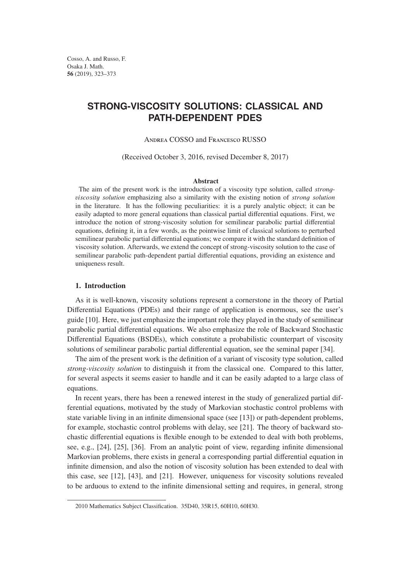Cosso, A. and Russo, F. Osaka J. Math. 56 (2019), 323–373

# **STRONG-VISCOSITY SOLUTIONS: CLASSICAL AND PATH-DEPENDENT PDES**

Andrea COSSO and Francesco RUSSO

(Received October 3, 2016, revised December 8, 2017)

#### **Abstract**

The aim of the present work is the introduction of a viscosity type solution, called *stron*gv*iscosit*y *solution* emphasizing also a similarity with the existing notion of *stron*g *solution* in the literature. It has the following peculiarities: it is a purely analytic object; it can be easily adapted to more general equations than classical partial differential equations. First, we introduce the notion of strong-viscosity solution for semilinear parabolic partial differential equations, defining it, in a few words, as the pointwise limit of classical solutions to perturbed semilinear parabolic partial differential equations; we compare it with the standard definition of viscosity solution. Afterwards, we extend the concept of strong-viscosity solution to the case of semilinear parabolic path-dependent partial differential equations, providing an existence and uniqueness result.

## 1. Introduction

As it is well-known, viscosity solutions represent a cornerstone in the theory of Partial Differential Equations (PDEs) and their range of application is enormous, see the user's guide [10]. Here, we just emphasize the important role they played in the study of semilinear parabolic partial differential equations. We also emphasize the role of Backward Stochastic Differential Equations (BSDEs), which constitute a probabilistic counterpart of viscosity solutions of semilinear parabolic partial differential equation, see the seminal paper [34].

The aim of the present work is the definition of a variant of viscosity type solution, called *strong-viscosity solution* to distinguish it from the classical one. Compared to this latter, for several aspects it seems easier to handle and it can be easily adapted to a large class of equations.

In recent years, there has been a renewed interest in the study of generalized partial differential equations, motivated by the study of Markovian stochastic control problems with state variable living in an infinite dimensional space (see [13]) or path-dependent problems, for example, stochastic control problems with delay, see [21]. The theory of backward stochastic differential equations is flexible enough to be extended to deal with both problems, see, e.g., [24], [25], [36]. From an analytic point of view, regarding infinite dimensional Markovian problems, there exists in general a corresponding partial differential equation in infinite dimension, and also the notion of viscosity solution has been extended to deal with this case, see [12], [43], and [21]. However, uniqueness for viscosity solutions revealed to be arduous to extend to the infinite dimensional setting and requires, in general, strong

<sup>2010</sup> Mathematics Subject Classification. 35D40, 35R15, 60H10, 60H30.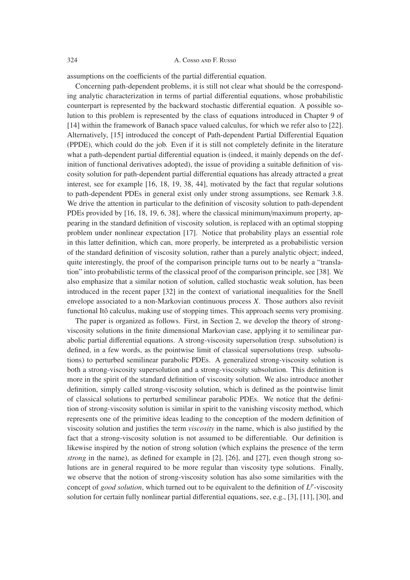assumptions on the coefficients of the partial differential equation.

Concerning path-dependent problems, it is still not clear what should be the corresponding analytic characterization in terms of partial differential equations, whose probabilistic counterpart is represented by the backward stochastic differential equation. A possible solution to this problem is represented by the class of equations introduced in Chapter 9 of [14] within the framework of Banach space valued calculus, for which we refer also to [22]. Alternatively, [15] introduced the concept of Path-dependent Partial Differential Equation (PPDE), which could do the job. Even if it is still not completely definite in the literature what a path-dependent partial differential equation is (indeed, it mainly depends on the definition of functional derivatives adopted), the issue of providing a suitable definition of viscosity solution for path-dependent partial differential equations has already attracted a great interest, see for example [16, 18, 19, 38, 44], motivated by the fact that regular solutions to path-dependent PDEs in general exist only under strong assumptions, see Remark 3.8. We drive the attention in particular to the definition of viscosity solution to path-dependent PDEs provided by [16, 18, 19, 6, 38], where the classical minimum/maximum property, appearing in the standard definition of viscosity solution, is replaced with an optimal stopping problem under nonlinear expectation [17]. Notice that probability plays an essential role in this latter definition, which can, more properly, be interpreted as a probabilistic version of the standard definition of viscosity solution, rather than a purely analytic object; indeed, quite interestingly, the proof of the comparison principle turns out to be nearly a "translation" into probabilistic terms of the classical proof of the comparison principle, see [38]. We also emphasize that a similar notion of solution, called stochastic weak solution, has been introduced in the recent paper [32] in the context of variational inequalities for the Snell envelope associated to a non-Markovian continuous process *X*. Those authors also revisit functional Itô calculus, making use of stopping times. This approach seems very promising.

The paper is organized as follows. First, in Section 2, we develop the theory of strongviscosity solutions in the finite dimensional Markovian case, applying it to semilinear parabolic partial differential equations. A strong-viscosity supersolution (resp. subsolution) is defined, in a few words, as the pointwise limit of classical supersolutions (resp. subsolutions) to perturbed semilinear parabolic PDEs. A generalized strong-viscosity solution is both a strong-viscosity supersolution and a strong-viscosity subsolution. This definition is more in the spirit of the standard definition of viscosity solution. We also introduce another definition, simply called strong-viscosity solution, which is defined as the pointwise limit of classical solutions to perturbed semilinear parabolic PDEs. We notice that the definition of strong-viscosity solution is similar in spirit to the vanishing viscosity method, which represents one of the primitive ideas leading to the conception of the modern definition of viscosity solution and justifies the term *viscosity* in the name, which is also justified by the fact that a strong-viscosity solution is not assumed to be differentiable. Our definition is likewise inspired by the notion of strong solution (which explains the presence of the term *strong* in the name), as defined for example in [2], [26], and [27], even though strong solutions are in general required to be more regular than viscosity type solutions. Finally, we observe that the notion of strong-viscosity solution has also some similarities with the concept of *good solution*, which turned out to be equivalent to the definition of *L<sup>p</sup>*-viscosity solution for certain fully nonlinear partial differential equations, see, e.g., [3], [11], [30], and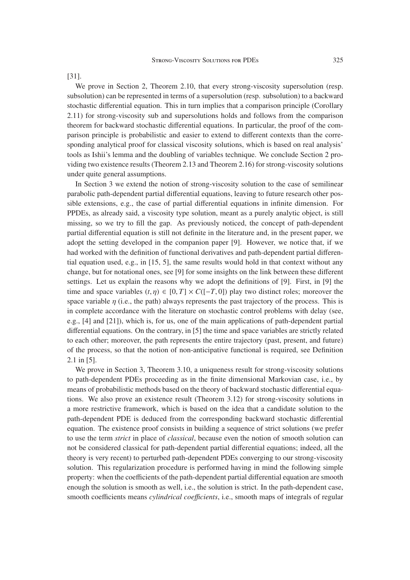We prove in Section 2, Theorem 2.10, that every strong-viscosity supersolution (resp. subsolution) can be represented in terms of a supersolution (resp. subsolution) to a backward stochastic differential equation. This in turn implies that a comparison principle (Corollary 2.11) for strong-viscosity sub and supersolutions holds and follows from the comparison theorem for backward stochastic differential equations. In particular, the proof of the comparison principle is probabilistic and easier to extend to different contexts than the corresponding analytical proof for classical viscosity solutions, which is based on real analysis' tools as Ishii's lemma and the doubling of variables technique. We conclude Section 2 providing two existence results (Theorem 2.13 and Theorem 2.16) for strong-viscosity solutions under quite general assumptions.

In Section 3 we extend the notion of strong-viscosity solution to the case of semilinear parabolic path-dependent partial differential equations, leaving to future research other possible extensions, e.g., the case of partial differential equations in infinite dimension. For PPDEs, as already said, a viscosity type solution, meant as a purely analytic object, is still missing, so we try to fill the gap. As previously noticed, the concept of path-dependent partial differential equation is still not definite in the literature and, in the present paper, we adopt the setting developed in the companion paper [9]. However, we notice that, if we had worked with the definition of functional derivatives and path-dependent partial differential equation used, e.g., in  $[15, 5]$ , the same results would hold in that context without any change, but for notational ones, see [9] for some insights on the link between these different settings. Let us explain the reasons why we adopt the definitions of [9]. First, in [9] the time and space variables  $(t, \eta) \in [0, T] \times C([-T, 0])$  play two distinct roles; moreover the space variable  $\eta$  (i.e., the path) always represents the past trajectory of the process. This is in complete accordance with the literature on stochastic control problems with delay (see, e.g., [4] and [21]), which is, for us, one of the main applications of path-dependent partial differential equations. On the contrary, in [5] the time and space variables are strictly related to each other; moreover, the path represents the entire trajectory (past, present, and future) of the process, so that the notion of non-anticipative functional is required, see Definition 2.1 in [5].

We prove in Section 3, Theorem 3.10, a uniqueness result for strong-viscosity solutions to path-dependent PDEs proceeding as in the finite dimensional Markovian case, i.e., by means of probabilistic methods based on the theory of backward stochastic differential equations. We also prove an existence result (Theorem 3.12) for strong-viscosity solutions in a more restrictive framework, which is based on the idea that a candidate solution to the path-dependent PDE is deduced from the corresponding backward stochastic differential equation. The existence proof consists in building a sequence of strict solutions (we prefer to use the term *strict* in place of *classical*, because even the notion of smooth solution can not be considered classical for path-dependent partial differential equations; indeed, all the theory is very recent) to perturbed path-dependent PDEs converging to our strong-viscosity solution. This regularization procedure is performed having in mind the following simple property: when the coefficients of the path-dependent partial differential equation are smooth enough the solution is smooth as well, i.e., the solution is strict. In the path-dependent case, smooth coefficients means *cylindrical coefficients*, *i.e.*, smooth maps of integrals of regular

### [31].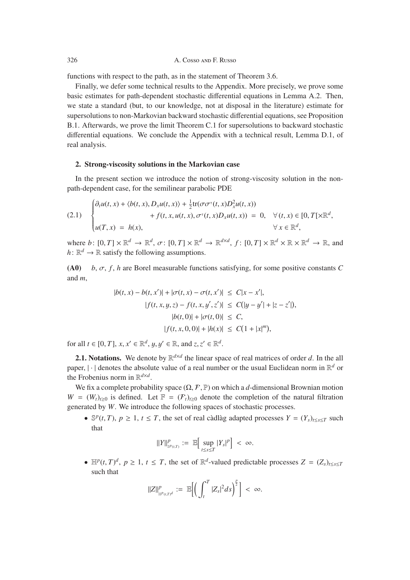functions with respect to the path, as in the statement of Theorem 3.6.

Finally, we defer some technical results to the Appendix. More precisely, we prove some basic estimates for path-dependent stochastic differential equations in Lemma A.2. Then, we state a standard (but, to our knowledge, not at disposal in the literature) estimate for supersolutions to non-Markovian backward stochastic differential equations, see Proposition B.1. Afterwards, we prove the limit Theorem C.1 for supersolutions to backward stochastic differential equations. We conclude the Appendix with a technical result, Lemma D.1, of real analysis.

# 2. Strong-viscosity solutions in the Markovian case

In the present section we introduce the notion of strong-viscosity solution in the nonpath-dependent case, for the semilinear parabolic PDE

(2.1) 
$$
\begin{cases} \partial_t u(t,x) + \langle b(t,x), D_x u(t,x) \rangle + \frac{1}{2} \text{tr}(\sigma \sigma^{\text{T}}(t,x) D_x^2 u(t,x)) \\ + f(t,x, u(t,x), \sigma^{\text{T}}(t,x) D_x u(t,x)) = 0, \quad \forall (t,x) \in [0,T[ \times \mathbb{R}^d, \\ u(T,x) = h(x), \qquad \forall x \in \mathbb{R}^d, \end{cases}
$$

where  $b: [0, T] \times \mathbb{R}^d \to \mathbb{R}^d$ ,  $\sigma: [0, T] \times \mathbb{R}^d \to \mathbb{R}^{d \times d}$ ,  $f: [0, T] \times \mathbb{R}^d \times \mathbb{R} \times \mathbb{R}^d \to \mathbb{R}$ , and  $h: \mathbb{R}^d \to \mathbb{R}$  satisfy the following assumptions.

(A0) *<sup>b</sup>*, σ, *<sup>f</sup>* , *<sup>h</sup>* are Borel measurable functions satisfying, for some positive constants *<sup>C</sup>* and *m*,

$$
|b(t, x) - b(t, x')| + |\sigma(t, x) - \sigma(t, x')| \le C|x - x'|,
$$
  
\n
$$
|f(t, x, y, z) - f(t, x, y', z')| \le C(|y - y'| + |z - z'|),
$$
  
\n
$$
|b(t, 0)| + |\sigma(t, 0)| \le C,
$$
  
\n
$$
|f(t, x, 0, 0)| + |h(x)| \le C(1 + |x|^m),
$$

for all  $t \in [0, T]$ ,  $x, x' \in \mathbb{R}^d$ ,  $y, y' \in \mathbb{R}$ , and  $z, z' \in \mathbb{R}^d$ .

**2.1. Notations.** We denote by  $\mathbb{R}^{d \times d}$  the linear space of real matrices of order *d*. In the all paper,  $|\cdot|$  denotes the absolute value of a real number or the usual Euclidean norm in  $\mathbb{R}^d$  or the Frobenius norm in R*<sup>d</sup>*×*<sup>d</sup>*.

We fix a complete probability space  $(\Omega, \mathcal{F}, \mathbb{P})$  on which a *d*-dimensional Brownian motion  $W = (W_t)_{t>0}$  is defined. Let  $\mathbb{F} = (\mathcal{F}_t)_{t>0}$  denote the completion of the natural filtration generated by *W*. We introduce the following spaces of stochastic processes.

•  $\mathbb{S}^p(t,T)$ ,  $p \geq 1$ ,  $t \leq T$ , the set of real càdlàg adapted processes  $Y = (Y_s)_{t \leq s \leq T}$  such that

$$
||Y||_{s^{p}(t,T)}^{p} := \mathbb{E}\Big[\sup_{t\leq s\leq T} |Y_{s}|^{p}\Big] < \infty.
$$

•  $\mathbb{H}^p(t, T)^d$ ,  $p \ge 1$ ,  $t \le T$ , the set of  $\mathbb{R}^d$ -valued predictable processes  $Z = (Z_s)_{t \le s \le T}$ such that

$$
\|Z\|_{\mathbb{H}^p(t,T)^d}^p := \mathbb{E}\bigg[\bigg(\int_t^T |Z_s|^2 ds\bigg)^{\frac{p}{2}}\bigg] < \infty.
$$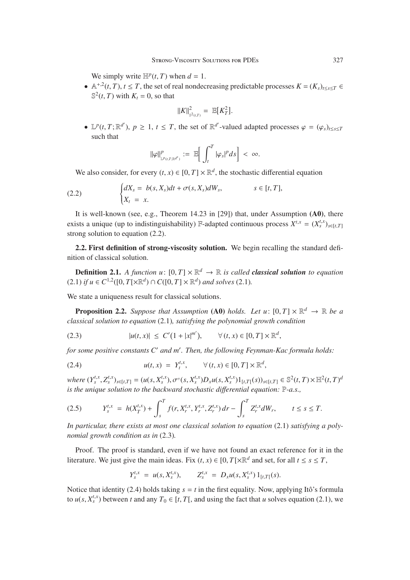We simply write  $\mathbb{H}^p(t, T)$  when  $d = 1$ .

•  $\mathbb{A}^{+,2}(t,T)$ ,  $t \leq T$ , the set of real nondecreasing predictable processes  $K = (K_s)_{t \leq s \leq T}$  $\mathbb{S}^2(t, T)$  with  $K_t = 0$ , so that

$$
||K||_{\mathbb{S}^2(t,T)}^2 = \mathbb{E}[K_T^2].
$$

•  $\mathbb{L}^p(t, T; \mathbb{R}^{d'})$ ,  $p \ge 1$ ,  $t \le T$ , the set of  $\mathbb{R}^{d'}$ -valued adapted processes  $\varphi = (\varphi_s)_{t \le s \le T}$ such that

$$
\|\varphi\|_{\mathbb{L}^{p}(t,T;\mathbb{R}^{d'})}^p := \mathbb{E}\Big[\int_t^T |\varphi_s|^p ds\Big] < \infty.
$$

We also consider, for every  $(t, x) \in [0, T] \times \mathbb{R}^d$ , the stochastic differential equation

(2.2) 
$$
\begin{cases} dX_s = b(s, X_s)dt + \sigma(s, X_s)dW_s, & s \in [t, T], \\ X_t = x. \end{cases}
$$

It is well-known (see, e.g., Theorem 14.23 in [29]) that, under Assumption (A0), there exists a unique (up to indistinguishability) F-adapted continuous process  $X^{t,x} = (X^{t,x}_s)_{s \in [t,T]}$ strong solution to equation  $(2.2)$ .

2.2. First definition of strong-viscosity solution. We begin recalling the standard definition of classical solution.

**Definition 2.1.** A function  $u: [0, T] \times \mathbb{R}^d \to \mathbb{R}$  is called **classical solution** to equation  $(2.1)$  *if*  $u \in C^{1,2}([0, T[ \times \mathbb{R}^d) \cap C([0, T] \times \mathbb{R}^d)$  *and solves* (2.1)*.* 

We state a uniqueness result for classical solutions.

**Proposition 2.2.** *Suppose that Assumption* (A0) *holds.* Let  $u: [0, T] \times \mathbb{R}^d \rightarrow \mathbb{R}$  be a *classical solution to equation* (2.1)*, satisfying the polynomial growth condition*

(2.3) 
$$
|u(t, x)| \le C'(1 + |x|^{m'}), \qquad \forall (t, x) \in [0, T] \times \mathbb{R}^d,
$$

*for some positive constants C and m . Then, the following Feynman-Kac formula holds:*

(2.4) 
$$
u(t, x) = Y_t^{t, x}, \quad \forall (t, x) \in [0, T] \times \mathbb{R}^d
$$

where  $(Y_s^{t,x}, Z_s^{t,x})_{s \in [t,T]} = (u(s, X_s^{t,x}), \sigma^{\tau}(s, X_s^{t,x})D_xu(s, X_s^{t,x})1_{[t,T]}(s))_{s \in [t,T]} \in \mathbb{S}^2(t,T) \times \mathbb{H}^2(t,T)^d$ <br>is the unique solution to the hackward stochastic differential equation:  $\mathbb{R}^d$  as *is the unique solution to the backward stochastic di*ff*erential equation:* P*-a.s.,*

$$
(2.5) \t Y_s^{t,x} = h(X_T^{t,x}) + \int_s^T f(r, X_r^{t,x}, Y_r^{t,x}, Z_r^{t,x}) dr - \int_s^T Z_r^{t,x} dW_r, \t t \le s \le T.
$$

*In particular, there exists at most one classical solution to equation* (2.1) *satisfying a polynomial growth condition as in* (2.3)*.*

Proof. The proof is standard, even if we have not found an exact reference for it in the literature. We just give the main ideas. Fix  $(t, x) \in [0, T] \times \mathbb{R}^d$  and set, for all  $t \le s \le T$ ,

$$
Y_s^{t,x} = u(s, X_s^{t,x}), \qquad Z_s^{t,x} = D_x u(s, X_s^{t,x}) 1_{[t,T[}(s).
$$

Notice that identity (2.4) holds taking  $s = t$  in the first equality. Now, applying Itô's formula to  $u(s, X_s^{t,x})$  between *t* and any  $T_0 \in [t, T]$ , and using the fact that *u* solves equation (2.1), we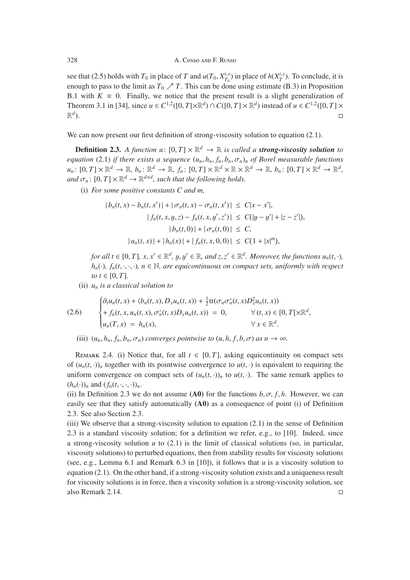see that (2.5) holds with  $T_0$  in place of *T* and  $u(T_0, X_{T_0}^{t,x})$  in place of  $h(X_T^{t,x})$ . To conclude, it is appear to pass to the limit as  $T_1$ ,  $\lambda T$ . This can be done using astimate (B, 3) in Proposition enough to pass to the limit as  $T_0 \nearrow T$ . This can be done using estimate (B.3) in Proposition B.1 with  $K \equiv 0$ . Finally, we notice that the present result is a slight generalization of Theorem 3.1 in [34], since *u* ∈ *C*<sup>1,2</sup>([0, *T*[× $\mathbb{R}^d$ ) ∩ *C*([0, *T*] ×  $\mathbb{R}^d$ ) instead of *u* ∈ *C*<sup>1,2</sup>([0, *T*] ×  $\mathbb{R}^d$ ).  $\mathbb{R}^d$ ).

We can now present our first definition of strong-viscosity solution to equation (2.1).

**Definition 2.3.** A function  $u: [0, T] \times \mathbb{R}^d \to \mathbb{R}$  is called a **strong-viscosity solution** to *equation* (2.1) *if there exists a sequence*  $(u_n, h_n, f_n, b_n, \sigma_n)_n$  *of Borel measurable functions*  $u_n: [0, T] \times \mathbb{R}^d \to \mathbb{R}, h_n: \mathbb{R}^d \to \mathbb{R}, f_n: [0, T] \times \mathbb{R}^d \times \mathbb{R} \times \mathbb{R}^d \to \mathbb{R}, b_n: [0, T] \times \mathbb{R}^d \to \mathbb{R}^d,$ *and*  $\sigma_n$ :  $[0, T] \times \mathbb{R}^d \rightarrow \mathbb{R}^{d \times d}$ , such that the following holds.

(i) *For some positive constants C and m,*

$$
|b_n(t, x) - b_n(t, x')| + |\sigma_n(t, x) - \sigma_n(t, x')| \le C|x - x'|,
$$
  
\n
$$
|f_n(t, x, y, z) - f_n(t, x, y', z')| \le C(|y - y'| + |z - z'|),
$$
  
\n
$$
|b_n(t, 0)| + |\sigma_n(t, 0)| \le C,
$$
  
\n
$$
|u_n(t, x)| + |h_n(x)| + |f_n(t, x, 0, 0)| \le C(1 + |x|^m),
$$

*for all t* ∈ [0, *T*]*, x, x'* ∈  $\mathbb{R}^d$ *, y, y'* ∈  $\mathbb{R}$ *, and z, z'* ∈  $\mathbb{R}^d$ *. Moreover, the functions*  $u_n(t, \cdot)$ *,*  $h_n(\cdot)$ ,  $f_n(t, \cdot, \cdot, \cdot)$ ,  $n \in \mathbb{N}$ , are equicontinuous on compact sets, uniformly with respect *to*  $t \in [0, T]$ *.* 

(ii) *un is a classical solution to*

(2.6) 
$$
\begin{cases} \partial_t u_n(t,x) + \langle b_n(t,x), D_x u_n(t,x) \rangle + \frac{1}{2} \text{tr}(\sigma_n \sigma_n^{\tau}(t,x) D_x^2 u_n(t,x)) \\ + f_n(t,x, u_n(t,x), \sigma_n^{\tau}(t,x) D_x u_n(t,x)) = 0, & \forall (t,x) \in [0, T[\times \mathbb{R}^d, \\ u_n(T,x) = h_n(x), & \forall x \in \mathbb{R}^d. \end{cases}
$$

(iii)  $(u_n, h_n, f_n, b_n, \sigma_n)$  *converges pointwise to*  $(u, h, f, b, \sigma)$  *as*  $n \to \infty$ *.* 

REMARK 2.4. (i) Notice that, for all  $t \in [0, T]$ , asking equicontinuity on compact sets of  $(u_n(t, \cdot))_n$  together with its pointwise convergence to  $u(t, \cdot)$  is equivalent to requiring the uniform convergence on compact sets of  $(u_n(t, \cdot))_n$  to  $u(t, \cdot)$ . The same remark applies to  $(h_n(\cdot))_n$  and  $(f_n(t, \cdot, \cdot, \cdot))_n$ .

(ii) In Definition 2.3 we do not assume  $(A0)$  for the functions  $b, \sigma, f, h$ . However, we can easily see that they satisfy automatically (A0) as a consequence of point (i) of Definition 2.3. See also Section 2.3.

(iii) We observe that a strong-viscosity solution to equation  $(2.1)$  in the sense of Definition 2.3 is a standard viscosity solution; for a definition we refer, e.g., to [10]. Indeed, since a strong-viscosity solution *u* to (2.1) is the limit of classical solutions (so, in particular, viscosity solutions) to perturbed equations, then from stability results for viscosity solutions (see, e.g., Lemma 6.1 and Remark 6.3 in [10]), it follows that *u* is a viscosity solution to equation (2.1). On the other hand, if a strong-viscosity solution exists and a uniqueness result for viscosity solutions is in force, then a viscosity solution is a strong-viscosity solution, see also Remark 2.14.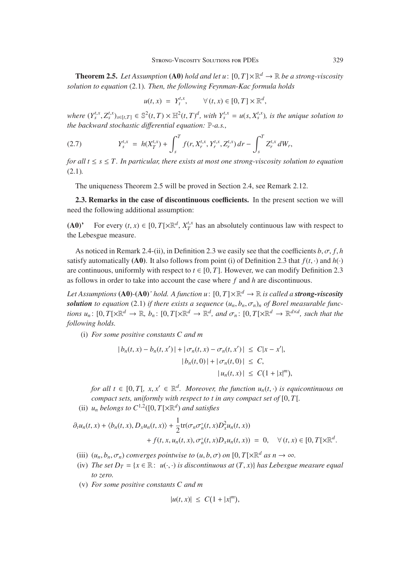**Theorem 2.5.** Let Assumption (A0) hold and let  $u: [0, T] \times \mathbb{R}^d \to \mathbb{R}$  be a strong-viscosity *solution to equation* (2.1)*. Then, the following Feynman-Kac formula holds*

$$
u(t,x) = Y_t^{t,x}, \qquad \forall (t,x) \in [0,T] \times \mathbb{R}^d,
$$

where  $(Y_s^{t,x}, Z_s^{t,x})_{s \in [t,T]} \in \mathbb{S}^2(t,T) \times \mathbb{H}^2(t,T)^d$ , with  $Y_s^{t,x} = u(s, X_s^{t,x})$ , is the unique solution to the hackward stochastic differential equation  $\mathbb{R} \times \mathbb{R}$ *the backward stochastic di*ff*erential equation:* P*-a.s.,*

(2.7) 
$$
Y_s^{t,x} = h(X_T^{t,x}) + \int_s^T f(r, X_r^{t,x}, Y_r^{t,x}, Z_r^{t,x}) dr - \int_s^T Z_r^{t,x} dW_r,
$$

*for all*  $t \leq s \leq T$ *. In particular, there exists at most one strong-viscosity solution to equation* (2.1)*.*

The uniqueness Theorem 2.5 will be proved in Section 2.4, see Remark 2.12.

2.3. Remarks in the case of discontinuous coefficients. In the present section we will need the following additional assumption:

(A0)<sup>'</sup> For every  $(t, x) \in [0, T[\times \mathbb{R}^d, X_T^{t,x}]$  has an absolutely continuous law with respect to the Lebesgue measure. the Lebesgue measure.

As noticed in Remark 2.4-(ii), in Definition 2.3 we easily see that the coefficients  $b, \sigma, f, h$ satisfy automatically (A0). It also follows from point (i) of Definition 2.3 that  $f(t, \cdot)$  and  $h(\cdot)$ are continuous, uniformly with respect to  $t \in [0, T]$ . However, we can modify Definition 2.3 as follows in order to take into account the case where *f* and *h* are discontinuous.

*Let Assumptions* (A0)-(A0)' hold. A function  $u: [0, T] \times \mathbb{R}^d \to \mathbb{R}$  is called a *strong-viscosity solution to equation* (2.1) *if there exists a sequence*  $(u_n, b_n, \sigma_n)_n$  *of Borel measurable functions*  $u_n$ :  $[0, T] \times \mathbb{R}^d \to \mathbb{R}$ ,  $b_n$ :  $[0, T] \times \mathbb{R}^d \to \mathbb{R}^d$ , and  $\sigma_n$ :  $[0, T] \times \mathbb{R}^d \to \mathbb{R}^{d \times d}$ , such that the *following holds.*

(i) *For some positive constants C and m*

$$
|b_n(t, x) - b_n(t, x')| + |\sigma_n(t, x) - \sigma_n(t, x')| \le C|x - x'|,
$$
  
\n
$$
|b_n(t, 0)| + |\sigma_n(t, 0)| \le C,
$$
  
\n
$$
|u_n(t, x)| \le C(1 + |x|^m),
$$

*for all t*  $\in$  [0, *T*[*, x, x'*  $\in \mathbb{R}^d$ *. Moreover, the function u<sub>n</sub>(t, ·) is equicontinuous on compact sets, uniformly with respect to t in any compact set of* [0, *<sup>T</sup>*[*.*

(ii)  $u_n$  *belongs to*  $C^{1,2}([0,T[\times \mathbb{R}^d)]$  *and satisfies* 

$$
\partial_t u_n(t, x) + \langle b_n(t, x), D_x u_n(t, x) \rangle + \frac{1}{2} \text{tr}(\sigma_n \sigma_n^{\top}(t, x) D_x^2 u_n(t, x)) + f(t, x, u_n(t, x), \sigma_n^{\top}(t, x) D_x u_n(t, x)) = 0, \quad \forall (t, x) \in [0, T[ \times \mathbb{R}^d].
$$

- (iii)  $(u_n, b_n, \sigma_n)$  *converges pointwise to*  $(u, b, \sigma)$  *on*  $[0, T] \times \mathbb{R}^d$  *as*  $n \to \infty$ *.*
- (iv) *The set*  $D_T = \{x \in \mathbb{R} : u(\cdot, \cdot)$  *is discontinuous at*  $(T, x)$  *has Lebesgue measure equal to zero.*
- (v) *For some positive constants C and m*

$$
|u(t,x)| \leq C(1+|x|^m),
$$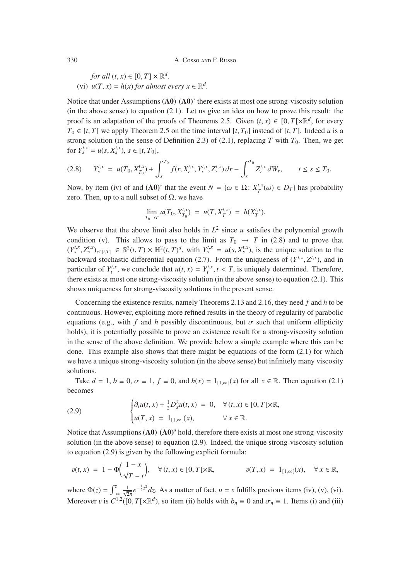*for all*  $(t, x) \in [0, T] \times \mathbb{R}^d$ . (vi)  $u(T, x) = h(x)$  *for almost every*  $x \in \mathbb{R}^d$ .

Notice that under Assumptions (A0)-(A0)' there exists at most one strong-viscosity solution (in the above sense) to equation (2.1). Let us give an idea on how to prove this result: the proof is an adaptation of the proofs of Theorems 2.5. Given  $(t, x) \in [0, T] \times \mathbb{R}^d$ , for every  $T_0 \in [t, T]$  we apply Theorem 2.5 on the time interval  $[t, T_0]$  instead of  $[t, T]$ . Indeed *u* is a strong solution (in the sense of Definition 2.3) of (2.1), replacing *T* with  $T_0$ . Then, we get for  $Y_s^{t,x} = u(s, X_s^{t,x})$ ,  $s \in [t, T_0]$ ,

$$
(2.8) \tY_s^{t,x} = u(T_0, X_{T_0}^{t,x}) + \int_s^{T_0} f(r, X_r^{t,x}, Y_r^{t,x}, Z_r^{t,x}) dr - \int_s^{T_0} Z_r^{t,x} dW_r, \t t \leq s \leq T_0.
$$

Now, by item (iv) of and (A0)' that the event  $N = {\omega \in \Omega : X_T^{t,x}(\omega) \in D_T}$  has probability zero. Then, up to a null subset of  $Ω$ , we have

$$
\lim_{T_0 \to T} u(T_0, X_{T_0}^{t,x}) = u(T, X_T^{t,x}) = h(X_T^{t,x}).
$$

We observe that the above limit also holds in  $L^2$  since  $u$  satisfies the polynomial growth condition (v). This allows to pass to the limit as  $T_0 \rightarrow T$  in (2.8) and to prove that  $(Y_s^{t,x}, Z_s^{t,x})_{s \in [t,T]} \in \mathbb{S}^2(t,T) \times \mathbb{H}^2(t,T)^d$ , with  $Y_s^{t,x} = u(s, X_s^{t,x})$ , is the unique solution to the hockward stochastic differential equation (2.7). From the uniqueness of  $(Y_t^{t,x}, Z_t^{t,x})$  and in backward stochastic differential equation (2.7). From the uniqueness of  $(Y^{t,x}, Z^{t,x})$ , and in<br>particular of  $Y^{t,x}$ , we conclude that  $y(t, x) = Y^{t,x}$ ,  $t \leq T$  is uniquely determined. Therefore, particular of  $Y_t^{t,x}$ , we conclude that  $u(t, x) = Y_t^{t,x}$ ,  $t < T$ , is uniquely determined. Therefore, there exists at most one strong viscosity solution (in the above sense) to equation (2.1). This there exists at most one strong-viscosity solution (in the above sense) to equation (2.1). This shows uniqueness for strong-viscosity solutions in the present sense.

Concerning the existence results, namely Theorems 2.13 and 2.16, they need *f* and *h* to be continuous. However, exploiting more refined results in the theory of regularity of parabolic equations (e.g., with f and h possibly discontinuous, but  $\sigma$  such that uniform ellipticity holds), it is potentially possible to prove an existence result for a strong-viscosity solution in the sense of the above definition. We provide below a simple example where this can be done. This example also shows that there might be equations of the form (2.1) for which we have a unique strong-viscosity solution (in the above sense) but infinitely many viscosity solutions.

Take  $d = 1$ ,  $b \equiv 0$ ,  $\sigma \equiv 1$ ,  $f \equiv 0$ , and  $h(x) = 1$ <sub>[1,∞[</sub>(x) for all  $x \in \mathbb{R}$ . Then equation (2.1) becomes

(2.9) 
$$
\begin{cases} \partial_t u(t, x) + \frac{1}{2} D_x^2 u(t, x) = 0, & \forall (t, x) \in [0, T[ \times \mathbb{R}, \\ u(T, x) = 1_{[1, \infty[}(x), & \forall x \in \mathbb{R}. \end{cases}
$$

Notice that Assumptions  $(A0)$ - $(A0)$ <sup>'</sup> hold, therefore there exists at most one strong-viscosity solution (in the above sense) to equation (2.9). Indeed, the unique strong-viscosity solution to equation (2.9) is given by the following explicit formula:

$$
v(t,x) = 1 - \Phi\left(\frac{1-x}{\sqrt{T-t}}\right), \quad \forall (t,x) \in [0,T[\times \mathbb{R}, \quad v(T,x) = 1_{[1,\infty[}(x), \quad \forall x \in \mathbb{R},
$$

where  $\Phi(z) = \int_{-\infty}^{z}$  $\frac{1}{\sqrt{2\pi}}e^{-\frac{1}{2}z^2}dz$ . As a matter of fact, *u* = *v* fulfills previous items (iv), (v), (vi). Moreover *v* is  $C^{1,2}([0, T[\times \mathbb{R}^d))$ , so item (ii) holds with  $b_n \equiv 0$  and  $\sigma_n \equiv 1$ . Items (i) and (iii)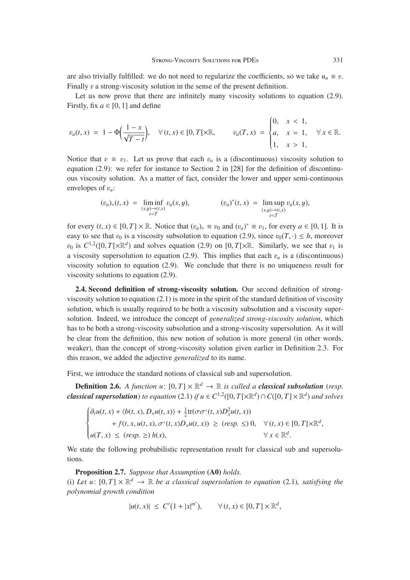are also trivially fulfilled: we do not need to regularize the coefficients, so we take  $u_n \equiv v$ . Finally v a strong-viscosity solution in the sense of the present definition.

Let us now prove that there are infinitely many viscosity solutions to equation (2.9). Firstly, fix  $a \in [0, 1]$  and define

$$
v_a(t,x) = 1 - \Phi\left(\frac{1-x}{\sqrt{T-t}}\right), \quad \forall (t,x) \in [0,T[\times \mathbb{R}, \quad v_a(T,x) = \begin{cases} 0, & x < 1, \\ a, & x = 1, \\ 1, & x > 1, \end{cases} \forall x \in \mathbb{R}.
$$

Notice that  $v \equiv v_1$ . Let us prove that each  $v_a$  is a (discontinuous) viscosity solution to equation (2.9): we refer for instance to Section 2 in [28] for the definition of discontinuous viscosity solution. As a matter of fact, consider the lower and upper semi-continuous envelopes of <sup>v</sup>*<sup>a</sup>*:

$$
(v_a)_*(t,x) = \liminf_{\substack{(s,y)\to(t,x)\\s
$$

for every  $(t, x) \in [0, T] \times \mathbb{R}$ . Notice that  $(v_a)_* \equiv v_0$  and  $(v_a)^* \equiv v_1$ , for every  $a \in [0, 1]$ . It is easy to see that  $v_0$  is a viscosity subsolution to equation (2.9), since  $v_0(T, \cdot) \leq h$ , moreover  $v_0$  is  $C^{1,2}([0,T[\times \mathbb{R}^d])$  and solves equation (2.9) on [0,  $T[\times \mathbb{R}]$ . Similarly, we see that  $v_1$  is a viscosity supersolution to equation (2.9). This implies that each  $v_a$  is a (discontinuous) viscosity solution to equation (2.9). We conclude that there is no uniqueness result for viscosity solutions to equation (2.9).

2.4. Second definition of strong-viscosity solution. Our second definition of strongviscosity solution to equation (2.1) is more in the spirit of the standard definition of viscosity solution, which is usually required to be both a viscosity subsolution and a viscosity supersolution. Indeed, we introduce the concept of *generalized strong-viscosity solution*, which has to be both a strong-viscosity subsolution and a strong-viscosity supersolution. As it will be clear from the definition, this new notion of solution is more general (in other words, weaker), than the concept of strong-viscosity solution given earlier in Definition 2.3. For this reason, we added the adjective *generalized* to its name.

First, we introduce the standard notions of classical sub and supersolution.

**Definition 2.6.** *A function u*:  $[0, T] \times \mathbb{R}^d \rightarrow \mathbb{R}$  *is called a classical subsolution (resp. classical supersolution*) *to equation* (2.1) *if*  $u \in C^{1,2}([0,T] \times \mathbb{R}^d) \cap C([0,T] \times \mathbb{R}^d)$  and solves

$$
\begin{cases} \partial_t u(t, x) + \langle b(t, x), D_x u(t, x) \rangle + \frac{1}{2} \text{tr}(\sigma \sigma^{\text{T}}(t, x) D_x^2 u(t, x)) \\ \qquad + f(t, x, u(t, x), \sigma^{\text{T}}(t, x) D_x u(t, x)) \ge (resp. \le) 0, \quad \forall (t, x) \in [0, T[ \times \mathbb{R}^d, \\ u(T, x) \le (resp. \ge) h(x), \qquad \forall x \in \mathbb{R}^d. \end{cases}
$$

We state the following probabilistic representation result for classical sub and supersolutions.

Proposition 2.7. *Suppose that Assumption* (A0) *holds.*

(i) Let u:  $[0, T] \times \mathbb{R}^d \rightarrow \mathbb{R}$  be a classical supersolution to equation (2.1)*,* satisfying the *polynomial growth condition*

$$
|u(t,x)| \leq C'(1+|x|^{m'}), \qquad \forall (t,x) \in [0,T] \times \mathbb{R}^d,
$$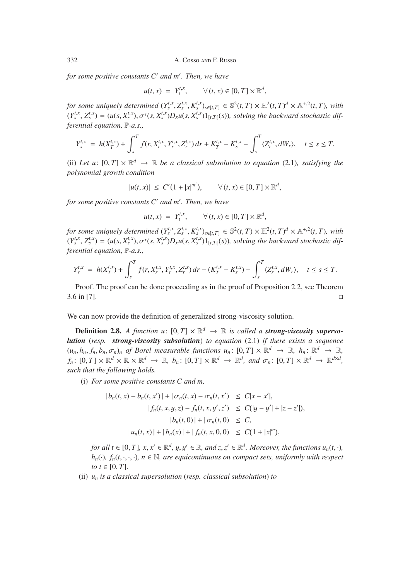*for some positive constants C and m . Then, we have*

$$
u(t,x) = Y_t^{t,x}, \qquad \forall (t,x) \in [0,T] \times \mathbb{R}^d,
$$

for some uniquely determined  $(Y_s^{t,x}, Z_s^{t,x}, K_s^{t,x})_{s \in [t,T]} \in \mathbb{S}^2(t,T) \times \mathbb{H}^2(t,T)^d \times \mathbb{A}^{+,2}(t,T)$ , with  $(Y_s^{t,x}, Z_s^{t,x}) = (y(s, Y_s^{t,x}) \times \mathbb{H}^2(t,T), y(s, Y_s^{t,x}) \times \mathbb{H}^2(t,T))$ , where the hadronic differential differential differen  $(Y_s^{t,x}, Z_s^{t,x}) = (u(s, X_s^{t,x}), \sigma^{\tau}(s, X_s^{t,x})D_xu(s, X_s^{t,x})1_{[t,T]}(s))$ , solving the backward stochastic dif-<br>favorial equation  $\mathbb{R}^n$  as *ferential equation,* P*-a.s.,*

$$
Y_s^{t,x} = h(X_T^{t,x}) + \int_s^T f(r, X_r^{t,x}, Y_r^{t,x}, Z_r^{t,x}) dr + K_T^{t,x} - K_s^{t,x} - \int_s^T \langle Z_r^{t,x}, dW_r \rangle, \quad t \le s \le T.
$$

(ii) Let u:  $[0, T] \times \mathbb{R}^d \rightarrow \mathbb{R}$  be a classical subsolution to equation (2.1)*,* satisfying the *polynomial growth condition*

$$
|u(t,x)| \leq C'(1+|x|^{m'}), \qquad \forall (t,x) \in [0,T] \times \mathbb{R}^d,
$$

*for some positive constants C and m . Then, we have*

$$
u(t,x) = Y_t^{t,x}, \qquad \forall (t,x) \in [0,T] \times \mathbb{R}^d,
$$

for some uniquely determined  $(Y_s^{t,x}, Z_s^{t,x}, K_s^{t,x})_{s \in [t,T]} \in \mathbb{S}^2(t,T) \times \mathbb{H}^2(t,T)^d \times \mathbb{A}^{+,2}(t,T)$ , with  $(Y_s^{t,x}, Z_s^{t,x}) = (y(s, Y_s^{t,x}) \times \mathbb{H}^2(t,T) \times \mathbb{A}^d(t))$  solving the hadroged stochastic dif  $(Y_s^{t,x}, Z_s^{t,x}) = (u(s, X_s^{t,x}), \sigma^{\tau}(s, X_s^{t,x})D_xu(s, X_s^{t,x})1_{[t,T]}(s))$ , solving the backward stochastic dif-<br>farantial equation  $\mathbb{R}^d$  as *ferential equation,* P*-a.s.,*

$$
Y_s^{t,x} = h(X_T^{t,x}) + \int_s^T f(r, X_r^{t,x}, Y_r^{t,x}, Z_r^{t,x}) dr - (K_T^{t,x} - K_s^{t,x}) - \int_s^T \langle Z_r^{t,x}, dW_r \rangle, \quad t \le s \le T.
$$

Proof. The proof can be done proceeding as in the proof of Proposition 2.2, see Theorem  $3.6 \text{ in } [7]$ .

We can now provide the definition of generalized strong-viscosity solution.

**Definition 2.8.** *A function*  $u: [0, T] \times \mathbb{R}^d \rightarrow \mathbb{R}$  *is called a strong-viscosity supersolution* (*resp. strong-viscosity subsolution*) *to equation* (2.1) *if there exists a sequence*  $(u_n, h_n, f_n, b_n, \sigma_n)_n$  of Borel measurable functions  $u_n: [0, T] \times \mathbb{R}^d \to \mathbb{R}$ ,  $h_n: \mathbb{R}^d \to \mathbb{R}$ ,  $f_n: [0, T] \times \mathbb{R}^d \times \mathbb{R} \times \mathbb{R}^d \to \mathbb{R}$ ,  $b_n: [0, T] \times \mathbb{R}^d \to \mathbb{R}^d$ , and  $\sigma_n: [0, T] \times \mathbb{R}^d \to \mathbb{R}^{d \times d}$ , *such that the following holds.*

(i) *For some positive constants C and m,*

$$
|b_n(t, x) - b_n(t, x')| + |\sigma_n(t, x) - \sigma_n(t, x')| \le C|x - x'|,
$$
  
\n
$$
|f_n(t, x, y, z) - f_n(t, x, y', z')| \le C(|y - y'| + |z - z'|),
$$
  
\n
$$
|b_n(t, 0)| + |\sigma_n(t, 0)| \le C,
$$
  
\n
$$
|u_n(t, x)| + |h_n(x)| + |f_n(t, x, 0, 0)| \le C(1 + |x|^m),
$$

*for all t*  $\in$  [0, *T*]*, x, x'*  $\in \mathbb{R}^d$ *, y, y'*  $\in \mathbb{R}$ *, and z, z'*  $\in \mathbb{R}^d$ *. Moreover, the functions u<sub>n</sub>(t, ·),*  $h_n(\cdot)$ ,  $f_n(t, \cdot, \cdot, \cdot)$ ,  $n \in \mathbb{N}$ , are equicontinuous on compact sets, uniformly with respect *to*  $t \in [0, T]$ *.* 

(ii) *un is a classical supersolution* (*resp. classical subsolution*) *to*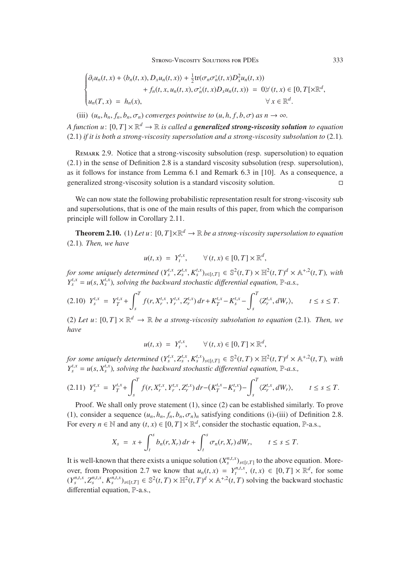$$
\begin{cases} \partial_t u_n(t,x) + \langle b_n(t,x), D_x u_n(t,x) \rangle + \frac{1}{2} \text{tr}(\sigma_n \sigma_n^{\scriptscriptstyle \top}(t,x) D_x^2 u_n(t,x)) \\qquad \qquad + f_n(t,x, u_n(t,x), \sigma_n^{\scriptscriptstyle \top}(t,x) D_x u_n(t,x)) = 0, \forall (t,x) \in [0,T[ \times \mathbb{R}^d, \\ u_n(T,x) = h_n(x), \qquad \qquad \forall x \in \mathbb{R}^d. \end{cases}
$$

(iii)  $(u_n, h_n, f_n, b_n, \sigma_n)$  *converges pointwise to*  $(u, h, f, b, \sigma)$  *as*  $n \to \infty$ *. A function u*:  $[0, T] \times \mathbb{R}^d \rightarrow \mathbb{R}$  *is called a generalized strong-viscosity solution to equation* (2.1) *if it is both a strong-viscosity supersolution and a strong-viscosity subsolution to* (2.1)*.*

Remark 2.9. Notice that a strong-viscosity subsolution (resp. supersolution) to equation (2.1) in the sense of Definition 2.8 is a standard viscosity subsolution (resp. supersolution), as it follows for instance from Lemma 6.1 and Remark 6.3 in [10]. As a consequence, a generalized strong-viscosity solution is a standard viscosity solution.

We can now state the following probabilistic representation result for strong-viscosity sub and supersolutions, that is one of the main results of this paper, from which the comparison principle will follow in Corollary 2.11.

**Theorem 2.10.** (1) Let  $u: [0, T] \times \mathbb{R}^d \to \mathbb{R}$  be a strong-viscosity supersolution to equation (2.1)*. Then, we have*

$$
u(t,x) = Y_t^{t,x}, \qquad \forall (t,x) \in [0,T] \times \mathbb{R}^d,
$$

for some uniquely determined  $(Y_s^{t,x}, Z_s^{t,x}, K_s^{t,x})_{s \in [t,T]} \in \mathbb{S}^2(t,T) \times \mathbb{H}^2(t,T)^d \times \mathbb{A}^{+,2}(t,T)$ , with  $V_{t,x}^{t,x} = v(s, V_{t,x}^{t,x})$ , solving the hackward stochastic differential equation  $\mathbb{R}^d$  as  $Y_s^{t,x} = u(s, X_s^{t,x})$ *, solving the backward stochastic differential equation,* P-*a.s.,* 

$$
(2.10) \ \ Y_{s}^{t,x} = Y_{T}^{t,x} + \int_{s}^{T} f(r, X_{r}^{t,x}, Y_{r}^{t,x}, Z_{r}^{t,x}) \, dr + K_{T}^{t,x} - K_{s}^{t,x} - \int_{s}^{T} \langle Z_{r}^{t,x}, dW_{r} \rangle, \qquad t \le s \le T.
$$

(2) Let u:  $[0, T] \times \mathbb{R}^d \to \mathbb{R}$  be a strong-viscosity subsolution to equation (2.1). Then, we *have*

$$
u(t,x) = Y_t^{t,x}, \qquad \forall (t,x) \in [0,T] \times \mathbb{R}^d,
$$

for some uniquely determined  $(Y_s^{t,x}, Z_s^{t,x}, K_s^{t,x})_{s \in [t,T]} \in \mathbb{S}^2(t,T) \times \mathbb{H}^2(t,T)^d \times \mathbb{A}^{+,2}(t,T)$ , with  $V_{t,x}^{t,x} = v(s, V_{t,x}^{t,x})$ , solving the hackward stochastic differential equation  $\mathbb{R}^d$  as  $Y_s^{t,x} = u(s, X_s^{t,x})$ *, solving the backward stochastic differential equation,* P-*a.s.,* 

$$
(2.11) \ \ Y_{s}^{t,x} = Y_{T}^{t,x} + \int_{s}^{T} f(r, X_{r}^{t,x}, Y_{r}^{t,x}, Z_{r}^{t,x}) \, dr - (K_{T}^{t,x} - K_{s}^{t,x}) - \int_{s}^{T} \langle Z_{r}^{t,x}, dW_{r} \rangle, \qquad t \le s \le T.
$$

Proof. We shall only prove statement (1), since (2) can be established similarly. To prove (1), consider a sequence  $(u_n, h_n, f_n, b_n, \sigma_n)_n$  satisfying conditions (i)-(iii) of Definition 2.8. For every  $n \in \mathbb{N}$  and any  $(t, x) \in [0, T] \times \mathbb{R}^d$ , consider the stochastic equation, P-a.s.,

$$
X_s = x + \int_t^s b_n(r, X_r) dr + \int_t^s \sigma_n(r, X_r) dW_r, \qquad t \leq s \leq T.
$$

It is well-known that there exists a unique solution  $(X_s^{n,t,x})_{s \in [t,T]}$  to the above equation. Moreover, from Proposition 2.7 we know that  $u_n(t, x) = Y_t^{n,t, x}$ ,  $(t, x) \in [0, T] \times \mathbb{R}^d$ , for some  $\{X_t^{n,t, x}, Z_t^{n,t, x}, Z_t^{n,t, x}\}$  =  $\mathbb{S}^{2(t, T) \times \mathbb{H}^2(t, T) \times \mathbb{R}^d \times \mathbb{A} + 2(t, T)$  solving the beckward stochastic  $(Y_s^{n,t,x}, Z_s^{n,t,x}, K_s^{n,t,x})_{s \in [t,T]} \in \mathbb{S}^2(t,T) \times \mathbb{H}^2(t,T)^d \times \mathbb{A}^{+,2}(t,T)$  solving the backward stochastic differential equation  $\mathbb{R}^n$  as differential equation, P-a.s.,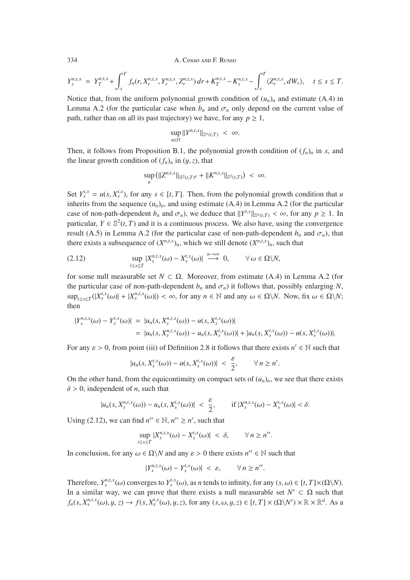$$
Y_s^{n,t,x} = Y_T^{n,t,x} + \int_s^T f_n(r, X_r^{n,t,x}, Y_r^{n,t,x}, Z_r^{n,t,x}) dr + K_T^{n,t,x} - K_s^{n,t,x} - \int_s^T \langle Z_r^{n,t,x}, dW_r \rangle, \quad t \le s \le T.
$$

Notice that, from the uniform polynomial growth condition of  $(u_n)_n$  and estimate (A.4) in Lemma A.2 (for the particular case when  $b_n$  and  $\sigma_n$  only depend on the current value of path, rather than on all its past trajectory) we have, for any  $p \geq 1$ ,

$$
\sup_{n\in\mathbb{N}}||Y^{n,t,x}||_{\mathbb{S}^p(t,T)} < \infty.
$$

Then, it follows from Proposition B.1, the polynomial growth condition of  $(f_n)_n$  in *x*, and the linear growth condition of  $(f_n)_n$  in  $(y, z)$ , that

$$
\sup_n (||Z^{n,t,x}||_{\mathbb{H}^2(t,T)^d} + ||K^{n,t,x}||_{\mathbb{S}^2(t,T)}) < \infty.
$$

Set  $Y_s^{t,x} = u(s, X_s^{t,x})$ , for any  $s \in [t, T]$ . Then, from the polynomial growth condition that *u* inherits from the sequence  $(u, \cdot)$ , and using estimate  $(\Lambda, 4)$  in Lamma  $\Lambda, 2$  (for the particular inherits from the sequence  $(u_n)_n$ , and using estimate (A.4) in Lemma A.2 (for the particular case of non-path-dependent  $b_n$  and  $\sigma_n$ ), we deduce that  $||Y^{t,x}||_{\mathbb{S}^p(t,T)} < \infty$ , for any  $p \ge 1$ . In particular,  $Y \subset \mathbb{S}^2(t,T)$  and it is a continuous process. We also have using the convergence particular,  $Y \in \mathbb{S}^2(t, T)$  and it is a continuous process. We also have, using the convergence result (A.5) in Lemma A.2 (for the particular case of non-path-dependent  $b_n$  and  $\sigma_n$ ), that there exists a subsequence of  $(X^{n,t,x})_n$ , which we still denote  $(X^{n,t,x})_n$ , such that

(2.12) 
$$
\sup_{t\leq s\leq T}|X_s^{n,t,x}(\omega)-X_s^{t,x}(\omega)|\stackrel{n\to\infty}{\longrightarrow}0, \qquad \forall \omega\in\Omega\setminus N,
$$

for some null measurable set  $N \subset \Omega$ . Moreover, from estimate (A.4) in Lemma A.2 (for the particular case of non-path-dependent  $b_n$  and  $\sigma_n$ ) it follows that, possibly enlarging N,  $\sup_{t \leq s \leq T} (|X_s^{t,x}(\omega)| + |X_s^{n,t,x}(\omega)|) < \infty$ , for any  $n \in \mathbb{N}$  and any  $\omega \in \Omega \backslash N$ . Now, fix  $\omega \in \Omega \backslash N$ ; then

$$
\begin{aligned} |Y_s^{n,t,x}(\omega) - Y_s^{t,x}(\omega)| &= |u_n(s, X_s^{n,t,x}(\omega)) - u(s, X_s^{t,x}(\omega))| \\ &= |u_n(s, X_s^{n,t,x}(\omega)) - u_n(s, X_s^{t,x}(\omega))| + |u_n(s, X_s^{t,x}(\omega)) - u(s, X_s^{t,x}(\omega))|. \end{aligned}
$$

For any  $\varepsilon > 0$ , from point (iii) of Definition 2.8 it follows that there exists  $n' \in \mathbb{N}$  such that

$$
|u_n(s,X_s^{t,x}(\omega)) - u(s,X_s^{t,x}(\omega))| < \frac{\varepsilon}{2}, \qquad \forall n \geq n'.
$$

On the other hand, from the equicontinuity on compact sets of  $(u_n)_n$ , we see that there exists  $\delta$  > 0, independent of *n*, such that

$$
|u_n(s,X_s^{n,t,x}(\omega)) - u_n(s,X_s^{t,x}(\omega))| < \frac{\varepsilon}{2}, \qquad \text{if } |X_s^{n,t,x}(\omega) - X_s^{t,x}(\omega)| < \delta.
$$

Using (2.12), we can find  $n'' \in \mathbb{N}$ ,  $n'' \ge n'$ , such that

$$
\sup_{t\leq s\leq T}|X_{s}^{n,t,x}(\omega)-X_{s}^{t,x}(\omega)|<\delta,\qquad\forall\,n\geq n''.
$$

In conclusion, for any  $\omega \in \Omega \backslash N$  and any  $\varepsilon > 0$  there exists  $n'' \in \mathbb{N}$  such that

$$
|Y_s^{n,t,x}(\omega)-Y_s^{t,x}(\omega)|<\varepsilon,\qquad\forall\,n\geq n''.
$$

Therefore,  $Y_s^{n,t,x}(\omega)$  converges to  $Y_s^{t,x}(\omega)$ , as *n* tends to infinity, for any  $(s, \omega) \in [t, T] \times (\Omega \setminus N)$ .<br>In a similar way, we can prove that there exists a pull measurable set  $N' \subset \Omega$  such that In a similar way, we can prove that there exists a null measurable set  $N' \subset \Omega$  such that  $f_n(s, X_s^{n,t,x}(\omega), y, z) \to f(s, X_s^{t,x}(\omega), y, z)$ , for any  $(s, \omega, y, z) \in [t, T] \times (\Omega \backslash N') \times \mathbb{R} \times \mathbb{R}^d$ . As a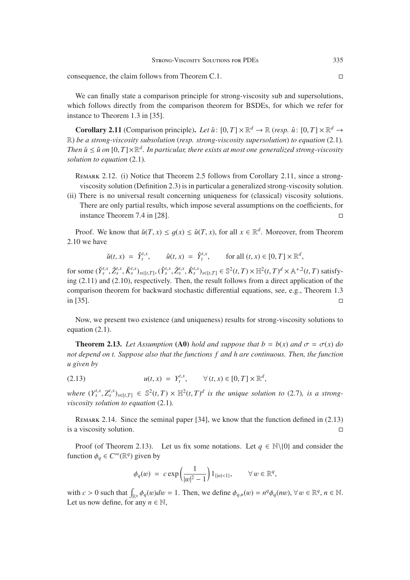consequence, the claim follows from Theorem C.1.

We can finally state a comparison principle for strong-viscosity sub and supersolutions. which follows directly from the comparison theorem for BSDEs, for which we refer for instance to Theorem 1.3 in [35].

**Corollary 2.11** (Comparison principle). Let  $\check{u}$ :  $[0, T] \times \mathbb{R}^d \to \mathbb{R}$  (*resp.*  $\hat{u}$ :  $[0, T] \times \mathbb{R}^d \to$ R) *be a strong-viscosity subsolution* (*resp. strong-viscosity supersolution*) *to equation* (2.1)*. Then*  $\check{u} \leq \hat{u}$  on  $[0, T] \times \mathbb{R}^d$ . In particular, there exists at most one generalized strong-viscosity *solution to equation* (2.1)*.*

REMARK 2.12. (i) Notice that Theorem 2.5 follows from Corollary 2.11, since a strongviscosity solution (Definition 2.3) is in particular a generalized strong-viscosity solution.

(ii) There is no universal result concerning uniqueness for (classical) viscosity solutions. There are only partial results, which impose several assumptions on the coefficients, for instance Theorem 7.4 in [28].

Proof. We know that  $\tilde{u}(T, x) \leq q(x) \leq \hat{u}(T, x)$ , for all  $x \in \mathbb{R}^d$ . Moreover, from Theorem 2.10 we have

$$
\check{u}(t,x) = \check{Y}_t^{t,x}, \qquad \hat{u}(t,x) = \hat{Y}_t^{t,x}, \qquad \text{for all } (t,x) \in [0,T] \times \mathbb{R}^d,
$$

for some  $(\check{Y}_{s}^{t,x},\check{Z}_{s}^{t,x},\check{K}_{s}^{t,x})_{s\in[t,T]}, (\hat{Y}_{s}^{t,x},\hat{Z}_{s}^{t,x},\hat{K}_{s}^{t,x})_{s\in[t,T]} \in \mathbb{S}^{2}(t,T) \times \mathbb{H}^{2}(t,T)^{d} \times \mathbb{A}^{+,2}(t,T)$  satisfy-<br>ing (2.11) and (2.10), respectively. Then, the result follows from a direc ing  $(2.11)$  and  $(2.10)$ , respectively. Then, the result follows from a direct application of the comparison theorem for backward stochastic differential equations, see, e.g., Theorem 1.3 in [35].  $\Box$ 

Now, we present two existence (and uniqueness) results for strong-viscosity solutions to equation (2.1).

**Theorem 2.13.** Let Assumption (A0) hold and suppose that  $b = b(x)$  and  $\sigma = \sigma(x)$  do *not depend on t. Suppose also that the functions f and h are continuous. Then, the function u given by*

(2.13) 
$$
u(t, x) = Y_t^{t, x}, \quad \forall (t, x) \in [0, T] \times \mathbb{R}^d
$$

where  $(Y_s^{t,x}, Z_s^{t,x})_{s \in [t,T]} \in \mathbb{S}^2(t,T) \times \mathbb{H}^2(t,T)^d$  is the unique solution to (2.7), is a strong-<br>viscosity solution to equation (2.1) *viscosity solution to equation* (2.1)*.*

Remark 2.14. Since the seminal paper [34], we know that the function defined in (2.13) is a viscosity solution.

Proof (of Theorem 2.13). Let us fix some notations. Let  $q \in \mathbb{N}\setminus\{0\}$  and consider the function  $\phi_q \in C^\infty(\mathbb{R}^q)$  given by

$$
\phi_q(w) = c \exp\left(\frac{1}{|w|^2 - 1}\right) 1_{\{|w| < 1\}}, \qquad \forall w \in \mathbb{R}^q,
$$

with  $c > 0$  such that  $\int_{\mathbb{R}^q} \phi_q(w) dw = 1$ . Then, we define  $\phi_{q,n}(w) = n^q \phi_q(nw)$ ,  $\forall w \in \mathbb{R}^q, n \in \mathbb{N}$ . Let us now define, for any  $n \in \mathbb{N}$ ,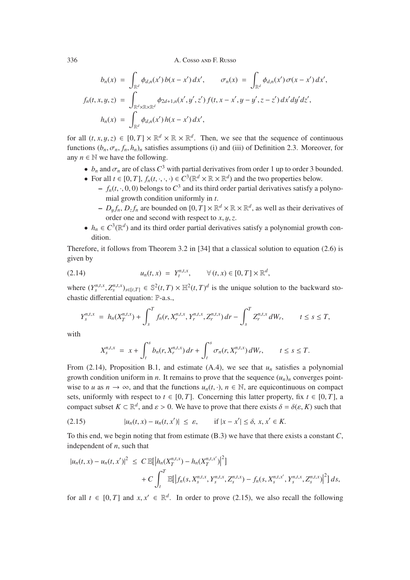$$
b_n(x) = \int_{\mathbb{R}^d} \phi_{d,n}(x') b(x - x') dx', \qquad \sigma_n(x) = \int_{\mathbb{R}^d} \phi_{d,n}(x') \sigma(x - x') dx',
$$
  

$$
f_n(t, x, y, z) = \int_{\mathbb{R}^d \times \mathbb{R} \times \mathbb{R}^d} \phi_{2d+1,n}(x', y', z') f(t, x - x', y - y', z - z') dx' dy' dz',
$$
  

$$
h_n(x) = \int_{\mathbb{R}^d} \phi_{d,n}(x') h(x - x') dx',
$$

for all  $(t, x, y, z) \in [0, T] \times \mathbb{R}^d \times \mathbb{R} \times \mathbb{R}^d$ . Then, we see that the sequence of continuous functions  $(b_n, \sigma_n, f_n, h_n)$ <sub>n</sub> satisfies assumptions (i) and (iii) of Definition 2.3. Moreover, for any  $n \in \mathbb{N}$  we have the following.

- $b_n$  and  $\sigma_n$  are of class  $C^3$  with partial derivatives from order 1 up to order 3 bounded.
- For all  $t \in [0, T]$ ,  $f_n(t, \cdot, \cdot, \cdot) \in C^3(\mathbb{R}^d \times \mathbb{R} \times \mathbb{R}^d)$  and the two properties below.
	- $f_n(t, \cdot, 0, 0)$  belongs to  $C^3$  and its third order partial derivatives satisfy a polynomial growth condition uniformly in *t*.
	- $-D_{\nu} f_n, D_{z} f_n$  are bounded on  $[0, T] \times \mathbb{R}^d \times \mathbb{R} \times \mathbb{R}^d$ , as well as their derivatives of order one and second with respect to *<sup>x</sup>*, y,*z*.
- $h_n \in C^3(\mathbb{R}^d)$  and its third order partial derivatives satisfy a polynomial growth condition.

Therefore, it follows from Theorem 3.2 in [34] that a classical solution to equation (2.6) is given by

(2.14) 
$$
u_n(t, x) = Y_t^{n,t,x}, \quad \forall (t, x) \in [0, T] \times \mathbb{R}^d,
$$

where  $(Y_s^{n,t,x}, Z_s^{n,t,x})_{s \in [t,T]} \in \mathbb{S}^2(t,T) \times \mathbb{H}^2(t,T)^d$  is the unique solution to the backward stochastic differential equation: P-a.s.,

$$
Y_s^{n,t,x} = h_n(X_T^{n,t,x}) + \int_s^T f_n(r, X_r^{n,t,x}, Y_r^{n,t,x}, Z_r^{n,t,x}) dr - \int_s^T Z_r^{n,t,x} dW_r, \qquad t \le s \le T,
$$

with

$$
X_{s}^{n,t,x} = x + \int_{t}^{s} b_{n}(r, X_{r}^{n,t,x}) dr + \int_{t}^{s} \sigma_{n}(r, X_{r}^{n,t,x}) dW_{r}, \qquad t \leq s \leq T.
$$

From  $(2.14)$ , Proposition B.1, and estimate  $(A.4)$ , we see that  $u_n$  satisfies a polynomial growth condition uniform in *n*. It remains to prove that the sequence  $(u_n)_n$  converges pointwise to *u* as  $n \to \infty$ , and that the functions  $u_n(t, \cdot)$ ,  $n \in \mathbb{N}$ , are equicontinuous on compact sets, uniformly with respect to  $t \in [0, T]$ . Concerning this latter property, fix  $t \in [0, T]$ , a compact subset  $K \subset \mathbb{R}^d$ , and  $\varepsilon > 0$ . We have to prove that there exists  $\delta = \delta(\varepsilon, K)$  such that

(2.15) 
$$
|u_n(t, x) - u_n(t, x')| \le \varepsilon
$$
, if  $|x - x'| \le \delta$ ,  $x, x' \in K$ .

To this end, we begin noting that from estimate (B.3) we have that there exists a constant *C*, independent of *n*, such that

$$
|u_n(t,x) - u_n(t,x')|^2 \leq C \mathbb{E}[\left|h_n(X_T^{n,t,x}) - h_n(X_T^{n,t,x'})\right|^2]
$$
  
+ 
$$
C \int_t^T \mathbb{E}[\left|f_n(s,X_s^{n,t,x},Y_s^{n,t,x},Z_s^{n,t,x}) - f_n(s,X_s^{n,t,x},Y_s^{n,t,x},Z_s^{n,t,x})\right|^2] ds,
$$

for all  $t \in [0, T]$  and  $x, x' \in \mathbb{R}^d$ . In order to prove (2.15), we also recall the following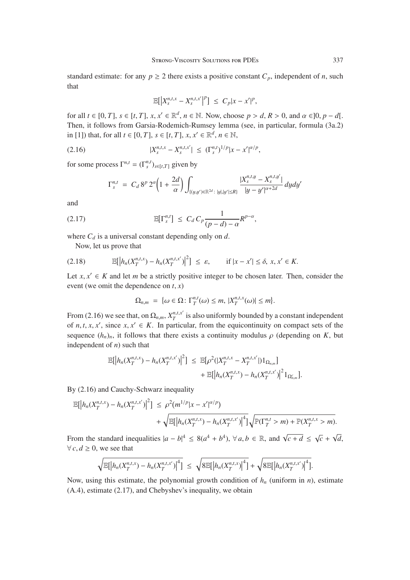standard estimate: for any  $p \ge 2$  there exists a positive constant  $C_p$ , independent of *n*, such that

$$
\mathbb{E}\big[\big|X_s^{n,t,x}-X_s^{n,t,x'}\big|^p\big] \leq C_p|x-x'|^p,
$$

for all *t* ∈ [0, *T*], *s* ∈ [*t*, *T*], *x*, *x*' ∈  $\mathbb{R}^d$ , *n* ∈  $\mathbb{N}$ . Now, choose *p* > *d*, *R* > 0, and  $\alpha$  ∈ [0, *p* − *d*[. Then, it follows from Garsia-Rodemich-Rumsey lemma (see, in particular, formula (3a.2) in [1]) that, for all *t* ∈ [0, *T*], *s* ∈ [*t*, *T*], *x*, *x'* ∈  $\mathbb{R}^d$ , *n* ∈  $\mathbb{N}$ ,

$$
|X_s^{n,t,x}-X_s^{n,t,x'}|\leq (\Gamma_s^{n,t})^{1/p}|x-x'|^{\alpha/p},
$$

for some process  $\Gamma^{n,t} = (\Gamma_s^{n,t})_{s \in [t,T]}$  given by

$$
\Gamma_s^{n,t} \ = \ C_d \, 8^p \, 2^{\alpha} \bigg( 1 + \frac{2d}{\alpha} \bigg) \int_{\{(y,y') \in \mathbb{R}^{2d} \colon |y|, |y'| \le R \}} \frac{|X_s^{n,t,y} - X_s^{n,t,y'}|}{|y - y'|^{\alpha + 2d}} \, dy dy'
$$

and

$$
\mathbb{E}[\Gamma_s^{n,t}] \leq C_d C_p \frac{1}{(p-d)-\alpha} R^{p-\alpha},
$$

where  $C_d$  is a universal constant depending only on  $d$ .

Now, let us prove that

$$
(2.18) \t\t \mathbb{E}[|h_n(X_T^{n,t,x}) - h_n(X_T^{n,t,x'})|^2] \leq \varepsilon, \t\t \text{if } |x - x'| \leq \delta, x, x' \in K.
$$

Let  $x, x' \in K$  and let *m* be a strictly positive integer to be chosen later. Then, consider the event (we omit the dependence on *<sup>t</sup>*, *<sup>x</sup>*)

$$
\Omega_{n,m} = \{ \omega \in \Omega \colon \Gamma_T^{n,t}(\omega) \leq m, |X_T^{n,t,x}(\omega)| \leq m \}.
$$

From (2.16) we see that, on  $\Omega_{n,m}$ ,  $X_T^{n,t,x'}$  is also uniformly bounded by a constant independent of *n*, *t*, *x*, *x'*, since *x*, *x'* ∈ *K*. In particular, from the equicontinuity on compact sets of the sequence  $(h_1)$  if follows that there exists a continuity modulus  $\rho$  (depending on *K* by sequence  $(h_n)_n$ , it follows that there exists a continuity modulus  $\rho$  (depending on *K*, but independent of *n*) such that

$$
\mathbb{E}[h_n(X_T^{n,t,x}) - h_n(X_T^{n,t,x'})]^2] \leq \mathbb{E}[\rho^2(|X_T^{n,t,x} - X_T^{n,t,x'}|)1_{\Omega_{n,m}}] + \mathbb{E}[|h_n(X_T^{n,t,x}) - h_n(X_T^{n,t,x'})|^21_{\Omega_{n,m}^c}].
$$

By (2.16) and Cauchy-Schwarz inequality

$$
\mathbb{E}[\left|h_n(X_T^{n,t,x}) - h_n(X_T^{n,t,x'})\right|^2] \leq \rho^2(m^{1/p}|x - x'|^{\alpha/p}) + \sqrt{\mathbb{E}[\left|h_n(X_T^{n,t,x}) - h_n(X_T^{n,t,x'})\right|^4]} \sqrt{\mathbb{P}(\Gamma_T^{n,t} > m) + \mathbb{P}(X_T^{n,t,x} > m)}.
$$

From the standard inequalities  $|a - b|$  $4 \leq 8(a^4 + b^4), \forall a, b \in \mathbb{R}, \text{ and } \sqrt{c + d} \leq \sqrt{c} + \sqrt{d},$  $∀ c, d ≥ 0$ , we see that

$$
\sqrt{\mathbb{E}[\left|h_n(X_T^{n,t,x})-h_n(X_T^{n,t,x'})\right|^4]} \leq \sqrt{8\mathbb{E}[\left|h_n(X_T^{n,t,x})\right|^4]} + \sqrt{8\mathbb{E}[\left|h_n(X_T^{n,t,x'})\right|^4]}.
$$

Now, using this estimate, the polynomial growth condition of  $h_n$  (uniform in *n*), estimate (A.4), estimate (2.17), and Chebyshev's inequality, we obtain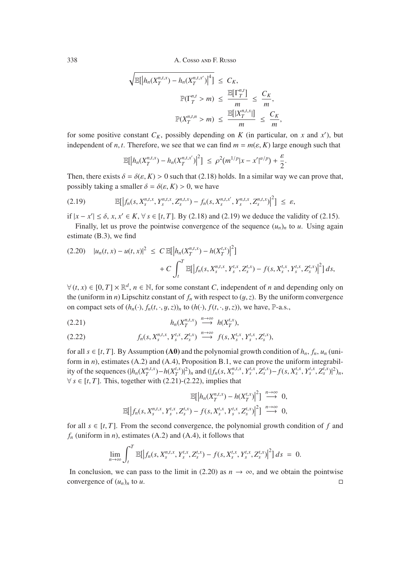$$
\sqrt{\mathbb{E}\left[\left|h_n(X_T^{n,t,x}) - h_n(X_T^{n,t,x'})\right|^4\right]} \leq C_K,
$$
  

$$
\mathbb{P}(\Gamma_T^{n,t} > m) \leq \frac{\mathbb{E}[\Gamma_T^{n,t}]}{m} \leq \frac{C_K}{m},
$$
  

$$
\mathbb{P}(X_T^{n,t,n} > m) \leq \frac{\mathbb{E}[\left|X_T^{n,t,x}\right|]}{m} \leq \frac{C_K}{m},
$$

for some positive constant  $C_K$ , possibly depending on  $K$  (in particular, on  $x$  and  $x'$ ), but independent of *n*, *t*. Therefore, we see that we can find  $m = m(\varepsilon, K)$  large enough such that

$$
\mathbb{E}\big[\big|h_n(X_T^{n,t,x}) - h_n(X_T^{n,t,x'})\big|^2\big] \leq \rho^2(m^{1/p}|x-x'|^{\alpha/p}) + \frac{\varepsilon}{2}
$$

Then, there exists  $\delta = \delta(\varepsilon, K) > 0$  such that (2.18) holds. In a similar way we can prove that, possibly taking a smaller  $\delta = \delta(\varepsilon, K) > 0$ , we have

$$
(2.19) \quad \mathbb{E}\big[\big|f_n(s,X_s^{n,t,x},Y_s^{n,t,x},Z_s^{n,t,x})-f_n(s,X_s^{n,t,x'},Y_s^{n,t,x},Z_s^{n,t,x})\big|^2\big] \leq \varepsilon,
$$

if  $|x - x'| \le \delta$ , *x*, *x*' ∈ *K*,  $\forall s \in [t, T]$ . By (2.18) and (2.19) we deduce the validity of (2.15).<br>Finally let us prove the pointwise convergence of the sequence (*u*) to *u*. Using agai

Finally, let us prove the pointwise convergence of the sequence  $(u_n)_n$  to  $u$ . Using again estimate (B.3), we find

$$
(2.20) \quad |u_n(t,x) - u(t,x)|^2 \leq C \mathbb{E}[\left|h_n(X_T^{n,t,x}) - h(X_T^{t,x})\right|^2]
$$

$$
+ C \int_t^T \mathbb{E}[\left|f_n(s, X_s^{n,t,x}, Y_s^{t,x}, Z_s^{t,x}) - f(s, X_s^{t,x}, Y_s^{t,x}, Z_s^{t,x})\right|^2] ds,
$$

 $\forall$  (*t*, *x*)  $\in$  [0, *T*]  $\times \mathbb{R}^d$ , *n*  $\in$  N, for some constant *C*, independent of *n* and depending only on the (uniform in *n*) Lipschitz constant of  $f_n$  with respect to  $(y, z)$ . By the uniform convergence on compact sets of  $(h_n(\cdot), f_n(t, \cdot, y, z))_n$  to  $(h(\cdot), f(t, \cdot, y, z))$ , we have, P-a.s.,

$$
(2.21) \t\t\t\t h_n(X_T^{n,t,x}) \stackrel{n \to \infty}{\longrightarrow} h(X_T^{t,x}),
$$

(2.22) 
$$
f_n(s, X_s^{n,t,x}, Y_s^{t,x}, Z_s^{t,x}) \stackrel{n \to \infty}{\longrightarrow} f(s, X_s^{t,x}, Y_s^{t,x}, Z_s^{t,x}),
$$

for all  $s \in [t, T]$ . By Assumption (A0) and the polynomial growth condition of  $h_n$ ,  $f_n$ ,  $u_n$  (uniform in *n*), estimates (A.2) and (A.4), Proposition B.1, we can prove the uniform integrability of the sequences  $(|h_n(X_T^{n,t,x}) - h(X_T^{t,x})|^2)_n$  and  $(|f_n(s, X_s^{n,t,x}, Y_s^{t,x}, Z_s^{t,x}) - f(s, X_s^{t,x}, Y_s^{t,x}, Z_s^{t,x})|^2)_n$ ,  $\forall s \in [t, T]$ . This, together with (2.21)-(2.22), implies that

$$
\mathbb{E}\big[\Big|h_n(X_T^{n,t,x}) - h(X_T^{t,x})\Big|^2\big] \stackrel{n\to\infty}{\longrightarrow} 0,
$$
  

$$
\mathbb{E}\big[\Big|f_n(s,X_s^{n,t,x},Y_s^{t,x},Z_s^{t,x}) - f(s,X_s^{t,x},Y_s^{t,x},Z_s^{t,x})\Big|^2\big] \stackrel{n\to\infty}{\longrightarrow} 0,
$$

for all  $s \in [t, T]$ . From the second convergence, the polynomial growth condition of f and  $f_n$  (uniform in *n*), estimates (A.2) and (A.4), it follows that

$$
\lim_{n\to\infty}\int_t^T\mathbb{E}\big[\big|f_n(s,X_s^{n,t,x},Y_s^{t,x},Z_s^{t,x})-f(s,X_s^{t,x},Y_s^{t,x},Z_s^{t,x})\big|^2\big]ds\;=\;0.
$$

In conclusion, we can pass to the limit in (2.20) as  $n \to \infty$ , and we obtain the pointwise convergence of  $(u_n)_n$  to *u*.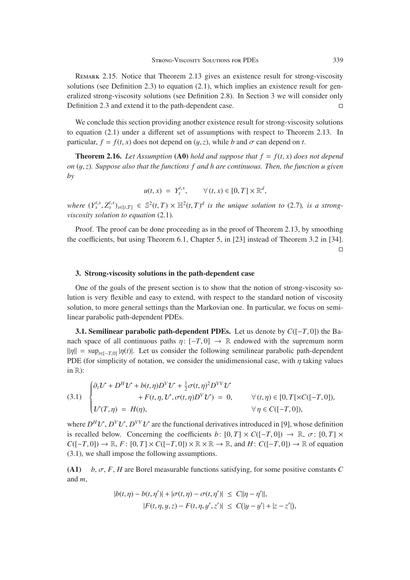Remark 2.15. Notice that Theorem 2.13 gives an existence result for strong-viscosity solutions (see Definition 2.3) to equation (2.1), which implies an existence result for generalized strong-viscosity solutions (see Definition 2.8). In Section 3 we will consider only Definition 2.3 and extend it to the path-dependent case.

We conclude this section providing another existence result for strong-viscosity solutions to equation (2.1) under a different set of assumptions with respect to Theorem 2.13. In particular,  $f = f(t, x)$  does not depend on  $(y, z)$ , while *b* and  $\sigma$  can depend on *t*.

**Theorem 2.16.** Let Assumption (A0) hold and suppose that  $f = f(t, x)$  does not depend *on* (y,*z*)*. Suppose also that the functions f and h are continuous. Then, the function u given by*

$$
u(t,x) = Y_t^{t,x}, \qquad \forall (t,x) \in [0,T] \times \mathbb{R}^d,
$$

where  $(Y_s^{t,x}, Z_s^{t,x})_{s \in [t,T]} \in \mathbb{S}^2(t,T) \times \mathbb{H}^2(t,T)^d$  is the unique solution to (2.7), is a strong-<br>viscosity solution to equation (2.1) *viscosity solution to equation* (2.1)*.*

Proof. The proof can be done proceeding as in the proof of Theorem 2.13, by smoothing the coefficients, but using Theorem 6.1, Chapter 5, in [23] instead of Theorem 3.2 in [34].  $\Box$ 

#### 3. Strong-viscosity solutions in the path-dependent case

One of the goals of the present section is to show that the notion of strong-viscosity solution is very flexible and easy to extend, with respect to the standard notion of viscosity solution, to more general settings than the Markovian one. In particular, we focus on semilinear parabolic path-dependent PDEs.

**3.1. Semilinear parabolic path-dependent PDEs.** Let us denote by  $C([-T, 0])$  the Banach space of all continuous paths  $\eta: [-T, 0] \to \mathbb{R}$  endowed with the supremum norm  $\|\eta\| = \sup_{t \in [-T,0]} |\eta(t)|$ . Let us consider the following semilinear parabolic path-dependent PDE (for simplicity of notation, we consider the unidimensional case, with  $\eta$  taking values in  $\mathbb{R}$ :

(3.1) 
$$
\begin{cases} \partial_t \mathcal{U} + D^H \mathcal{U} + b(t, \eta) D^V \mathcal{U} + \frac{1}{2} \sigma(t, \eta)^2 D^{VV} \mathcal{U} \\ + F(t, \eta, \mathcal{U}, \sigma(t, \eta) D^V \mathcal{U}) = 0, \qquad \forall (t, \eta) \in [0, T[ \times C([-T, 0]), \\ \mathcal{U}(T, \eta) = H(\eta), \qquad \forall \eta \in C([-T, 0]), \end{cases}
$$

where  $D^H U$ ,  $D^V U$ ,  $D^{VV} U$  are the functional derivatives introduced in [9], whose definition is recalled below. Concerning the coefficients *b*:  $[0, T] \times C([-T, 0]) \rightarrow \mathbb{R}, \sigma$ :  $[0, T] \times$  $C([-T, 0]) \to \mathbb{R}$ ,  $F : [0, T] \times C([-T, 0]) \times \mathbb{R} \times \mathbb{R} \to \mathbb{R}$ , and  $H : C([-T, 0]) \to \mathbb{R}$  of equation (3.1), we shall impose the following assumptions.

(A1) *<sup>b</sup>*, σ, *<sup>F</sup>*, *<sup>H</sup>* are Borel measurable functions satisfying, for some positive constants *<sup>C</sup>* and *m*,

$$
|b(t, \eta) - b(t, \eta')| + |\sigma(t, \eta) - \sigma(t, \eta')| \le C ||\eta - \eta'||,
$$
  

$$
|F(t, \eta, y, z) - F(t, \eta, y', z')| \le C(|y - y'| + |z - z'|),
$$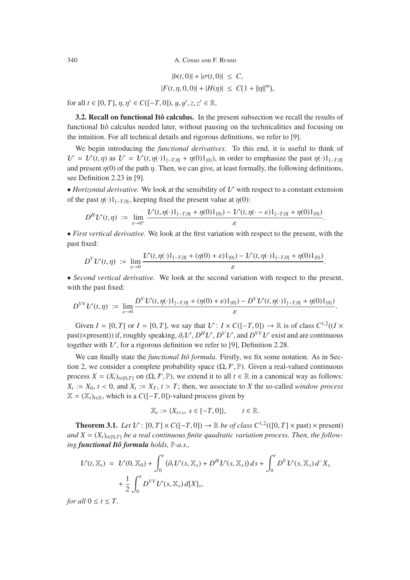$$
|b(t,0)| + |\sigma(t,0)| \leq C,
$$
  

$$
|F(t,\eta,0,0)| + |H(\eta)| \leq C(1 + ||\eta||^{m}),
$$

for all  $t \in [0, T]$ ,  $\eta, \eta' \in C([-T, 0])$ ,  $y, y', z, z' \in \mathbb{R}$ .

3.2. Recall on functional Itô calculus. In the present subsection we recall the results of functional Itô calculus needed later, without pausing on the technicalities and focusing on the intuition. For all technical details and rigorous definitions, we refer to [9].

We begin introducing the *functional derivatives*. To this end, it is useful to think of  $U = U(t, \eta)$  as  $U = U(t, \eta(\cdot)1_{[-T,0]} + \eta(0)1_{[0]}),$  in order to emphasize the past  $\eta(\cdot)1_{[-T,0]}$ and present  $\eta(0)$  of the path  $\eta$ . Then, we can give, at least formally, the following definitions, see Definition 2.23 in [9].

• *Horizontal derivative.* We look at the sensibility of  $\mathcal V$  with respect to a constant extension of the past  $\eta(\cdot)1_{[-T,0]}$ , keeping fixed the present value at  $\eta(0)$ :

$$
D^H \mathcal{U}(t,\eta) := \lim_{\varepsilon \to 0^+} \frac{\mathcal{U}(t,\eta(\cdot) 1_{[-T,0[} + \eta(0) 1_{\{0\}}) - \mathcal{U}(t,\eta(\cdot-\varepsilon) 1_{[-T,0[} + \eta(0) 1_{\{0\}}))}{\varepsilon}.
$$

• *First vertical derivative*. We look at the first variation with respect to the present, with the past fixed:

$$
D^{V}\mathcal{U}(t,\eta) := \lim_{\varepsilon\to 0}\frac{\mathcal{U}(t,\eta(\cdot)1_{[-T,0[}+(\eta(0)+\varepsilon)1_{\{0\}})-\mathcal{U}(t,\eta(\cdot)1_{[-T,0[}+\eta(0)1_{\{0\}})})}{\varepsilon}
$$

• *Second vertical derivative.* We look at the second variation with respect to the present, with the past fixed:

$$
D^{VV}V(t,\eta) := \lim_{\varepsilon\to 0}\frac{D^{V}V(t,\eta(\cdot)1_{[-T,0[}+(\eta(0)+\varepsilon)1_{\{0\}})-D^{V}V(t,\eta(\cdot)1_{[-T,0[}+\eta(0)1_{\{0\}})}{\varepsilon}.
$$

Given  $I = [0, T]$  or  $I = [0, T]$ , we say that  $U: I \times C([-T, 0]) \to \mathbb{R}$  is of class  $C^{1,2}((I \times T) \times C)$ past)×present)) if, roughly speaking,  $\partial_t V$ ,  $D^H V$ ,  $D^V V$ , and  $D^{VV} V$  exist and are continuous together with  $U$ , for a rigorous definition we refer to [9], Definition 2.28.

We can finally state the *functional Itô formula*. Firstly, we fix some notation. As in Section 2, we consider a complete probability space  $(\Omega, \mathcal{F}, \mathbb{P})$ . Given a real-valued continuous process  $X = (X_t)_{t \in [0,T]}$  on  $(\Omega, \mathcal{F}, \mathbb{P})$ , we extend it to all  $t \in \mathbb{R}$  in a canonical way as follows:  $X_t := X_0, t < 0$ , and  $X_t := X_T, t > T$ ; then, we associate to *X* the so-called *window process*  $X = (X_t)_{t \in \mathbb{R}}$ , which is a  $C([-T, 0])$ -valued process given by

$$
\mathbb{X}_t := \{X_{t+s}, \ s \in [-T,0]\}, \qquad t \in \mathbb{R}.
$$

**Theorem 3.1.** *Let*  $U: [0, T] \times C([-T, 0]) \rightarrow \mathbb{R}$  *be of class*  $C^{1,2}(([0, T] \times \text{past}) \times \text{present})$ and  $X = (X_t)_{t \in [0, T]}$  *be a real continuous finite quadratic variation process. Then, the following functional Itô formula holds,* P*-a.s.,*

$$
\mathcal{U}(t, \mathbb{X}_t) = \mathcal{U}(0, \mathbb{X}_0) + \int_0^t (\partial_t \mathcal{U}(s, \mathbb{X}_s) + D^H \mathcal{U}(s, \mathbb{X}_s)) ds + \int_0^t D^V \mathcal{U}(s, \mathbb{X}_s) d^T X_s
$$
  
+ 
$$
\frac{1}{2} \int_0^t D^{VV} \mathcal{U}(s, \mathbb{X}_s) d[X]_s,
$$

*for all*  $0 \le t \le T$ *.*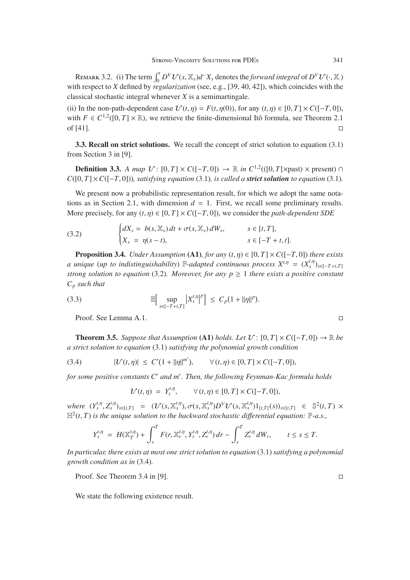REMARK 3.2. (i) The term  $\int_0^t D^V \mathcal{U}(s, \mathbb{X}_s) d^X \mathcal{X}_s$  denotes the *forward integral* of  $D^V \mathcal{U}(\cdot, \mathbb{X}_s)$ <br>the respect to  $X$  defined by *regularization* (eee e.g. [30–40–421), which coincides with the with respect to *X* defined by *regularization* (see, e.g., [39, 40, 42]), which coincides with the classical stochastic integral whenever *X* is a semimartingale.

(ii) In the non-path-dependent case  $\mathcal{U}(t, \eta) = F(t, \eta(0))$ , for any  $(t, \eta) \in [0, T] \times C([-T, 0])$ , with  $F \in C^{1,2}([0, T] \times \mathbb{R})$ , we retrieve the finite-dimensional Itô formula, see Theorem 2.1 of [41]. of  $[41]$ .

3.3. Recall on strict solutions. We recall the concept of strict solution to equation (3.1) from Section 3 in [9].

**Definition 3.3.** *A map*  $U: [0, T] \times C([-T, 0]) \rightarrow \mathbb{R}$  *in*  $C^{1,2}((0, T[\times \text{past}) \times \text{present}) \cap$  $C([0, T] \times C([-T, 0]))$ *, satisfying equation* (3.1)*, is called a strict solution to equation* (3.1)*.* 

We present now a probabilistic representation result, for which we adopt the same notations as in Section 2.1, with dimension  $d = 1$ . First, we recall some preliminary results. More precisely, for any  $(t, \eta) \in [0, T] \times C([-T, 0])$ , we consider the *path-dependent SDE* 

(3.2) 
$$
\begin{cases} dX_s = b(s, X_s) dt + \sigma(s, X_s) dW_s, & s \in [t, T], \\ X_s = \eta(s - t), & s \in [-T + t, t]. \end{cases}
$$

**Proposition 3.4.** *Under Assumption* (A1)*, for any*  $(t, \eta) \in [0, T] \times C([-T, 0])$  *there exists a* unique (*up to indistinguishability*)  $\mathbb{F}$ -*adapted continuous process*  $X^{t,\eta} = (X^{t,\eta}_s)_{s \in [-T+t,T]}$ *strong solution to equation* (3.2)*. Moreover, for any*  $p \ge 1$  *there exists a positive constant*  $C_p$  *such that* 

(3.3) 
$$
\mathbb{E}\Big[\sup_{s\in[-T+t,T]} |X_s^{t,\eta}|^p\Big] \leq C_p(1+||\eta||^p)
$$

Proof. See Lemma A.1.

**Theorem 3.5.** Suppose that Assumption (A1) holds. Let  $\mathcal{U}: [0, T] \times C([-T, 0]) \to \mathbb{R}$  be *a strict solution to equation* (3.1) *satisfying the polynomial growth condition*

(3.4) 
$$
|\mathcal{U}(t,\eta)| \leq C'(1+||\eta||^{m'}), \qquad \forall (t,\eta) \in [0,T] \times C([-T,0]),
$$

*for some positive constants C and m . Then, the following Feynman-Kac formula holds*

$$
\mathcal{U}(t,\eta) = Y_t^{t,\eta}, \qquad \forall (t,\eta) \in [0,T] \times C([-T,0]),
$$

where  $(Y_s^{t,\eta}, Z_s^{t,\eta})_{s \in [t,T]} = (\mathcal{U}(s, \mathbb{X}_s^{t,\eta}), \sigma(s, \mathbb{X}_s^{t,\eta})D^V\mathcal{U}(s, \mathbb{X}_s^{t,\eta})1_{[t,T]}(s))_{s \in [t,T]} \in \mathbb{S}^2(t,T) \times \mathbb{Z}^2(t,T)$  is the unique solution to the hackward stochastic differential equation:  $\mathbb{P}_{\mathcal{A}} s$  $\mathbb{H}^2(t,T)$  *is the unique solution to the backward stochastic differential equation:*  $\mathbb{P}\text{-}a.s.,$ 

$$
Y_s^{t,\eta} = H(\mathbb{X}_T^{t,\eta}) + \int_s^T F(r, \mathbb{X}_r^{t,\eta}, Y_r^{t,\eta}, Z_r^{t,\eta}) dr - \int_s^T Z_r^{t,\eta} dW_r, \qquad t \leq s \leq T.
$$

*In particular, there exists at most one strict solution to equation* (3.1) *satisfying a polynomial growth condition as in* (3.4)*.*

Proof. See Theorem 3.4 in [9].

We state the following existence result.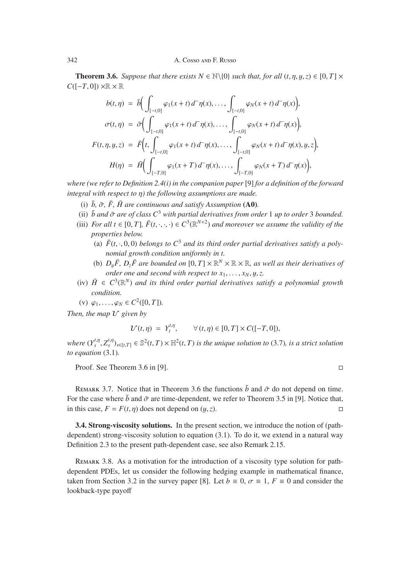**Theorem 3.6.** *Suppose that there exists*  $N \in \mathbb{N} \setminus \{0\}$  *such that, for all*  $(t, \eta, y, z) \in [0, T] \times$  $C([-T, 0]) \times \mathbb{R} \times \mathbb{R}$ 

$$
b(t,\eta) = \bar{b} \Big( \int_{[-t,0]} \varphi_1(x+t) d^-\eta(x), \dots, \int_{[-t,0]} \varphi_N(x+t) d^-\eta(x) \Big),
$$
  

$$
\sigma(t,\eta) = \bar{\sigma} \Big( \int_{[-t,0]} \varphi_1(x+t) d^-\eta(x), \dots, \int_{[-t,0]} \varphi_N(x+t) d^-\eta(x) \Big),
$$
  

$$
F(t,\eta,y,z) = \bar{F} \Big( t, \int_{[-t,0]} \varphi_1(x+t) d^-\eta(x), \dots, \int_{[-t,0]} \varphi_N(x+t) d^-\eta(x), y, z \Big),
$$
  

$$
H(\eta) = \bar{H} \Big( \int_{[-T,0]} \varphi_1(x+T) d^-\eta(x), \dots, \int_{[-T,0]} \varphi_N(x+T) d^-\eta(x) \Big),
$$

*where (we refer to Definition 2.4(i) in the companion paper* [9] *for a definition of the forward integral with respect to* η*) the following assumptions are made.*

- (i)  $\bar{b}$ ,  $\bar{\sigma}$ ,  $\bar{F}$ ,  $\bar{H}$  are continuous and satisfy Assumption (A0).
- (ii)  $\bar{b}$  and  $\bar{\sigma}$  are of class  $C^3$  with partial derivatives from order 1 up to order 3 bounded.
- (iii) *For all t*  $\in$  [0, *T*]*,*  $\bar{F}(t, \cdot, \cdot, \cdot) \in C^3(\mathbb{R}^{N+2})$  *and moreover we assume the validity of the properties below.*
	- (a)  $\bar{F}(t, \cdot, 0, 0)$  *belongs to*  $C^3$  *and its third order partial derivatives satisfy a polynomial growth condition uniformly in t.*
	- (b)  $D_{\nu} \bar{F}$ ,  $D_{z} \bar{F}$  are bounded on  $[0, T] \times \mathbb{R}^{N} \times \mathbb{R} \times \mathbb{R}$ , as well as their derivatives of *order one and second with respect to*  $x_1, \ldots, x_N, y, z$ .
- (iv)  $\bar{H} \in C^3(\mathbb{R}^N)$  *and its third order partial derivatives satisfy a polynomial growth condition.*

(v)  $\varphi_1, \ldots, \varphi_N \in C^2([0, T])$ .

*Then, the map*  $U$  given by

$$
\mathcal{U}(t,\eta) = Y_t^{t,\eta}, \qquad \forall (t,\eta) \in [0,T] \times C([-T,0]),
$$

*where*  $(Y_s^{t,\eta}, Z_s^{t,\eta})_{s \in [t,T]} \in \mathbb{S}^2(t,T) \times \mathbb{H}^2(t,T)$  *is the unique solution to* (3.7)*, is a strict solution* to equation (3.1) *to equation* (3.1)*.*

Proof. See Theorem 3.6 in [9].

REMARK 3.7. Notice that in Theorem 3.6 the functions  $\bar{b}$  and  $\bar{\sigma}$  do not depend on time. For the case where  $\bar{b}$  and  $\bar{\sigma}$  are time-dependent, we refer to Theorem 3.5 in [9]. Notice that, in this case,  $F = F(t, n)$  does not depend on  $(u, z)$ . in this case,  $F = F(t, \eta)$  does not depend on  $(y, z)$ .

3.4. Strong-viscosity solutions. In the present section, we introduce the notion of (pathdependent) strong-viscosity solution to equation (3.1). To do it, we extend in a natural way Definition 2.3 to the present path-dependent case, see also Remark 2.15.

Remark 3.8. As a motivation for the introduction of a viscosity type solution for pathdependent PDEs, let us consider the following hedging example in mathematical finance, taken from Section 3.2 in the survey paper [8]. Let  $b \equiv 0$ ,  $\sigma \equiv 1$ ,  $F \equiv 0$  and consider the lookback-type payoff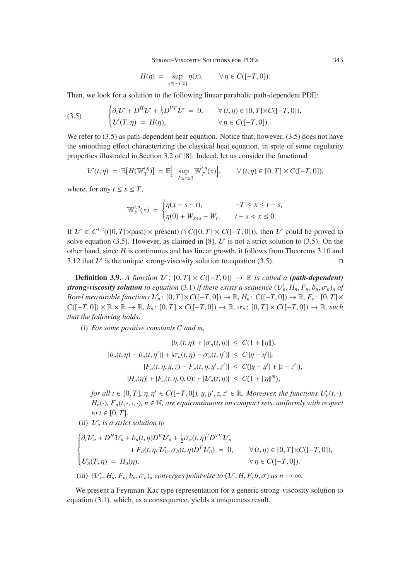STRONG-VISCOSITY SOLUTIONS FOR PDES 343

$$
H(\eta) = \sup_{x \in [-T,0]} \eta(x), \qquad \forall \eta \in C([-T,0]).
$$

Then, we look for a solution to the following linear parabolic path-dependent PDE:

(3.5) 
$$
\begin{cases} \partial_t \mathcal{U} + D^H \mathcal{U} + \frac{1}{2} D^{VV} \mathcal{U} = 0, & \forall (t, \eta) \in [0, T[ \times C([-T, 0]), \\ \mathcal{U}(T, \eta) = H(\eta), & \forall \eta \in C([-T, 0]). \end{cases}
$$

We refer to  $(3.5)$  as path-dependent heat equation. Notice that, however,  $(3.5)$  does not have the smoothing effect characterizing the classical heat equation, in spite of some regularity properties illustrated in Section 3.2 of [8]. Indeed, let us consider the functional

$$
\mathcal{U}(t,\eta) = \mathbb{E}[H(\mathbb{W}_T^{t,\eta})] = \mathbb{E}\Big[\sup_{-T\leq x\leq 0} \mathbb{W}_T^{t,\eta}(x)\Big], \qquad \forall (t,\eta) \in [0,T] \times C([-T,0]),
$$

where, for any  $t \leq s \leq T$ ,

$$
\mathbb{W}_{s}^{t,\eta}(x) = \begin{cases} \eta(x+s-t), & -T \leq x \leq t-s, \\ \eta(0) + W_{x+s} - W_{t}, & t-s < x \leq 0. \end{cases}
$$

If  $V \text{ ∈ } C^{1,2}((0, T[\times \text{past}) \times \text{present}) \cap C([0, T] \times C([-T, 0])), \text{ then } U \text{ could be proved to}$ solve equation (3.5). However, as claimed in [8],  $\mathcal{U}$  is not a strict solution to (3.5). On the other hand, since *H* is continuous and has linear growth, it follows from Theorems 3.10 and 3.12 that  $U$  is the unique strong-viscosity solution to equation (3.5).

**Definition 3.9.** *A function*  $V: [0, T] \times C([-T, 0]) \rightarrow \mathbb{R}$  *is called a (path-dependent) strong-viscosity solution to equation* (3.1) *if there exists a sequence*  $(\mathcal{U}_n, H_n, F_n, b_n, \sigma_n)_n$  *of Borel measurable functions*  $\mathcal{U}_n$ :  $[0, T] \times C([-T, 0]) \to \mathbb{R}$ ,  $H_n$ :  $C([-T, 0]) \to \mathbb{R}$ ,  $F_n$ :  $[0, T] \times$  $C([-T, 0]) \times \mathbb{R} \times \mathbb{R} \to \mathbb{R}, b_n$ :  $[0, T] \times C([-T, 0]) \to \mathbb{R}, \sigma_n$ :  $[0, T] \times C([-T, 0]) \to \mathbb{R}, such$ *that the following holds.*

(i) *For some positive constants C and m,*

$$
|b_n(t, \eta)| + |\sigma_n(t, \eta)| \le C(1 + ||\eta||),
$$
  
\n
$$
|b_n(t, \eta) - b_n(t, \eta')| + |\sigma_n(t, \eta) - \sigma_n(t, \eta')| \le C||\eta - \eta'||,
$$
  
\n
$$
|F_n(t, \eta, y, z) - F_n(t, \eta, y', z')| \le C(|y - y'| + |z - z'|),
$$
  
\n
$$
|H_n(\eta)| + |F_n(t, \eta, 0, 0)| + |\mathcal{U}_n(t, \eta)| \le C(1 + ||\eta||^m),
$$

*for all t* ∈ [0, *T*],  $\eta, \eta' \in C([-T, 0]),$  y, y', z, z' ∈ R. Moreover, the functions  $\mathcal{U}_n(t, \cdot)$ ,  $H(t) \in \mathbb{R}$  (*t*,  $\cdot$ ,  $\cdot$ ),  $H(t) \in \mathbb{R}$  are equicanting on compact sets, uniformly with respect *H<sub>n</sub>*( $\cdot$ *), F<sub>n</sub>*( $t$ ,  $\cdot$ ,  $\cdot$ *,*)*, n* ∈ N*, are equicontinuous on compact sets, uniformly with respect to*  $t \in [0, T]$ .

(ii)  $\mathcal{U}_n$  *is a strict solution to* 

$$
\begin{cases} \partial_t \mathcal{U}_n + D^H \mathcal{U}_n + b_n(t,\eta) D^V \mathcal{U}_n + \frac{1}{2} \sigma_n(t,\eta)^2 D^{VV} \mathcal{U}_n \\qquad \qquad + F_n(t,\eta, \mathcal{U}_n, \sigma_n(t,\eta) D^V \mathcal{U}_n) = 0, \qquad \forall (t,\eta) \in [0,T[ \times C([-T,0]), \\ \mathcal{U}_n(T,\eta) = H_n(\eta), \qquad \qquad \forall \eta \in C([-T,0]). \end{cases}
$$

(iii) 
$$
(U_n, H_n, F_n, b_n, \sigma_n)_n
$$
 converges pointwise to  $(U, H, F, b, \sigma)$  as  $n \to \infty$ .

We present a Feynman-Kac type representation for a generic strong-viscosity solution to equation (3.1), which, as a consequence, yields a uniqueness result.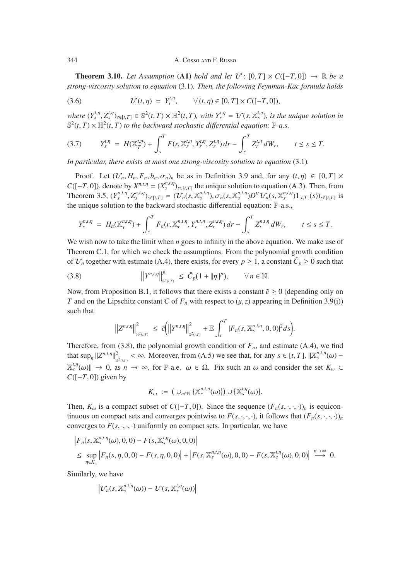**Theorem 3.10.** *Let Assumption* (A1) *hold and let*  $V: [0, T] \times C([-T, 0]) \rightarrow \mathbb{R}$  *be a strong-viscosity solution to equation* (3.1)*. Then, the following Feynman-Kac formula holds*

(3.6) 
$$
\mathcal{U}(t,\eta) = Y_t^{t,\eta}, \qquad \forall (t,\eta) \in [0,T] \times C([-T,0]),
$$

where  $(Y_s^{t,\eta}, Z_s^{t,\eta})_{s \in [t,T]} \in \mathbb{S}^2(t,T) \times \mathbb{H}^2(t,T)$ , with  $Y_s^{t,\eta} = \mathcal{U}(s, \mathbb{X}_s^{t,\eta})$ , is the unique solution in  $\mathbb{S}^2(t,T) \times \mathbb{H}^2(t,T)$  to the hardward stochastic differential equation:  $\mathbb{P}$  a s  $\mathbb{S}^2(t,T) \times \mathbb{H}^2(t,T)$  *to the backward stochastic differential equation:*  $\mathbb{P}$ -*a.s.* 

$$
(3.7) \tY_s^{t,\eta} = H(\mathbb{X}_T^{t,\eta}) + \int_s^T F(r, \mathbb{X}_r^{t,\eta}, Y_r^{t,\eta}, Z_r^{t,\eta}) dr - \int_s^T Z_r^{t,\eta} dW_r, \t t \leq s \leq T.
$$

*In particular, there exists at most one strong-viscosity solution to equation* (3.1)*.*

Proof. Let  $(\mathcal{U}_n, H_n, F_n, b_n, \sigma_n)_n$  be as in Definition 3.9 and, for any  $(t, \eta) \in [0, T] \times$ *C*([−*T*, 0]), denote by  $X^{n,t,\eta} = (X^{n,t,\eta}_s)_{s \in [t,T]}$  the unique solution to equation (A.3). Then, from<br>Theorem 3.5  $(V^{n,t,\eta}_s) = (2C(s \sqrt{x}^{n,t,\eta}) \times (e^{-(x^{n,t,\eta}_s)}V^{\gamma})C(s \sqrt{x}^{n,t,\eta}_s)$ Theorem 3.5,  $(Y_s^{n,t,\eta}, Z_s^{n,t,\eta})_{s \in [t,T]} = (\mathcal{U}_n(s, \mathbb{X}_s^{n,t,\eta}), \sigma_n(s, \mathbb{X}_s^{n,t,\eta})D^V \mathcal{U}_n(s, \mathbb{X}_s^{n,t,\eta})1_{[t,T]}(s))_{s \in [t,T]}$  is<br>the unique solution to the hockward stochastic differential equation:  $\mathbb{R}^n$  as the unique solution to the backward stochastic differential equation: P-a.s.,

$$
Y_s^{n,t,\eta} = H_n(\mathbb{X}_T^{n,t,\eta}) + \int_s^T F_n(r, \mathbb{X}_r^{n,t,\eta}, Y_r^{n,t,\eta}, Z_r^{n,t,\eta}) dr - \int_s^T Z_r^{n,t,\eta} dW_r, \qquad t \le s \le T.
$$

We wish now to take the limit when *n* goes to infinity in the above equation. We make use of Theorem C.1, for which we check the assumptions. From the polynomial growth condition of  $\mathcal{U}_n$  together with estimate (A.4), there exists, for every  $p \ge 1$ , a constant  $\tilde{C}_p \ge 0$  such that

(3.8) 
$$
||Y^{n,t,\eta}||_{S^{p}(t,T)}^{p} \leq \tilde{C}_{p}(1+||\eta||^{p}), \qquad \forall n \in \mathbb{N}.
$$

Now, from Proposition B.1, it follows that there exists a constant  $\tilde{c} \ge 0$  (depending only on *T* and on the Lipschitz constant *C* of  $F<sub>n</sub>$  with respect to  $(y, z)$  appearing in Definition 3.9(i)) such that

$$
\left\|Z^{n,t,\eta}\right\|_{\mathbb{H}^2(t,T)}^2 \ \leq \ \tilde{c}\bigg(\left\|Y^{n,t,\eta}\right\|_{s^2(t,T)}^2 + \mathbb{E}\int_t^T|F_n(s,\mathbb{X}_s^{n,t,\eta},0,0)|^2ds\bigg).
$$

Therefore, from (3.8), the polynomial growth condition of  $F_n$ , and estimate (A.4), we find that  $\sup_n ||Z^{n,t,\eta}||^2_{\mathbb{H}^2(\iota,\mathcal{I})} < \infty$ . Moreover, from (A.5) we see that, for any  $s \in [t, T]$ ,  $||\mathbb{X}_s^{n,t,\eta}(\omega) \mathbb{X}_s^{t,\eta}(\omega)$   $\rightarrow$  0, as  $n \rightarrow \infty$ , for P-a.e.  $\omega \in \Omega$ . Fix such an  $\omega$  and consider the set  $K_{\omega} \subset$ <br> $C(I, T, 0)$  given by *C*([−*T*, 0]) given by

$$
K_{\omega} := (\cup_{n \in \mathbb{N}} \{ \mathbb{X}_{s}^{n,t,\eta}(\omega) \} ) \cup \{ \mathbb{X}_{s}^{t,\eta}(\omega) \}.
$$

Then,  $K_{\omega}$  is a compact subset of  $C([-T, 0])$ . Since the sequence  $(F_n(s, \cdot, \cdot, \cdot))_n$  is equicontinuous on compact sets and converges pointwise to  $F(s, \cdot, \cdot, \cdot)$ , it follows that  $(F_n(s, \cdot, \cdot, \cdot))_n$ converges to  $F(s, \cdot, \cdot, \cdot)$  uniformly on compact sets. In particular, we have

$$
\begin{aligned} & \left| F_n(s, \mathbb{X}_s^{n,t,\eta}(\omega), 0, 0) - F(s, \mathbb{X}_s^{t,\eta}(\omega), 0, 0) \right| \\ &\leq \sup_{\eta \in K_\omega} \left| F_n(s, \eta, 0, 0) - F(s, \eta, 0, 0) \right| + \left| F(s, \mathbb{X}_s^{n,t,\eta}(\omega), 0, 0) - F(s, \mathbb{X}_s^{t,\eta}(\omega), 0, 0) \right| \xrightarrow{n \to \infty} 0. \end{aligned}
$$

Similarly, we have

$$
\left|\mathcal{U}_n(s,\mathbb{X}_s^{n,t,\eta}(\omega))-\mathcal{U}(s,\mathbb{X}_s^{t,\eta}(\omega))\right|
$$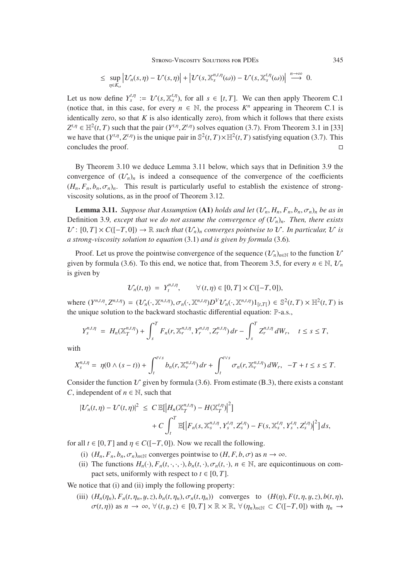STRONG-VISCOSITY SOLUTIONS FOR PDES 345

$$
\leq \sup_{\eta\in K_{\omega}}\left|\mathcal{U}_{n}(s,\eta)-\mathcal{U}(s,\eta)\right|+\left|\mathcal{U}(s,\mathbb{X}_{s}^{n,t,\eta}(\omega))- \mathcal{U}(s,\mathbb{X}_{s}^{t,\eta}(\omega))\right|\overset{n\to\infty}{\longrightarrow} 0.
$$

Let us now define  $Y_s^{t,\eta} := \mathcal{U}(s, \mathbb{X}_s^{t,\eta})$ , for all  $s \in [t, T]$ . We can then apply Theorem C.1 is (notice that, in this case, for every  $n \in \mathbb{N}$ , the process  $K^n$  appearing in Theorem C.1 is identically zero, so that  $K$  is also identically zero), from which it follows that there exists  $Z^{t,\eta} \in \mathbb{H}^2(t,T)$  such that the pair  $(Y^{t,\eta}, Z^{t,\eta})$  solves equation (3.7). From Theorem 3.1 in [33] we have that  $(Y^{t,\eta}, Z^{t,\eta})$  is the unique pair in  $\mathbb{S}^2(t, T) \times \mathbb{H}^2(t, T)$  satisfying equation (3.7). This concludes the proof. concludes the proof.

By Theorem 3.10 we deduce Lemma 3.11 below, which says that in Definition 3.9 the convergence of  $(\mathcal{U}_n)_n$  is indeed a consequence of the convergence of the coefficients  $(H_n, F_n, b_n, \sigma_n)_n$ . This result is particularly useful to establish the existence of strongviscosity solutions, as in the proof of Theorem 3.12.

**Lemma 3.11.** *Suppose that Assumption* (A1) *holds and let*  $(\mathcal{V}_n, H_n, F_n, b_n, \sigma_n)_n$  *be as in* Definition 3.9, except that we do not assume the convergence of  $(\mathcal{U}_n)_n$ . Then, there exists  $\mathcal{U}: [0, T] \times C([-T, 0]) \rightarrow \mathbb{R}$  *such that*  $(\mathcal{U}_n)_n$  *converges pointwise to*  $\mathcal{U}$ *. In particular,*  $\mathcal{U}$  *is a strong-viscosity solution to equation* (3.1) *and is given by formula* (3.6)*.*

Proof. Let us prove the pointwise convergence of the sequence  $(\mathcal{U}_n)_{n\in\mathbb{N}}$  to the function  $\mathcal{U}$ given by formula (3.6). To this end, we notice that, from Theorem 3.5, for every  $n \in \mathbb{N}$ ,  $\mathcal{U}_n$ is given by

$$
\mathcal{U}_n(t,\eta) = Y_t^{n,t,\eta}, \qquad \forall (t,\eta) \in [0,T] \times C([-T,0]),
$$

where  $(Y^{n,t,\eta}, Z^{n,t,\eta}) = (\mathcal{U}_n(\cdot,\mathbb{X}^{n,t,\eta}), \sigma_n(\cdot,\mathbb{X}^{n,t,\eta})D^V\mathcal{U}_n(\cdot,\mathbb{X}^{n,t,\eta})1_{[t,T]} ) \in \mathbb{S}^2(t,T) \times \mathbb{H}^2(t,T)$  is the unique solution to the backward stochastic differential equation: P-a.s.,

$$
Y_s^{n,t,\eta} = H_n(\mathbb{X}_T^{n,t,\eta}) + \int_s^T F_n(r, \mathbb{X}_r^{n,t,\eta}, Y_r^{n,t,\eta}, Z_r^{n,t,\eta}) dr - \int_s^T Z_r^{n,t,\eta} dW_r, \quad t \leq s \leq T,
$$

with

$$
X_s^{n,t,\eta} = \eta(0 \wedge (s-t)) + \int_t^{t \vee s} b_n(r, \mathbb{X}_r^{n,t,\eta}) dr + \int_t^{t \vee s} \sigma_n(r, \mathbb{X}_r^{n,t,\eta}) dW_r, \quad -T + t \leq s \leq T.
$$

Consider the function  $\mathcal V$  given by formula (3.6). From estimate (B.3), there exists a constant *C*, independent of  $n \in \mathbb{N}$ , such that

$$
\begin{aligned} |\mathcal{U}_n(t,\eta) - \mathcal{U}(t,\eta)|^2 &\leq C \, \mathbb{E} \big[ \big| H_n(\mathbb{X}_T^{n,t,\eta}) - H(\mathbb{X}_T^{t,\eta}) \big|^2 \big] \\ &+ C \int_t^T \mathbb{E} \big[ \big| F_n(s,\mathbb{X}_s^{n,t,\eta}, Y_s^{t,\eta}, Z_s^{t,\eta}) - F(s,\mathbb{X}_s^{t,\eta}, Y_s^{t,\eta}, Z_s^{t,\eta}) \big|^2 \big] \, ds, \end{aligned}
$$

for all  $t \in [0, T]$  and  $\eta \in C([-T, 0])$ . Now we recall the following.

- (i)  $(H_n, F_n, b_n, \sigma_n)_{n \in \mathbb{N}}$  converges pointwise to  $(H, F, b, \sigma)$  as  $n \to \infty$ .
- (ii) The functions  $H_n(\cdot)$ ,  $F_n(t, \cdot, \cdot, \cdot)$ ,  $b_n(t, \cdot)$ ,  $\sigma_n(t, \cdot)$ ,  $n \in \mathbb{N}$ , are equicontinuous on compact sets, uniformly with respect to  $t \in [0, T]$ .

We notice that (i) and (ii) imply the following property:

(iii)  $(H_n(\eta_n), F_n(t, \eta_n, y, z), b_n(t, \eta_n), \sigma_n(t, \eta_n))$  converges to  $(H(\eta), F(t, \eta, y, z), b(t, \eta))$  $\sigma(t,\eta)$  as  $n \to \infty$ ,  $\forall$   $(t,y,z) \in [0,T] \times \mathbb{R} \times \mathbb{R}$ ,  $\forall$   $(\eta_n)_{n \in \mathbb{N}} \subset C([-T,0])$  with  $\eta_n \to$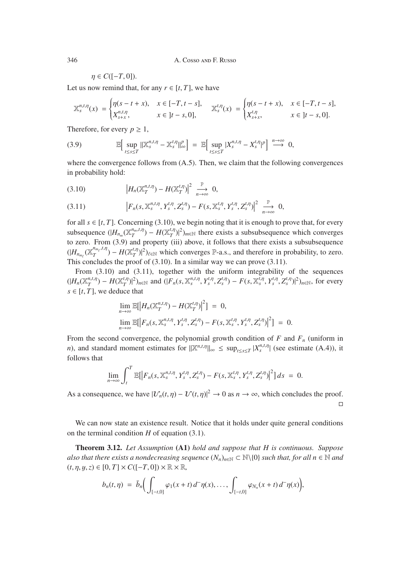$\eta \in C([-T, 0]).$ 

Let us now remind that, for any  $r \in [t, T]$ , we have

$$
\mathbb{X}_{s}^{n,t,\eta}(x) = \begin{cases} \eta(s-t+x), & x \in [-T, t-s], \\ X_{s+x}^{n,t,\eta}, & x \in [t-s, 0], \end{cases} \quad \mathbb{X}_{s}^{t,\eta}(x) = \begin{cases} \eta(s-t+x), & x \in [-T, t-s], \\ X_{s+x}^{t,\eta}, & x \in [t-s, 0]. \end{cases}
$$

Therefore, for every  $p \geq 1$ ,

(3.9) 
$$
\mathbb{E}\Big[\sup_{t\leq s\leq T}\|\mathbb{X}_{s}^{n,t,\eta}-\mathbb{X}_{s}^{t,\eta}\|_{\infty}^{p}\Big]=\mathbb{E}\Big[\sup_{t\leq s\leq T}|X_{s}^{n,t,\eta}-X_{s}^{t,\eta}|^{p}\Big]\stackrel{n\to\infty}{\longrightarrow}0,
$$

where the convergence follows from  $(A.5)$ . Then, we claim that the following convergences in probability hold:

$$
(3.10) \t\t\t |H_n(\mathbb{X}_T^{n,t,\eta}) - H(\mathbb{X}_T^{t,\eta})|^2 \xrightarrow[n \to \infty]{} 0,
$$

$$
(3.11) \t\t\t\t |F_n(s, \mathbb{X}_s^{n,t,\eta}, Y_s^{t,\eta}, Z_s^{t,\eta}) - F(s, \mathbb{X}_s^{t,\eta}, Y_s^{t,\eta}, Z_s^{t,\eta})|^2 \xrightarrow[n \to \infty]{} 0,
$$

for all  $s \in [t, T]$ . Concerning (3.10), we begin noting that it is enough to prove that, for every subsequence  $(|H_{n_m}(\mathbb{X}_T^{n_m,t,\eta}) - H(\mathbb{X}_T^{t,\eta})|^2)_{m \in \mathbb{N}}$  there exists a subsubsequence which converges to zero. From (3.9) and property (iii) above, it follows that there exists a subsubsequence  $(|H_{n_{m_\ell}}(\mathbb{X}_T^{n_{m_\ell},t,\eta}) - H(\mathbb{X}_T^{t,\eta})|^2)_{\ell \in \mathbb{N}}$  which converges P-a.s., and therefore in probability, to zero. This concludes the proof of (3.10). In a similar way we can prove (3.11).

From (3.10) and (3.11), together with the uniform integrability of the sequences  $(|H_n(\mathbb{X}_T^{n,t,\eta}) - H(\mathbb{X}_T^{t,\eta})|^2)_{n \in \mathbb{N}}$  and  $(|F_n(s, \mathbb{X}_s^{n,t,\eta}, Y_s^{t,\eta}, Z_s^{t,\eta}) - F(s, \mathbb{X}_s^{t,\eta}, Y_s^{t,\eta}, Z_s^{t,\eta})|^2)_{n \in \mathbb{N}}$ , for every  $s \in [t, T]$ , we deduce that

$$
\lim_{n \to \infty} \mathbb{E}[|H_n(\mathbb{X}_T^{n,t,\eta}) - H(\mathbb{X}_T^{t,\eta})|^2] = 0,
$$
  
\n
$$
\lim_{n \to \infty} \mathbb{E}[|F_n(s, \mathbb{X}_s^{n,t,\eta}, Y_s^{t,\eta}, Z_s^{t,\eta}) - F(s, \mathbb{X}_s^{t,\eta}, Y_s^{t,\eta}, Z_s^{t,\eta})|^2] = 0.
$$

From the second convergence, the polynomial growth condition of  $F$  and  $F_n$  (uniform in *n*), and standard moment estimates for  $\|\mathbb{X}^{n,t,\eta}\|_{\infty} \leq \sup_{t \leq s \leq T} |X_s^{n,t,\eta}|$  (see estimate (A.4)), it follows that

$$
\lim_{n\to\infty}\int_t^T\mathbb{E}[|F_n(s,\mathbb{X}_s^{n,t,\eta},Y_s^{t,\eta},Z_s^{t,\eta})-F(s,\mathbb{X}_s^{t,\eta},Y_s^{t,\eta},Z_s^{t,\eta})|^2]ds\;=\;0.
$$

As a consequence, we have  $|\mathcal{U}_n(t,\eta) - \mathcal{U}(t,\eta)|^2 \to 0$  as  $n \to \infty$ , which concludes the proof.  $\Box$ 

We can now state an existence result. Notice that it holds under quite general conditions on the terminal condition *H* of equation (3.1).

Theorem 3.12. *Let Assumption* (A1) *hold and suppose that H is continuous. Suppose also that there exists a nondecreasing sequence*  $(N_n)_{n \in \mathbb{N}} \subset \mathbb{N} \setminus \{0\}$  *such that, for all n*  $\in \mathbb{N}$  *and*  $(t, \eta, y, z) \in [0, T] \times C([-T, 0]) \times \mathbb{R} \times \mathbb{R}$ 

$$
b_n(t,\eta) = \bar{b}_n \Big( \int_{[-t,0]} \varphi_1(x+t) d^-\eta(x), \ldots, \int_{[-t,0]} \varphi_{N_n}(x+t) d^-\eta(x) \Big),
$$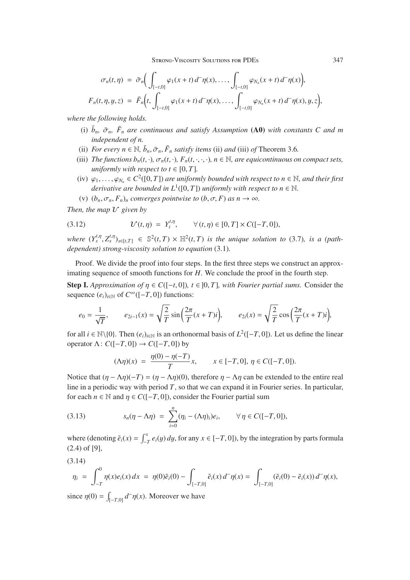STRONG-VISCOSITY SOLUTIONS FOR PDES 347

$$
\sigma_n(t,\eta) = \bar{\sigma}_n \Big( \int_{[-t,0]} \varphi_1(x+t) d^-\eta(x), \dots, \int_{[-t,0]} \varphi_{N_n}(x+t) d^-\eta(x) \Big),
$$
  

$$
F_n(t,\eta,y,z) = \bar{F}_n \Big( t, \int_{[-t,0]} \varphi_1(x+t) d^-\eta(x), \dots, \int_{[-t,0]} \varphi_{N_n}(x+t) d^-\eta(x), y, z \Big),
$$

*where the following holds.*

- (i)  $\bar{b}_n$ ,  $\bar{\sigma}_n$ ,  $\bar{F}_n$  are continuous and satisfy Assumption (A0) with constants C and m *independent of n.*
- (ii) *For every n*  $\in \mathbb{N}$ ,  $\bar{b}_n$ ,  $\bar{\sigma}_n$ ,  $\bar{F}_n$  *satisfy items* (ii) *and* (iii) *of* Theorem 3.6*.*
- (iii) *The functions*  $b_n(t, \cdot)$ *,*  $\sigma_n(t, \cdot)$ *,*  $F_n(t, \cdot, \cdot, \cdot)$ *, n*  $\in \mathbb{N}$ *, are equicontinuous on compact sets, uniformly with respect to t*  $\in$  [0, *T*].
- (iv)  $\varphi_1,\ldots,\varphi_{N_n} \in C^2([0,T])$  *are uniformly bounded with respect to n*  $\in \mathbb{N}$ *, and their first derivative are bounded in*  $L^1([0, T])$  *uniformly with respect to*  $n \in \mathbb{N}$ *.*
- (v)  $(b_n, \sigma_n, F_n)_n$  *converges pointwise to*  $(b, \sigma, F)$  *as*  $n \to \infty$ *.*

*Then, the map*  $U$  *given by* 

(3.12) 
$$
\mathcal{U}(t,\eta) = Y_t^{t,\eta}, \qquad \forall (t,\eta) \in [0,T] \times C([-T,0]),
$$

*where*  $(Y_s^{t,\eta}, Z_s^{t,\eta})_{s \in [t,T]} \in \mathbb{S}^2(t,T) \times \mathbb{H}^2(t,T)$  *is the unique solution to* (3.7)*, is a (path-departant)* strong viscosity solution to equation (3.1) *dependent) strong-viscosity solution to equation* (3.1)*.*

Proof. We divide the proof into four steps. In the first three steps we construct an approximating sequence of smooth functions for *H*. We conclude the proof in the fourth step.

**Step I.** *Approximation of*  $\eta \in C([-t, 0])$ *, t*  $\in$  [0, *T*]*, with Fourier partial sums.* Consider the sequence  $(e_i)_{i \in \mathbb{N}}$  of  $C^\infty([-T, 0])$  functions:

$$
e_0 = \frac{1}{\sqrt{T}}, \qquad e_{2i-1}(x) = \sqrt{\frac{2}{T}} \sin\left(\frac{2\pi}{T}(x+T)i\right), \qquad e_{2i}(x) = \sqrt{\frac{2}{T}} \cos\left(\frac{2\pi}{T}(x+T)i\right),
$$

for all *i* ∈ N\{0}. Then  $(e_i)_{i \in \mathbb{N}}$  is an orthonormal basis of  $L^2([-T, 0])$ . Let us define the linear operator  $\Lambda$ :  $C([-T, 0]) \rightarrow C([-T, 0])$  by

$$
(\Lambda \eta)(x) = \frac{\eta(0) - \eta(-T)}{T} x, \qquad x \in [-T, 0], \, \eta \in C([-T, 0]).
$$

Notice that  $(\eta - \Lambda \eta)(-T) = (\eta - \Lambda \eta)(0)$ , therefore  $\eta - \Lambda \eta$  can be extended to the entire real line in a periodic way with period *T*, so that we can expand it in Fourier series. In particular, for each  $n \in \mathbb{N}$  and  $\eta \in C([-T, 0])$ , consider the Fourier partial sum

(3.13) 
$$
s_n(\eta - \Lambda \eta) = \sum_{i=0}^n (\eta_i - (\Lambda \eta)_i) e_i, \qquad \forall \eta \in C([-T, 0]),
$$

where (denoting  $\tilde{e}_i(x) = \int_{-T}^{x} e_i(y) dy$ , for any  $x \in [-T, 0]$ ), by the integration by parts formula  $(2, 4)$  of  $[0]$ (2.4) of [9],

(3.14)

$$
\eta_i = \int_{-T}^0 \eta(x) e_i(x) dx = \eta(0) \tilde{e}_i(0) - \int_{[-T,0]} \tilde{e}_i(x) d^-\eta(x) = \int_{[-T,0]} (\tilde{e}_i(0) - \tilde{e}_i(x)) d^-\eta(x),
$$

since  $\eta(0) = \int_{[-T,0]} d^-\eta(x)$ . Moreover we have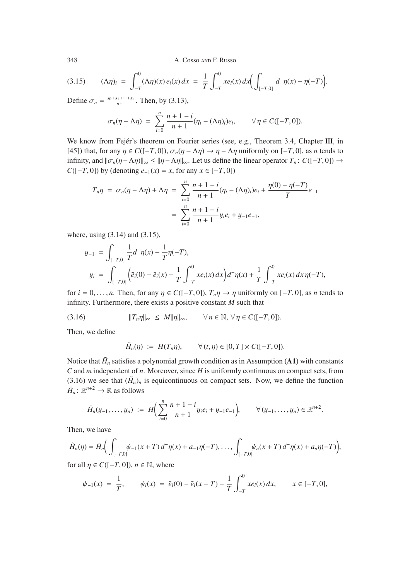$$
(3.15) \qquad (\Lambda \eta)_i \; = \; \int_{-T}^0 (\Lambda \eta)(x) \, e_i(x) \, dx \; = \; \frac{1}{T} \int_{-T}^0 x e_i(x) \, dx \bigg( \int_{[-T,0]} d^-\eta(x) - \eta(-T) \bigg).
$$

Define  $\sigma_n = \frac{s_0 + s_1 + \dots + s_n}{n+1}$ . Then, by (3.13),

$$
\sigma_n(\eta - \Lambda \eta) = \sum_{i=0}^n \frac{n+1-i}{n+1} (\eta_i - (\Lambda \eta)_i) e_i, \qquad \forall \eta \in C([-T,0]).
$$

We know from Fejér's theorem on Fourier series (see, e.g., Theorem 3.4, Chapter III, in [45]) that, for any  $\eta \in C([-T, 0])$ ,  $\sigma_n(\eta - \Lambda \eta) \to \eta - \Lambda \eta$  uniformly on [-*T*, 0], as *n* tends to infinity, and  $\|\sigma_n(\eta - \Lambda \eta)\|_{\infty} \le \|\eta - \Lambda \eta\|_{\infty}$ . Let us define the linear operator  $T_n: C([-T, 0]) \to$ *C*([−*T*, 0]) by (denoting  $e_{-1}(x) = x$ , for any  $x \in [-T, 0]$ )

$$
T_n \eta = \sigma_n(\eta - \Lambda \eta) + \Lambda \eta = \sum_{i=0}^n \frac{n+1-i}{n+1} (\eta_i - (\Lambda \eta)_i) e_i + \frac{\eta(0) - \eta(-T)}{T} e_{-1}
$$

$$
= \sum_{i=0}^n \frac{n+1-i}{n+1} y_i e_i + y_{-1} e_{-1},
$$

where, using (3.14) and (3.15),

$$
y_{-1} = \int_{[-T,0]} \frac{1}{T} d^{-} \eta(x) - \frac{1}{T} \eta(-T),
$$
  
\n
$$
y_{i} = \int_{[-T,0]} \left( \tilde{e}_{i}(0) - \tilde{e}_{i}(x) - \frac{1}{T} \int_{-T}^{0} x e_{i}(x) dx \right) d^{-} \eta(x) + \frac{1}{T} \int_{-T}^{0} x e_{i}(x) dx \eta(-T),
$$

for  $i = 0, \ldots, n$ . Then, for any  $\eta \in C([-T, 0])$ ,  $T_n \eta \to \eta$  uniformly on  $[-T, 0]$ , as *n* tends to infinity. Furthermore, there exists a positive constant *M* such that

(3.16)  $||T_n\eta||_{\infty} \leq M||\eta||_{\infty}, \qquad \forall n \in \mathbb{N}, \forall \eta \in C([-T, 0]).$ 

Then, we define

$$
\tilde{H}_n(\eta) := H(T_n \eta), \qquad \forall (t, \eta) \in [0, T] \times C([-T, 0]).
$$

Notice that  $\tilde{H}_n$  satisfies a polynomial growth condition as in Assumption (A1) with constants *C* and *m* independent of *n*. Moreover, since *H* is uniformly continuous on compact sets, from (3.16) we see that  $(\tilde{H}_n)$ <sup>n</sup> is equicontinuous on compact sets. Now, we define the function  $\bar{H}_n$ :  $\mathbb{R}^{n+2} \to \mathbb{R}$  as follows

$$
\bar{H}_n(y_{-1},\ldots,y_n) := H\bigg(\sum_{i=0}^n \frac{n+1-i}{n+1}y_i e_i + y_{-1}e_{-1}\bigg), \qquad \forall (y_{-1},\ldots,y_n) \in \mathbb{R}^{n+2}.
$$

Then, we have

$$
\tilde{H}_n(\eta) = \bar{H}_n\bigg(\int_{[-T,0]} \psi_{-1}(x+T) d^-\eta(x) + a_{-1}\eta(-T), \dots, \int_{[-T,0]} \psi_n(x+T) d^-\eta(x) + a_n\eta(-T)\bigg),
$$

for all  $\eta \in C([-T, 0]), n \in \mathbb{N}$ , where

$$
\psi_{-1}(x) = \frac{1}{T}, \qquad \psi_i(x) = \tilde{e}_i(0) - \tilde{e}_i(x - T) - \frac{1}{T} \int_{-T}^0 x e_i(x) \, dx, \qquad x \in [-T, 0],
$$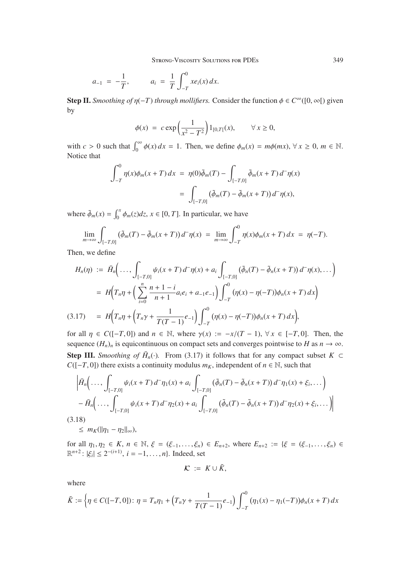$$
a_{-1} = -\frac{1}{T}, \qquad a_i = \frac{1}{T} \int_{-T}^{0} x e_i(x) \, dx.
$$

**Step II.** *Smoothing of*  $\eta$ (-*T*) *through mollifiers*. Consider the function  $\phi \in C^{\infty}([0, \infty])$  given by

$$
\phi(x) = c \exp\left(\frac{1}{x^2 - T^2}\right) 1_{[0,T]}(x), \quad \forall x \ge 0,
$$

with  $c > 0$  such that  $\int_0^\infty \phi(x) dx = 1$ . Then, we define  $\phi_m(x) = m\phi(mx)$ ,  $\forall x \ge 0$ ,  $m \in \mathbb{N}$ . Notice that

$$
\int_{-T}^{0} \eta(x)\phi_m(x+T) dx = \eta(0)\tilde{\phi}_m(T) - \int_{[-T,0]} \tilde{\phi}_m(x+T) d^-\eta(x)
$$
  
= 
$$
\int_{[-T,0]} (\tilde{\phi}_m(T) - \tilde{\phi}_m(x+T)) d^-\eta(x),
$$

where  $\tilde{\phi}_m(x) = \int_0^x \phi_m(z) dz$ ,  $x \in [0, T]$ . In particular, we have

$$
\lim_{m\to\infty}\int_{[-T,0]} \left(\tilde{\phi}_m(T)-\tilde{\phi}_m(x+T)\right)d^-\eta(x) = \lim_{m\to\infty}\int_{-T}^0 \eta(x)\phi_m(x+T)\,dx = \eta(-T).
$$

Then, we define

$$
H_n(\eta) := \bar{H}_n \Big( \dots, \int_{[-T,0]} \psi_i(x+T) d^-\eta(x) + a_i \int_{[-T,0]} (\tilde{\phi}_n(T) - \tilde{\phi}_n(x+T)) d^-\eta(x), \dots \Big)
$$
  
\n
$$
= H \Big( T_n \eta + \Big( \sum_{i=0}^n \frac{n+1-i}{n+1} a_i e_i + a_{-1} e_{-1} \Big) \int_{-T}^0 (\eta(x) - \eta(-T)) \phi_n(x+T) dx \Big)
$$
  
\n(3.17) 
$$
= H \Big( T_n \eta + \Big( T_n \gamma + \frac{1}{T(T-1)} e_{-1} \Big) \int_{-T}^0 (\eta(x) - \eta(-T)) \phi_n(x+T) dx \Big),
$$

for all  $\eta \in C([-T, 0])$  and  $n \in \mathbb{N}$ , where  $\gamma(x) := -x/(T-1)$ ,  $\forall x \in [-T, 0]$ . Then, the sequence  $(H_n)_n$  is equicontinuous on compact sets and converges pointwise to *H* as  $n \to \infty$ . **Step III.** *Smoothing of*  $\bar{H}_n(\cdot)$ . From (3.17) it follows that for any compact subset  $K \subset$ *C*( $[-T, 0]$ ) there exists a continuity modulus *m<sub>K</sub>*, independent of *n* ∈ N, such that

$$
\left| \bar{H}_n \left( \ldots, \int_{[-T,0]} \psi_i(x+T) d^-\eta_1(x) + a_i \int_{[-T,0]} (\tilde{\phi}_n(T) - \tilde{\phi}_n(x+T)) d^-\eta_1(x) + \xi_i, \ldots) \right| - \bar{H}_n \left( \ldots, \int_{[-T,0]} \psi_i(x+T) d^-\eta_2(x) + a_i \int_{[-T,0]} (\tilde{\phi}_n(T) - \tilde{\phi}_n(x+T)) d^-\eta_2(x) + \xi_i, \ldots) \right|
$$

(3.18)

 $\leq m_K(||\eta_1 - \eta_2||_{\infty}),$ 

for all  $\eta_1, \eta_2 \in K$ ,  $n \in \mathbb{N}$ ,  $\xi = (\xi_{-1}, \ldots, \xi_n) \in E_{n+2}$ , where  $E_{n+2} := {\xi = (\xi_{-1}, \ldots, \xi_n) \in \mathbb{R}^{n+2}}$ .  $|\xi| \leq 2^{-(i+1)}$ ,  $i = 1$ , and Indeed, set  $\mathbb{R}^{n+2}$ :  $|\xi_i| \leq 2^{-(i+1)}$ ,  $i = -1, ..., n$ . Indeed, set

$$
\mathcal{K} := K \cup \tilde{K},
$$

where

$$
\tilde{K} := \left\{ \eta \in C([-T, 0]) \colon \eta = T_n \eta_1 + \left( T_n \gamma + \frac{1}{T(T - 1)} e_{-1} \right) \int_{-T}^0 (\eta_1(x) - \eta_1(-T)) \phi_n(x + T) \, dx \right\}
$$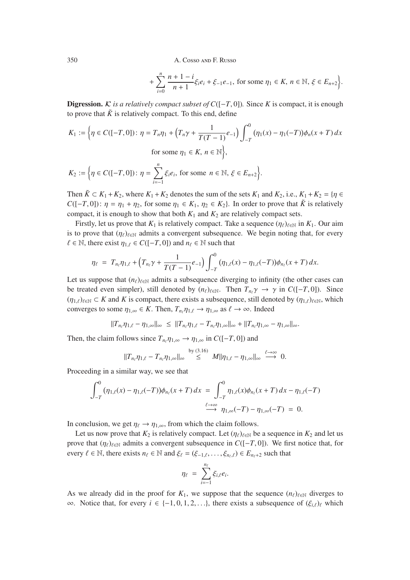$$
+\sum_{i=0}^{n} \frac{n+1-i}{n+1} \xi_i e_i + \xi_{-1} e_{-1}, \text{ for some } \eta_1 \in K, n \in \mathbb{N}, \xi \in E_{n+2} \bigg\}.
$$

**Digression.** *K* is a relatively compact subset of  $C([-T, 0])$ . Since *K* is compact, it is enough to prove that  $\tilde{K}$  is relatively compact. To this end, define

$$
K_1 := \left\{ \eta \in C([-T, 0]) \colon \eta = T_n \eta_1 + \left( T_n \gamma + \frac{1}{T(T - 1)} e_{-1} \right) \int_{-T}^0 (\eta_1(x) - \eta_1(-T)) \phi_n(x + T) \, dx \right\}
$$
\n
$$
\text{for some } \eta_1 \in K, \, n \in \mathbb{N} \right\},
$$

$$
K_2 := \left\{ \eta \in C([-T, 0]) \colon \eta = \sum_{i=-1}^n \xi_i e_i, \text{ for some } n \in \mathbb{N}, \, \xi \in E_{n+2} \right\}.
$$

Then  $\tilde{K} \subset K_1 + K_2$ , where  $K_1 + K_2$  denotes the sum of the sets  $K_1$  and  $K_2$ , i.e.,  $K_1 + K_2 = \{ \eta \in$ *C*([−*T*, 0]):  $\eta = \eta_1 + \eta_2$ , for some  $\eta_1 \in K_1$ ,  $\eta_2 \in K_2$ }. In order to prove that  $\tilde{K}$  is relatively compact, it is enough to show that both  $K_1$  and  $K_2$  are relatively compact sets.

Firstly, let us prove that  $K_1$  is relatively compact. Take a sequence  $(\eta_\ell)_{\ell \in \mathbb{N}}$  in  $K_1$ . Our aim is to prove that  $(\eta_{\ell})_{\ell \in \mathbb{N}}$  admits a convergent subsequence. We begin noting that, for every  $\ell \in \mathbb{N}$ , there exist  $\eta_{1,\ell} \in C([-T, 0])$  and  $n_{\ell} \in \mathbb{N}$  such that

$$
\eta_{\ell} = T_{n_{\ell}} \eta_{1,\ell} + \left( T_{n_{\ell}} \gamma + \frac{1}{T(T-1)} e_{-1} \right) \int_{-T}^{0} (\eta_{1,\ell}(x) - \eta_{1,\ell}(-T)) \phi_{n_{\ell}}(x+T) dx.
$$

Let us suppose that  $(n_\ell)_{\ell \in \mathbb{N}}$  admits a subsequence diverging to infinity (the other cases can be treated even simpler), still denoted by  $(n_\ell)_{\ell \in \mathbb{N}}$ . Then  $T_{n_\ell} \gamma \to \gamma$  in  $C([-T, 0])$ . Since  $(\eta_{1,\ell})_{\ell \in \mathbb{N}} \subset K$  and K is compact, there exists a subsequence, still denoted by  $(\eta_{1,\ell})_{\ell \in \mathbb{N}}$ , which converges to some  $\eta_{1,\infty} \in K$ . Then,  $T_{n_{\ell}} \eta_{1,\ell} \to \eta_{1,\infty}$  as  $\ell \to \infty$ . Indeed

$$
||T_{n_{\ell}}\eta_{1,\ell}-\eta_{1,\infty}||_{\infty}\leq ||T_{n_{\ell}}\eta_{1,\ell}-T_{n_{\ell}}\eta_{1,\infty}||_{\infty}+||T_{n_{\ell}}\eta_{1,\infty}-\eta_{1,\infty}||_{\infty}.
$$

Then, the claim follows since  $T_{n}$ ,  $\eta_{1,\infty} \to \eta_{1,\infty}$  in  $C([-T, 0])$  and

$$
||T_{n_{\ell}}\eta_{1,\ell}-T_{n_{\ell}}\eta_{1,\infty}||_{\infty}\overset{\text{by}(3.16)}{\leq}M||\eta_{1,\ell}-\eta_{1,\infty}||_{\infty}\overset{\ell\to\infty}{\longrightarrow}0.
$$

Proceeding in a similar way, we see that

$$
\int_{-T}^{0} (\eta_{1,\ell}(x) - \eta_{1,\ell}(-T)) \phi_{n_{\ell}}(x+T) dx = \int_{-T}^{0} \eta_{1,\ell}(x) \phi_{n_{\ell}}(x+T) dx - \eta_{1,\ell}(-T)
$$
  

$$
\xrightarrow{\ell \to \infty} \eta_{1,\infty}(-T) - \eta_{1,\infty}(-T) = 0.
$$

In conclusion, we get  $\eta_{\ell} \to \eta_{1,\infty}$ , from which the claim follows.

Let us now prove that  $K_2$  is relatively compact. Let  $(\eta_\ell)_{\ell \in \mathbb{N}}$  be a sequence in  $K_2$  and let us prove that  $(\eta_{\ell})_{\ell \in \mathbb{N}}$  admits a convergent subsequence in *C*([−*T*, 0]). We first notice that, for every  $\ell \in \mathbb{N}$ , there exists  $n_{\ell} \in \mathbb{N}$  and  $\xi_{\ell} = (\xi_{-1,\ell}, \ldots, \xi_{n,\ell}) \in E_{n_{\ell}+2}$  such that

$$
\eta_\ell\ =\ \sum_{i=-1}^{n_\ell} \xi_{i,\ell} e_i.
$$

As we already did in the proof for  $K_1$ , we suppose that the sequence  $(n_\ell)_{\ell \in \mathbb{N}}$  diverges to <sup>∞</sup>. Notice that, for every *<sup>i</sup>* ∈ {−1, <sup>0</sup>, <sup>1</sup>, <sup>2</sup>,...}, there exists a subsequence of (ξ*<sup>i</sup>*, ) which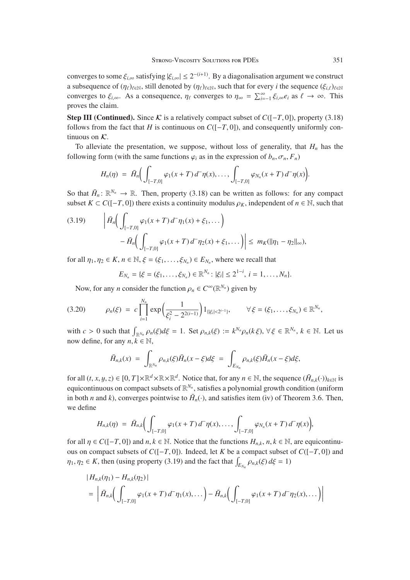converges to some  $\xi_{i,\infty}$  satisfying  $|\xi_{i,\infty}| \leq 2^{-(i+1)}$ . By a diagonalisation argument we construct a subsequence of  $(\eta_\ell)_{\ell \in \mathbb{N}}$ , still denoted by  $(\eta_\ell)_{\ell \in \mathbb{N}}$ , such that for every *i* the sequence  $(\xi_{i,\ell})_{\ell \in \mathbb{N}}$ converges to  $\xi_{i,\infty}$ . As a consequence,  $\eta_{\ell}$  converges to  $\eta_{\infty} = \sum_{i=-1}^{\infty} \xi_{i,\infty} e_i$  as  $\ell \to \infty$ . This proves the claim.

**Step III (Continued).** Since K is a relatively compact subset of  $C([-T, 0])$ , property (3.18) follows from the fact that *H* is continuous on  $C([-T, 0])$ , and consequently uniformly continuous on  $K$ .

To alleviate the presentation, we suppose, without loss of generality, that  $H_n$  has the following form (with the same functions  $\varphi_i$  as in the expression of  $b_n$ ,  $\sigma_n$ ,  $F_n$ )

$$
H_n(\eta) = \bar{H}_n \Big( \int_{[-T,0]} \varphi_1(x+T) d^-\eta(x), \ldots, \int_{[-T,0]} \varphi_{N_n}(x+T) d^-\eta(x) \Big).
$$

So that  $\bar{H}_n : \mathbb{R}^{N_n} \to \mathbb{R}$ . Then, property (3.18) can be written as follows: for any compact subset  $K \subset C([-T, 0])$  there exists a continuity modulus  $\rho_K$ , independent of  $n \in \mathbb{N}$ , such that

$$
(3.19) \qquad \left| \bar{H}_n \left( \int_{[-T,0]} \varphi_1(x+T) \, d^-\eta_1(x) + \xi_1, \dots \right) \right| \\qquad \qquad - \bar{H}_n \left( \int_{[-T,0]} \varphi_1(x+T) \, d^-\eta_2(x) + \xi_1, \dots \right) \right| \leq \, m_K(\|\eta_1 - \eta_2\|_{\infty}),
$$

for all  $\eta_1, \eta_2 \in K$ ,  $n \in \mathbb{N}$ ,  $\xi = (\xi_1, \dots, \xi_{N_n}) \in E_{N_n}$ , where we recall that

$$
E_{N_n} = \{ \xi = (\xi_1, \ldots, \xi_{N_n}) \in \mathbb{R}^{N_n} : |\xi_i| \leq 2^{1-i}, i = 1, \ldots, N_n \}.
$$

Now, for any *n* consider the function  $\rho_n \in C^{\infty}(\mathbb{R}^{N_n})$  given by

$$
(3.20) \qquad \rho_n(\xi) = c \prod_{i=1}^{N_n} \exp\left(\frac{1}{\xi_i^2 - 2^{2(i-1)}}\right) 1_{\{|\xi_i| < 2^{i-1}\}}, \qquad \forall \xi = (\xi_1, \ldots, \xi_{N_n}) \in \mathbb{R}^{N_n},
$$

with  $c > 0$  such that  $\int_{\mathbb{R}^{N_n}} \rho_n(\xi) d\xi = 1$ . Set  $\rho_{n,k}(\xi) := k^{N_n} \rho_n(k\xi)$ ,  $\forall \xi \in \mathbb{R}^{N_n}$ ,  $k \in \mathbb{N}$ . Let us now define, for any  $n, k \in \mathbb{N}$ ,

$$
\bar{H}_{n,k}(x) = \int_{\mathbb{R}^{N_n}} \rho_{n,k}(\xi) \bar{H}_n(x-\xi) d\xi = \int_{E_{N_n}} \rho_{n,k}(\xi) \bar{H}_n(x-\xi) d\xi,
$$

for all  $(t, x, y, z) \in [0, T] \times \mathbb{R}^d \times \mathbb{R} \times \mathbb{R}^d$ . Notice that, for any  $n \in \mathbb{N}$ , the sequence  $(\bar{H}_{n,k}(\cdot))_{k \in \mathbb{N}}$  is equicontinuous on compact subsets of  $\mathbb{R}^{N_n}$ , satisfies a polynomial growth condition (uniform in both *n* and *k*), converges pointwise to  $\bar{H}_n(\cdot)$ , and satisfies item (iv) of Theorem 3.6. Then, we define

$$
H_{n,k}(\eta) = \bar{H}_{n,k}\bigg(\int_{[-T,0]} \varphi_1(x+T) d^{\top} \eta(x), \ldots, \int_{[-T,0]} \varphi_{N_n}(x+T) d^{\top} \eta(x)\bigg),
$$

for all  $\eta \in C([-T, 0])$  and  $n, k \in \mathbb{N}$ . Notice that the functions  $H_{n,k}, n, k \in \mathbb{N}$ , are equicontinuous on compact subsets of *<sup>C</sup>*([−*T*, 0]). Indeed, let *<sup>K</sup>* be a compact subset of *<sup>C</sup>*([−*T*, 0]) and  $\eta_1, \eta_2 \in K$ , then (using property (3.19) and the fact that  $\int_{E_{N_n}} \rho_{n,k}(\xi) d\xi = 1$ )

$$
|H_{n,k}(\eta_1) - H_{n,k}(\eta_2)|
$$
  
= 
$$
| \bar{H}_{n,k} \Big( \int_{[-T,0]} \varphi_1(x+T) d^-\eta_1(x), \dots \Big) - \bar{H}_{n,k} \Big( \int_{[-T,0]} \varphi_1(x+T) d^-\eta_2(x), \dots \Big) \Big|
$$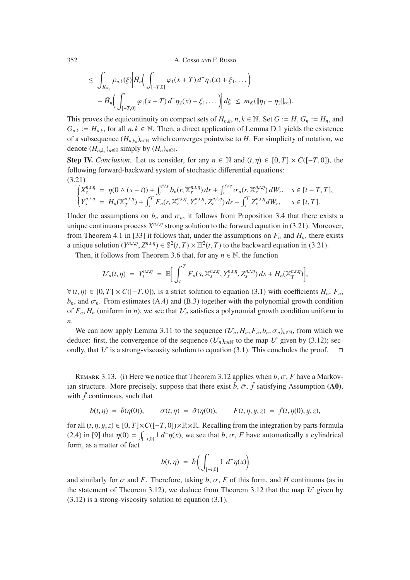$$
\leq \int_{K_{N_n}} \rho_{n,k}(\xi) \left| \bar{H}_n \left( \int_{[-T,0]} \varphi_1(x+T) \, d^-\eta_1(x) + \xi_1, \dots \right) \right| - \bar{H}_n \left( \int_{[-T,0]} \varphi_1(x+T) \, d^-\eta_2(x) + \xi_1, \dots \right) \left| \, d\xi \right| \leq m_K(\|\eta_1 - \eta_2\|_{\infty}).
$$

This proves the equicontinuity on compact sets of  $H_{n,k}$ ,  $n, k \in \mathbb{N}$ . Set  $G := H, G_n := H_n$ , and  $G_{n,k} := H_{n,k}$ , for all  $n, k \in \mathbb{N}$ . Then, a direct application of Lemma D.1 yields the existence of a subsequence  $(H_{n,k_n})_{n\in\mathbb{N}}$  which converges pointwise to *H*. For simplicity of notation, we denote  $(H_{n,k_n})_{n\in\mathbb{N}}$  simply by  $(H_n)_{n\in\mathbb{N}}$ .

**Step IV.** *Conclusion.* Let us consider, for any  $n \in \mathbb{N}$  and  $(t, \eta) \in [0, T] \times C([-T, 0])$ , the following forward-backward system of stochastic differential equations: (3.21)

$$
\begin{cases}\nX_s^{n,t,\eta} = \eta(0 \wedge (s-t)) + \int_t^{t \vee s} b_n(r, \mathbb{X}_r^{n,t,\eta}) dr + \int_t^{t \vee s} \sigma_n(r, \mathbb{X}_r^{n,t,\eta}) dW_r, \quad s \in [t-T, T], \\
Y_s^{n,t,\eta} = H_n(\mathbb{X}_T^{n,t,\eta}) + \int_s^T F_n(r, \mathbb{X}_r^{n,t,\eta}, Y_r^{n,t,\eta}, Z_r^{n,t,\eta}) dr - \int_s^T Z_r^{n,t,\eta} dW_r, \quad s \in [t, T].\n\end{cases}
$$

Under the assumptions on  $b_n$  and  $\sigma_n$ , it follows from Proposition 3.4 that there exists a unique continuous process  $X^{n,t,\eta}$  strong solution to the forward equation in (3.21). Moreover, from Theorem 4.1 in [33] it follows that, under the assumptions on  $F_n$  and  $H_n$ , there exists a unique solution  $(Y^{n,t,\eta}, Z^{n,t,\eta}) \in \mathbb{S}^2(t,T) \times \mathbb{H}^2(t,T)$  to the backward equation in (3.21).

Then, it follows from Theorem 3.6 that, for any  $n \in \mathbb{N}$ , the function

$$
\mathcal{U}_n(t,\eta) \ = \ Y_t^{n,t,\eta} \ = \ \mathbb{E}\bigg[\int_t^T F_n(s,\mathbb{X}_s^{n,t,\eta},Y_s^{n,t,\eta},Z_s^{n,t,\eta})\,ds + H_n(\mathbb{X}_T^{n,t,\eta})\bigg],
$$

 $∀(t, \eta) ∈ [0, T] × C([-T, 0]),$  is a strict solution to equation (3.1) with coefficients *H<sub>n</sub>*, *F<sub>n</sub>*,  $b_n$ , and  $\sigma_n$ . From estimates (A.4) and (B.3) together with the polynomial growth condition of  $F_n$ ,  $H_n$  (uniform in *n*), we see that  $\mathcal{U}_n$  satisfies a polynomial growth condition uniform in *n*.

We can now apply Lemma 3.11 to the sequence  $(\mathcal{U}_n, H_n, F_n, b_n, \sigma_n)_{n \in \mathbb{N}}$ , from which we deduce: first, the convergence of the sequence  $(\mathcal{U}_n)_{n\in\mathbb{N}}$  to the map  $\mathcal U$  given by (3.12); secondly, that  $U$  is a strong-viscosity solution to equation (3.1). This concludes the proof.  $\square$ 

REMARK 3.13. (i) Here we notice that Theorem 3.12 applies when  $b$ ,  $\sigma$ ,  $F$  have a Markovian structure. More precisely, suppose that there exist  $\bar{b}$ ,  $\bar{\sigma}$ ,  $\bar{f}$  satisfying Assumption (A0), with  $\bar{f}$  continuous, such that

$$
b(t, \eta) = \bar{b}(\eta(0)), \qquad \sigma(t, \eta) = \bar{\sigma}(\eta(0)), \qquad F(t, \eta, y, z) = \bar{f}(t, \eta(0), y, z),
$$

for all  $(t, \eta, y, z) \in [0, T] \times C([-T, 0]) \times \mathbb{R} \times \mathbb{R}$ . Recalling from the integration by parts formula (2.4) in [9] that  $\eta(0) = \int_{[-t,0]} 1 \, d^-\eta(x)$ , we see that *b*,  $\sigma$ , *F* have automatically a cylindrical form as a matter of fact form, as a matter of fact

$$
b(t,\eta) = \bar{b}\Big(\int_{[-t,0]} 1 \ d^{-} \eta(x)\Big)
$$

and similarly for  $\sigma$  and *F*. Therefore, taking *b*,  $\sigma$ , *F* of this form, and *H* continuous (as in the statement of Theorem 3.12), we deduce from Theorem 3.12 that the map  $\mathcal U$  given by (3.12) is a strong-viscosity solution to equation (3.1).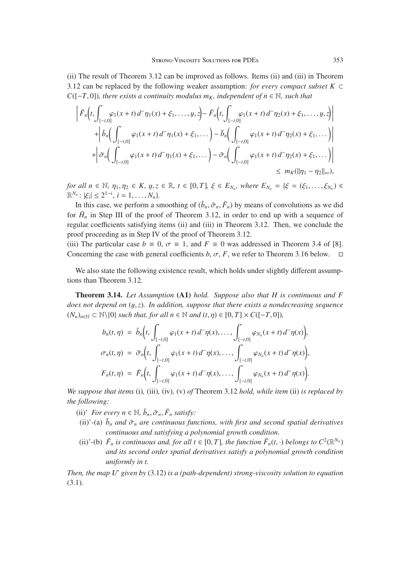(ii) The result of Theorem 3.12 can be improved as follows. Items (ii) and (iii) in Theorem 3.12 can be replaced by the following weaker assumption: *for every compact subset*  $K \subset$ *C*( $[-T, 0]$ )*, there exists a continuity modulus m<sub>K</sub>, independent of n*  $\in \mathbb{N}$ *, such that* 

$$
\left| \bar{F}_n(t, \int_{[-t,0]} \varphi_1(x+t) d^-\eta_1(x) + \xi_1, \dots, y, z) - \bar{F}_n(t, \int_{[-t,0]} \varphi_1(x+t) d^-\eta_2(x) + \xi_1, \dots, y, z) \right|
$$
  
+ 
$$
\left| \bar{b}_n \left( \int_{[-t,0]} \varphi_1(x+t) d^-\eta_1(x) + \xi_1, \dots \right) - \bar{b}_n \left( \int_{[-t,0]} \varphi_1(x+t) d^-\eta_2(x) + \xi_1, \dots \right) \right|
$$
  
+ 
$$
\left| \bar{\sigma}_n \left( \int_{[-t,0]} \varphi_1(x+t) d^-\eta_1(x) + \xi_1, \dots \right) - \bar{\sigma}_n \left( \int_{[-t,0]} \varphi_1(x+t) d^-\eta_2(x) + \xi_1, \dots \right) \right|
$$
  

$$
\leq m_K(||\eta_1 - \eta_2||_{\infty}),
$$

*for all n*  $\in \mathbb{N}$ ,  $\eta_1, \eta_2 \in K$ ,  $y, z \in \mathbb{R}$ ,  $t \in [0, T]$ ,  $\xi \in E_{N_n}$ , where  $E_{N_n} = \{\xi = (\xi_1, \ldots, \xi_{N_n}) \in$  $\mathbb{R}^{N_n}$ :  $|\xi_i| \leq 2^{1-i}, i = 1, ..., N_n$ *)*.<br>In this case, we perform a st

In this case, we perform a smoothing of  $(\bar{b}_n, \bar{\sigma}_n, \bar{F}_n)$  by means of convolutions as we did for  $\bar{H}_n$  in Step III of the proof of Theorem 3.12, in order to end up with a sequence of regular coefficients satisfying items (ii) and (iii) in Theorem 3.12. Then, we conclude the proof proceeding as in Step IV of the proof of Theorem 3.12.

(iii) The particular case  $b \equiv 0$ ,  $\sigma \equiv 1$ , and  $F \equiv 0$  was addressed in Theorem 3.4 of [8].<br>Concerning the case with general coefficients  $b, \sigma, F$ , we refer to Theorem 3.16 below. Concerning the case with general coefficients  $b, \sigma, F$ , we refer to Theorem 3.16 below.

We also state the following existence result, which holds under slightly different assumptions than Theorem 3.12.

Theorem 3.14. *Let Assumption* (A1) *hold. Suppose also that H is continuous and F does not depend on* (y,*z*)*. In addition, suppose that there exists a nondecreasing sequence*  $(N_n)_{n \in \mathbb{N}} \subset \mathbb{N} \setminus \{0\}$  *such that, for all*  $n \in \mathbb{N}$  *and*  $(t, \eta) \in [0, T] \times C([-T, 0]),$ 

$$
b_n(t,\eta) = \bar{b}_n\Big(t, \int_{[-t,0]} \varphi_1(x+t) d^-\eta(x), \ldots, \int_{[-t,0]} \varphi_{N_n}(x+t) d^-\eta(x)\Big),
$$
  

$$
\sigma_n(t,\eta) = \bar{\sigma}_n\Big(t, \int_{[-t,0]} \varphi_1(x+t) d^-\eta(x), \ldots, \int_{[-t,0]} \varphi_{N_n}(x+t) d^-\eta(x)\Big),
$$
  

$$
F_n(t,\eta) = \bar{F}_n\Big(t, \int_{[-t,0]} \varphi_1(x+t) d^-\eta(x), \ldots, \int_{[-t,0]} \varphi_{N_n}(x+t) d^-\eta(x)\Big).
$$

*We suppose that items* (i)*,* (iii)*,* (iv)*,* (v) *of* Theorem 3.12 *hold, while item* (ii) *is replaced by the following:*

- (ii)' *For every*  $n \in \mathbb{N}$ ,  $\bar{b}_n, \bar{\sigma}_n, \bar{F}_n$  *satisfy:*
- (ii)'-(a)  $\bar{b}_n$  *and*  $\bar{\sigma}_n$  *are continuous functions, with first and second spatial derivatives continuous and satisfying a polynomial growth condition.*
- (ii)'-(b)  $\bar{F}_n$  *is continuous and, for all t*  $\in$  [0, *T*]*, the function*  $\bar{F}_n(t, \cdot)$  *belongs to*  $C^2(\mathbb{R}^{N_n})$ *and its second order spatial derivatives satisfy a polynomial growth condition uniformly in t.*

*Then, the map*  $U$  given by (3.12) is a (path-dependent) strong-viscosity solution to equation (3.1)*.*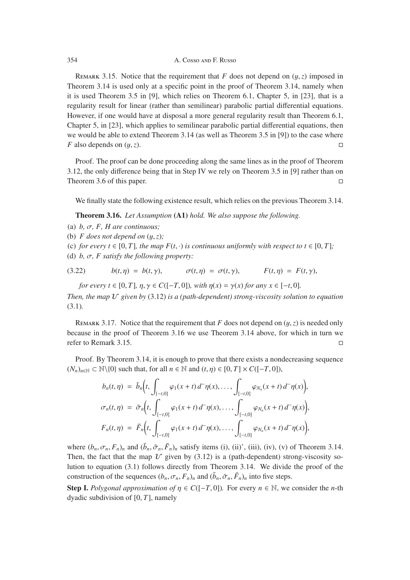REMARK 3.15. Notice that the requirement that *F* does not depend on  $(y, z)$  imposed in Theorem 3.14 is used only at a specific point in the proof of Theorem 3.14, namely when it is used Theorem 3.5 in [9], which relies on Theorem 6.1, Chapter 5, in [23], that is a regularity result for linear (rather than semilinear) parabolic partial differential equations. However, if one would have at disposal a more general regularity result than Theorem 6.1, Chapter 5, in [23], which applies to semilinear parabolic partial differential equations, then we would be able to extend Theorem 3.14 (as well as Theorem 3.5 in [9]) to the case where *F* also depends on  $(y, z)$ .

Proof. The proof can be done proceeding along the same lines as in the proof of Theorem 3.12, the only difference being that in Step IV we rely on Theorem 3.5 in [9] rather than on Theorem 3.6 of this paper.

We finally state the following existence result, which relies on the previous Theorem 3.14.

Theorem 3.16. *Let Assumption* (A1) *hold. We also suppose the following.*

- (a) *b,* σ*, F, H are continuous;*
- (b)  $F$  does not depend on  $(y, z)$ ;
- (c) *for every t* ∈ [0, *T*], *the map*  $F(t, \cdot)$  *is continuous uniformly with respect to t* ∈ [0, *T*];
- (d) *b,* σ*, F satisfy the following property:*

(3.22) 
$$
b(t,\eta) = b(t,\gamma), \qquad \sigma(t,\eta) = \sigma(t,\gamma), \qquad F(t,\eta) = F(t,\gamma),
$$

*for every t* ∈ [0, *T*],  $\eta, \gamma \in C([-T, 0])$ *, with*  $\eta(x) = \gamma(x)$  *for any*  $x \in [-t, 0]$ *.* 

*Then, the map*  $\mathcal V$  given by (3.12) *is a (path-dependent) strong-viscosity solution to equation* (3.1)*.*

REMARK 3.17. Notice that the requirement that *F* does not depend on  $(y, z)$  is needed only because in the proof of Theorem 3.16 we use Theorem 3.14 above, for which in turn we refer to Remark 3.15.

Proof. By Theorem 3.14, it is enough to prove that there exists a nondecreasing sequence  $(N_n)_{n \in \mathbb{N}}$  ⊂  $\mathbb{N}\setminus\{0\}$  such that, for all  $n \in \mathbb{N}$  and  $(t, \eta) \in [0, T] \times C([-T, 0]),$ 

$$
b_n(t,\eta) = \bar{b}_n\Big(t, \int_{[-t,0]} \varphi_1(x+t) d^-\eta(x), \ldots, \int_{[-t,0]} \varphi_{N_n}(x+t) d^-\eta(x)\Big),
$$
  

$$
\sigma_n(t,\eta) = \bar{\sigma}_n\Big(t, \int_{[-t,0]} \varphi_1(x+t) d^-\eta(x), \ldots, \int_{[-t,0]} \varphi_{N_n}(x+t) d^-\eta(x)\Big),
$$
  

$$
F_n(t,\eta) = \bar{F}_n\Big(t, \int_{[-t,0]} \varphi_1(x+t) d^-\eta(x), \ldots, \int_{[-t,0]} \varphi_{N_n}(x+t) d^-\eta(x)\Big),
$$

where  $(b_n, \sigma_n, F_n)_n$  and  $(\bar{b}_n, \bar{\sigma}_n, \bar{F}_n)_n$  satisfy items (i), (ii)', (iii), (iv), (v) of Theorem 3.14. Then, the fact that the map  $U$  given by (3.12) is a (path-dependent) strong-viscosity solution to equation (3.1) follows directly from Theorem 3.14. We divide the proof of the construction of the sequences  $(b_n, \sigma_n, F_n)_n$  and  $(\bar{b}_n, \bar{\sigma}_n, \bar{F}_n)_n$  into five steps.

**Step I.** *Polygonal approximation of*  $\eta \in C([-T, 0])$ *.* For every  $n \in \mathbb{N}$ , we consider the *n*-th dyadic subdivision of [0, *<sup>T</sup>*], namely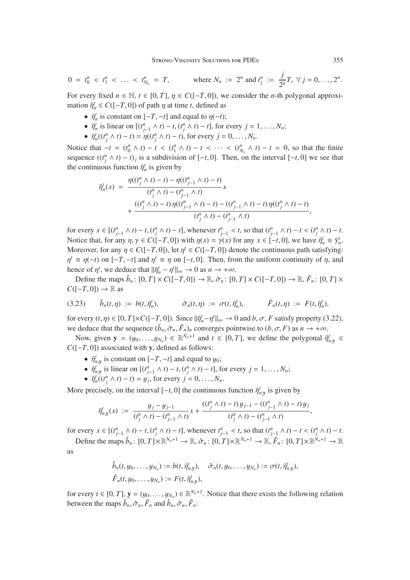$$
0 = t_0^n < t_1^n < \ldots < t_{N_n}^n = T, \qquad \text{where } N_n := 2^n \text{ and } t_j^n := \frac{j}{2^n} T, \ \forall \ j = 0, \ldots, 2^n.
$$

For every fixed  $n \in \mathbb{N}$ ,  $t \in [0, T]$ ,  $\eta \in C([-T, 0])$ , we consider the *n*-th polygonal approximation  $\tilde{\eta}_n^t \in C([-T, 0])$  of path  $\eta$  at time *t*, defined as

- $\tilde{\eta}_n^t$  is constant on  $[-T, -t]$  and equal to  $\eta(-t)$ ;
- $\tilde{\eta}_n^t$  is linear on  $[(t_{j-1}^n \wedge t) t, (t_j^n \wedge t) t]$ , for every  $j = 1, ..., N_n$ ;
- $\tilde{\eta}_n^t((t^n_j \land t) t) = \eta((t^n_j \land t) t)$ , for every  $j = 0, ..., N_n$ .

Notice that  $-t = (t_0^n \wedge t) - t < (t_1^n \wedge t) - t < \cdots < (t_{N_n}^n \wedge t) - t = 0$ , so that the finite<br>sequence  $((t_0^n \wedge t) - t)$ , is a subdivision of  $[0, t_0]$ . Then so the interval  $[0, t_0]$  we see that sequence  $((t_j^n \land t) - t)_j$  is a subdivision of  $[-t, 0]$ . Then, on the interval  $[-t, 0]$  we see that the continuous function  $\tilde{v}_j^t$  is given by the continuous function  $\tilde{\eta}_n^t$  is given by

$$
\tilde{\eta}_n^t(x) = \frac{\eta((t_j^n \wedge t) - t) - \eta((t_{j-1}^n \wedge t) - t)}{(t_j^n \wedge t) - (t_{j-1}^n \wedge t)}x + \frac{((t_j^n \wedge t) - t)\eta((t_{j-1}^n \wedge t) - t) - ((t_{j-1}^n \wedge t) - t)\eta((t_j^n \wedge t) - t)}{(t_j^n \wedge t) - (t_{j-1}^n \wedge t)},
$$

for every  $x \in [(t_{j-1}^n \wedge t) - t, (t_j^n \wedge t) - t]$ , whenever  $t_{j-1}^n < t$ , so that  $(t_{j-1}^n \wedge t) - t < (t_j^n \wedge t) - t$ .<br>Notice that for any  $n \vee \in C([T, T, 0])$  with  $n(x) = \gamma(x)$  for any  $x \in [T, 0]$  we have  $\tilde{\gamma}^t = \tilde{\gamma}^t$ . Notice that, for any  $\eta, \gamma \in C([-T, 0])$  with  $\eta(x) = \gamma(x)$  for any  $x \in [-t, 0]$ , we have  $\tilde{\eta}_n^t \equiv \tilde{\gamma}_n^t$ .<br>Moreover for any  $n \in C([-T, 0])$  let  $\eta^t \in C([-T, 0])$  denote the continuous path setisfying: Moreover, for any  $\eta \in C([-T, 0])$ , let  $\eta^t \in C([-T, 0])$  denote the continuous path satisfying:  $\eta^t \equiv \eta(-t)$  on  $[-T, -t]$  and  $\eta^t \equiv \eta$  on  $[-t, 0]$ . Then, from the uniform continuity of  $\eta$ , and hence of  $\eta^t$ , we deduce that  $\|\tilde{\eta}_n^t - \eta^t\|_{\infty} \to 0$  as  $n \to +\infty$ .<br>
Define the mans  $\tilde{h}$  :  $[0, T] \times C([T, 0]) \to \mathbb{R} \times [0, T]$ 

Define the maps  $\tilde{b}_n$ :  $[0, T] \times C([-T, 0]) \to \mathbb{R}, \tilde{\sigma}_n$ :  $[0, T] \times C([-T, 0]) \to \mathbb{R}, \tilde{F}_n$ :  $[0, T] \times$  $C([-T, 0]) \to \mathbb{R}$  as

(3.23) 
$$
\tilde{b}_n(t,\eta) := b(t,\tilde{\eta}_n^t), \qquad \tilde{\sigma}_n(t,\eta) := \sigma(t,\tilde{\eta}_n^t), \qquad \tilde{F}_n(t,\eta) := F(t,\tilde{\eta}_n^t),
$$

for every  $(t, \eta) \in [0, T] \times C([-T, 0])$ . Since  $\|\tilde{\eta}_n^t - \eta^t\|_{\infty} \to 0$  and  $b, \sigma, F$  satisfy property (3.22), we deduce that the sequence  $(\tilde{b}_n, \tilde{\sigma}_n, \tilde{F}_n)_n$  converges pointwise to  $(b, \sigma, F)$  as  $n \to +\infty$ .

Now, given  $y = (y_0, \dots, y_{N_n}) \in \mathbb{R}^{N_n+1}$  and  $t \in [0, T]$ , we define the polygonal  $\tilde{\eta}_{n,y}^t \in [0, T]$  associated with x defined as follows: *C*([−*T*, 0]) associated with **y**, defined as follows:

- $\tilde{\eta}_{n,y}^t$  is constant on  $[-T, -t]$  and equal to  $y_0$ ;
- $\tilde{\eta}_{n,y}^t$  is linear on  $[(t_{j-1}^n \wedge t) t, (t_j^n \wedge t) t]$ , for every  $j = 1, \ldots, N_n$ ;
- $\tilde{\eta}_n^t((t^n_j \wedge t) t) = y_j$ , for every  $j = 0, ..., N_n$ .

More precisely, on the interval  $[-t, 0]$  the continuous function  $\tilde{\eta}_{n,y}^t$  is given by

$$
\tilde{\eta}_{n,y}^t(x) \; := \; \frac{y_j - y_{j-1}}{(t_j^n \wedge t) - (t_{j-1}^n \wedge t)} x + \frac{((t_j^n \wedge t) - t) y_{j-1} - ((t_{j-1}^n \wedge t) - t) y_j}{(t_j^n \wedge t) - (t_{j-1}^n \wedge t)},
$$

for every  $x \in [(t_{j-1}^n \wedge t) - t, (t_j^n \wedge t) - t]$ , whenever  $t_{j-1}^n < t$ , so that  $(t_{j-1}^n \wedge t) - t < (t_j^n \wedge t) - t$ . Define the maps  $\hat{b}_n$ :  $[0, T] \times \mathbb{R}^{N_n+1} \to \mathbb{R}, \hat{\sigma}_n$ :  $[0, T] \times \mathbb{R}^{N_n+1} \to \mathbb{R}, \hat{F}_n$ :  $[0, T] \times \mathbb{R}^{N_n+1} \to \mathbb{R}$ 

as

$$
\hat{b}_n(t, y_0, \ldots, y_{N_n}) := b(t, \tilde{\eta}_{n,y}^t), \quad \hat{\sigma}_n(t, y_0, \ldots, y_{N_n}) := \sigma(t, \tilde{\eta}_{n,y}^t),
$$
  

$$
\hat{F}_n(t, y_0, \ldots, y_{N_n}) := F(t, \tilde{\eta}_{n,y}^t),
$$

for every  $t \in [0, T]$ ,  $\mathbf{y} = (y_0, \dots, y_{N_n}) \in \mathbb{R}^{N_n+1}$ . Notice that there exists the following relation between the mans  $\tilde{b} \in \tilde{F}$  and  $\hat{b} \in \hat{F}$ . between the maps  $\tilde{b}_n$ ,  $\tilde{\sigma}_n$ ,  $\tilde{F}_n$  and  $\hat{b}_n$ ,  $\hat{\sigma}_n$ ,  $\hat{F}_n$ :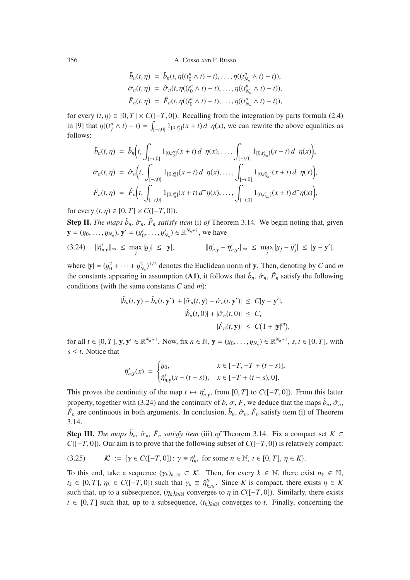$$
\begin{aligned}\n\tilde{b}_n(t,\eta) &= \hat{b}_n(t,\eta((t_0^n \wedge t) - t), \dots, \eta((t_{N_n}^n \wedge t) - t)), \\
\tilde{\sigma}_n(t,\eta) &= \hat{\sigma}_n(t,\eta((t_0^n \wedge t) - t), \dots, \eta((t_{N_n}^n \wedge t) - t)), \\
\tilde{F}_n(t,\eta) &= \hat{F}_n(t,\eta((t_0^n \wedge t) - t), \dots, \eta((t_{N_n}^n \wedge t) - t)),\n\end{aligned}
$$

for every  $(t, \eta) \in [0, T] \times C([-T, 0])$ . Recalling from the integration by parts formula (2.4) in [9] that  $\eta((t_j^n \wedge t) - t) = \int_{[-t,0]} 1_{[0,t_j^n]}(x + t) d^-\eta(x)$ , we can rewrite the above equalities as follows: follows:

$$
\tilde{b}_n(t,\eta) = \hat{b}_n\Big(t, \int_{[-t,0]} 1_{[0,t_0^n]}(x+t) d^-\eta(x), \dots, \int_{[-t,0]} 1_{[0,t_{N_n}^n]}(x+t) d^-\eta(x)\Big),
$$
  

$$
\tilde{\sigma}_n(t,\eta) = \hat{\sigma}_n\Big(t, \int_{[-t,0]} 1_{[0,t_0^n]}(x+t) d^-\eta(x), \dots, \int_{[-t,0]} 1_{[0,t_{N_n}^n]}(x+t) d^-\eta(x)\Big),
$$
  

$$
\tilde{F}_n(t,\eta) = \hat{F}_n\Big(t, \int_{[-t,0]} 1_{[0,t_0^n]}(x+t) d^-\eta(x), \dots, \int_{[-t,0]} 1_{[0,t_{N_n}^n]}(x+t) d^-\eta(x)\Big),
$$

for every  $(t, \eta) \in [0, T] \times C([-T, 0]).$ 

**Step II.** *The maps*  $\hat{b}_n$ ,  $\hat{\sigma}_n$ ,  $\hat{F}_n$  *satisfy item* (i) *of* Theorem 3.14. We begin noting that, given  $\mathbf{y} = (y_0, \dots, y_{N_n}), \mathbf{y}' = (y'_0, \dots, y'_{N_n}) \in \mathbb{R}^{N_n+1}$ , we have

$$
(3.24) \quad \|\tilde{\eta}_{n,\mathbf{y}}^t\|_{\infty} \leq \max_{j} |y_j| \leq |\mathbf{y}|, \qquad \|\tilde{\eta}_{n,\mathbf{y}}^t - \tilde{\eta}_{n,\mathbf{y}}^t\|_{\infty} \leq \max_{j} |y_j - y_j'| \leq |\mathbf{y} - \mathbf{y}'|,
$$

where  $|\mathbf{y}| = (y_0^2 + \dots + y_{N_n}^2)^{1/2}$  denotes the Euclidean norm of y. Then, denoting by *C* and *m*<br>the second the proposal conservation (A.1) is followed by  $\hat{i}$ ,  $\hat{j}$ ,  $\hat{k}$  and following the constants appearing in assumption (A1), it follows that  $\hat{b}_n$ ,  $\hat{\sigma}_n$ ,  $\hat{F}_n$  satisfy the following conditions (with the same constants *C* and *m*):

$$
|\hat{b}_n(t, \mathbf{y}) - \hat{b}_n(t, \mathbf{y}')| + |\hat{\sigma}_n(t, \mathbf{y}) - \hat{\sigma}_n(t, \mathbf{y}')| \le C|\mathbf{y} - \mathbf{y}'|,
$$
  

$$
|\hat{b}_n(t, 0)| + |\hat{\sigma}_n(t, 0)| \le C,
$$
  

$$
|\hat{F}_n(t, \mathbf{y})| \le C(1 + |\mathbf{y}|^m),
$$

for all  $t \in [0, T]$ ,  $y, y' \in \mathbb{R}^{N_n+1}$ . Now, fix  $n \in \mathbb{N}$ ,  $y = (y_0, \ldots, y_{N_n}) \in \mathbb{R}^{N_n+1}$ ,  $s, t \in [0, T]$ , with  $s \leq t$ . Notice that

$$
\tilde{\eta}_{n,\mathbf{y}}^s(x) = \begin{cases} y_0, & x \in [-T, -T + (t-s)], \\ \tilde{\eta}_{n,\mathbf{y}}^t(x - (t-s)), & x \in [-T + (t-s), 0]. \end{cases}
$$

This proves the continuity of the map  $t \mapsto \tilde{\eta}^t_{n,y}$ , from [0, *T*] to *C*([−*T*, 0]). From this latter proposity together with (2.24) and the continuity of  $h \in \mathcal{F}$ , we deduce that the maps  $\hat{h} \in \hat{\mathcal{F}}$ property, together with (3.24) and the continuity of *b*,  $\sigma$ , *F*, we deduce that the maps  $\hat{b}_n$ ,  $\hat{\sigma}_n$ ,  $\hat{F}_n$  are continuous in both arguments. In conclusion,  $\hat{b}_n$ ,  $\hat{\sigma}_n$ ,  $\hat{F}_n$  satisfy item (i) of Theorem 3.14.

**Step III.** *The maps*  $\tilde{b}_n$ ,  $\tilde{\sigma}_n$ ,  $\tilde{F}_n$  *satisfy item* (iii) *of* Theorem 3.14. Fix a compact set  $K \subset$ *C*([−*T*, 0]). Our aim is to prove that the following subset of *C*([−*T*, 0]) is relatively compact:

$$
(3.25) \qquad \mathcal{K} := \{ \gamma \in C([-T, 0]) \colon \gamma \equiv \tilde{\eta}_n^t, \text{ for some } n \in \mathbb{N}, t \in [0, T], \eta \in K \}.
$$

To this end, take a sequence  $(\gamma_k)_{k \in \mathbb{N}} \subset \mathcal{K}$ . Then, for every  $k \in \mathbb{N}$ , there exist  $n_k \in \mathbb{N}$ ,  $t_k \in [0, T]$ ,  $\eta_k \in C([-T, 0])$  such that  $\gamma_k \equiv \tilde{\eta}_{k, n_k}^{t_k}$ . Since *K* is compact, there exists  $\eta \in K$  and that up to a subsequence  $(n)$ , converges to n in  $C([-T, 0])$ . Similarly, there exists *k*,  $e^{i(k)}$ ,  $f^{i(k)}$ ,  $f^{i(k)}$ ,  $f^{i(k)}$  a subsequence,  $(\eta_k)_{k \in \mathbb{N}}$  converges to  $\eta$  in *C*([−*T*, 0]). Similarly, there exists  $f \in [0, T]$  and that up to a subsequence,  $(f)$ , converges to  $t$ . Finally, concerning the  $t \in [0, T]$  such that, up to a subsequence,  $(t_k)_{k \in \mathbb{N}}$  converges to *t*. Finally, concerning the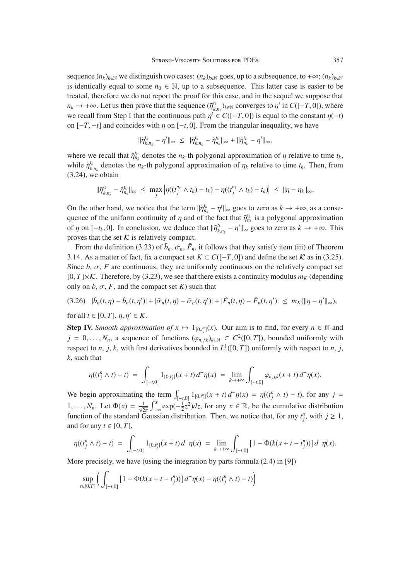sequence  $(n_k)_{k \in \mathbb{N}}$  we distinguish two cases:  $(n_k)_{k \in \mathbb{N}}$  goes, up to a subsequence, to +∞;  $(n_k)_{k \in \mathbb{N}}$ is identically equal to some  $n_0 \in \mathbb{N}$ , up to a subsequence. This latter case is easier to be treated, therefore we do not report the proof for this case, and in the sequel we suppose that *n<sub>k</sub>* → +∞. Let us then prove that the sequence  $(\tilde{\eta}_{k,n_k}^{t_k})_{k \in \mathbb{N}}$  converges to  $\eta^t$  in *C*([−*T*, 0]), where *k*,  $h_k$ ,  $h_k$ ,  $h_k$ ,  $h_k$ ,  $h_k$ ,  $h_k$ ,  $h_k$ ,  $h_k$ ,  $h_k$ ,  $h_k$ ,  $h_k$ ,  $h_k$ ,  $h_k$ ,  $h_k$ ,  $h_k$ ,  $h_k$ ,  $h_k$ ,  $h_k$ ,  $h_k$ ,  $h_k$ ,  $h_k$ ,  $h_k$ ,  $h_k$ ,  $h_k$ ,  $h_k$ ,  $h_k$ ,  $h_k$ ,  $h_k$ ,  $h_k$ ,  $h_k$ ,  $h_k$ ,  $h_k$ ,  $h_k$ ,  $h_k$ ,  $h_k$ ,  $h_k$ , on  $[-T, -t]$  and coincides with  $\eta$  on  $[-t, 0]$ . From the triangular inequality, we have

$$
\|\tilde{\eta}_{k,n_k}^{t_k} - \eta^t\|_{\infty} \leq \|\tilde{\eta}_{k,n_k}^{t_k} - \tilde{\eta}_{n_k}^{t_k}\|_{\infty} + \|\tilde{\eta}_{n_k}^{t_k} - \eta^t\|_{\infty},
$$

where we recall that  $\tilde{\eta}_{n_k}^{t_k}$  denotes the  $n_k$ -th polygonal approximation of  $\eta$  relative to time  $t_k$ , while  $\tilde{\eta}_{k,n_k}^{t_k}$  denotes the *n<sub>k</sub>*-th polygonal approximation of  $\eta_k$  relative to time  $t_k$ . Then, from (3.24), we obtain

$$
\|\tilde{\eta}_{k,n_k}^{t_k}-\tilde{\eta}_{n_k}^{t_k}\|_{\infty} \leq \max_j \left|\eta((t_j^{n_k}\wedge t_k)-t_k)-\eta((t_j^{n_k}\wedge t_k)-t_k)\right| \leq \|\eta-\eta_k\|_{\infty}.
$$

On the other hand, we notice that the term  $\|\tilde{\eta}_{n_k}^{t_k} - \eta^t\|_{\infty}$  goes to zero as  $k \to +\infty$ , as a conse-<br>quance of the uniform continuity of n and of the fact that  $\tilde{\eta}_{n_k}^{t_k}$  is a polygonal approximation quence of the uniform continuity of  $\eta$  and of the fact that  $\tilde{\eta}_{n_k}^{t_k}$  is a polygonal approximation<br>of n on  $[$ , t  $]$ ,  $]$ ,  $]$  approximation we deduce that  $||\tilde{\mathbf{s}}^{t_k} - \mathbf{r}^{t}||$ , approximately approximation of  $\eta$  on  $[-t_k, 0]$ . In conclusion, we deduce that  $\|\tilde{\eta}_{k,n_k}^{t_k} - \eta^t\|_{\infty}$  goes to zero as  $k \to +\infty$ . This proves that the set  $K$  is relatively compact.

From the definition (3.23) of  $\tilde{b}_n$ ,  $\tilde{\sigma}_n$ ,  $\tilde{F}_n$ , it follows that they satisfy item (iii) of Theorem 3.14. As a matter of fact, fix a compact set  $K \subset C([-T, 0])$  and define the set  $K$  as in (3.25). Since  $b$ ,  $\sigma$ ,  $F$  are continuous, they are uniformly continuous on the relatively compact set  $[0, T] \times \mathcal{K}$ . Therefore, by (3.23), we see that there exists a continuity modulus  $m_K$  (depending only on  $b$ ,  $\sigma$ ,  $F$ , and the compact set  $K$ ) such that

$$
(3.26)\quad |\tilde{b}_n(t,\eta)-\tilde{b}_n(t,\eta')|+|\tilde{\sigma}_n(t,\eta)-\tilde{\sigma}_n(t,\eta')|+|\tilde{F}_n(t,\eta)-\tilde{F}_n(t,\eta')|\leq m_K(||\eta-\eta'||_{\infty}),
$$

for all  $t \in [0, T]$ ,  $\eta, \eta' \in K$ .

**Step IV.** *Smooth approximation of*  $x \mapsto 1_{[0,t_j^n]}(x)$ . Our aim is to find, for every  $n \in \mathbb{N}$  and *j* = 0,..., *N<sub>n</sub>*, a sequence of functions ( $\varphi_{n,j,k}$ )<sub>*k*∈N</sub> ⊂ *C*<sup>2</sup>([0, *T*]), bounded uniformly with respect to *n*, *j*, *k*, with first derivatives bounded in  $L^1([0, T])$  uniformly with respect to *n*, *j*, *k*, such that

$$
\eta((t_j^n \wedge t) - t) = \int_{[-t,0]} 1_{[0,t_j^n]}(x+t) d^-\eta(x) = \lim_{k \to +\infty} \int_{[-t,0]} \varphi_{n,j,k}(x+t) d^-\eta(x).
$$

We begin approximating the term  $\int_{[-t,0]} \frac{1}{(0,t_j^n]}(x+t) d^-\eta(x) = \eta((t_j^n \wedge t) - t)$ , for any  $j =$ 1,..., *N<sub>n</sub>*. Let  $\Phi(x) = \frac{1}{\sqrt{2\pi}} \int_{-\infty}^{x} \exp(-\frac{1}{2}z^2) dz$ , for any  $x \in \mathbb{R}$ , be the cumulative distribution function of the standard Gaussian distribution. Then, we notice that, for any  $t_j^n$ , with  $j \ge 1$ , and for any  $t \in [0, T]$ ,

$$
\eta((t_j^n \wedge t) - t) = \int_{[-t,0]} 1_{[0,t_j^n]}(x+t) d^-\eta(x) = \lim_{k \to +\infty} \int_{[-t,0]} \left[1 - \Phi(k(x+t-t_j^n))\right] d^-\eta(x).
$$

More precisely, we have (using the integration by parts formula (2.4) in [9])

$$
\sup_{t \in [0,T]} \left( \int_{[-t,0]} \left[ 1 - \Phi(k(x + t - t_j^n)) \right] d^-\eta(x) - \eta((t_j^n \wedge t) - t) \right)
$$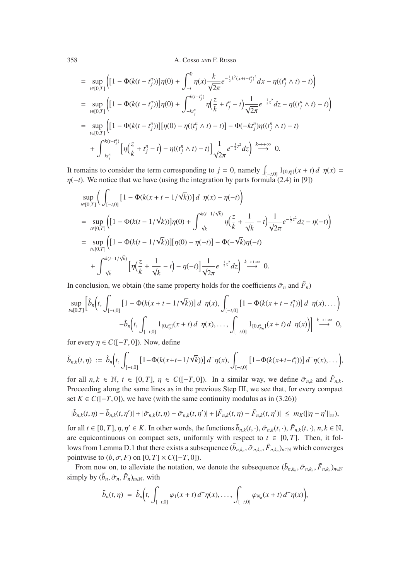$$
= \sup_{t\in[0,T]} \Biggl( \Biggl[ 1 - \Phi(k(t - t_j^n)) \Big] \eta(0) + \int_{-t}^0 \eta(x) \frac{k}{\sqrt{2\pi}} e^{-\frac{1}{2}k^2(x + t - t_j^n)^2} dx - \eta((t_j^n \wedge t) - t) \Biggr)
$$
  
\n
$$
= \sup_{t\in[0,T]} \Biggl( \Biggl[ 1 - \Phi(k(t - t_j^n)) \Biggr] \eta(0) + \int_{-kt_j^n}^{k(t - t_j^n)} \eta(\frac{z}{k} + t_j^n - t) \frac{1}{\sqrt{2\pi}} e^{-\frac{1}{2}z^2} dz - \eta((t_j^n \wedge t) - t) \Biggr)
$$
  
\n
$$
= \sup_{t\in[0,T]} \Biggl( \Biggl[ 1 - \Phi(k(t - t_j^n)) \Biggr] [\eta(0) - \eta((t_j^n \wedge t) - t)] - \Phi(-kt_j^n) \eta((t_j^n \wedge t) - t)
$$
  
\n
$$
+ \int_{-kt_j^n}^{k(t - t_j^n)} \Biggl[ \eta(\frac{z}{k} + t_j^n - t) - \eta((t_j^n \wedge t) - t) \Biggr] \frac{1}{\sqrt{2\pi}} e^{-\frac{1}{2}z^2} dz \Biggr) \stackrel{k \to +\infty}{\longrightarrow} 0.
$$

It remains to consider the term corresponding to  $j = 0$ , namely  $\int_{[-t,0]} 1_{[0,t_0^n]}(x + t) d^-\eta(x) = n(-t)$ . We notice that we have (using the integration by parts formula (2.4) in [9])  $\eta(-t)$ . We notice that we have (using the integration by parts formula (2.4) in [9])

$$
\sup_{t\in[0,T]} \Big( \int_{[-t,0]} \left[ 1 - \Phi(k(x+t-1/\sqrt{k})) \right] d^-\eta(x) - \eta(-t) \Big)
$$
\n
$$
= \sup_{t\in[0,T]} \Big( \Big[ 1 - \Phi(k(t-1/\sqrt{k})) \Big] \eta(0) + \int_{-\sqrt{k}}^{k(t-1/\sqrt{k})} \eta \Big( \frac{z}{k} + \frac{1}{\sqrt{k}} - t \Big) \frac{1}{\sqrt{2\pi}} e^{-\frac{1}{2}z^2} dz - \eta(-t) \Big)
$$
\n
$$
= \sup_{t\in[0,T]} \Big( \Big[ 1 - \Phi(k(t-1/\sqrt{k})) \Big] [\eta(0) - \eta(-t)] - \Phi(-\sqrt{k}) \eta(-t)
$$
\n
$$
+ \int_{-\sqrt{k}}^{k(t-1/\sqrt{k})} \Big[ \eta \Big( \frac{z}{k} + \frac{1}{\sqrt{k}} - t \Big) - \eta(-t) \Big] \frac{1}{\sqrt{2\pi}} e^{-\frac{1}{2}z^2} dz \Big) \xrightarrow{k \to +\infty} 0.
$$

In conclusion, we obtain (the same property holds for the coefficients  $\tilde{\sigma}_n$  and  $\tilde{F}_n$ )

$$
\sup_{t\in[0,T]}\left[\hat{b}_n(t,\int_{[-t,0]}[1-\Phi(k(x+t-1/\sqrt{k}))]d^-\eta(x),\int_{[-t,0]}[1-\Phi(k(x+t-t_1^n))]d^-\eta(x),\dots\right) -\hat{b}_n\left(t,\int_{[-t,0]}1_{[0,t_0^n]}(x+t)d^-\eta(x),\dots,\int_{[-t,0]}1_{[0,t_{N_n}^n]}(x+t)d^-\eta(x)\right)\right] \stackrel{k\to+\infty}{\longrightarrow} 0,
$$

for every  $\eta \in C([-T, 0])$ . Now, define

$$
\tilde{b}_{n,k}(t,\eta) := \hat{b}_n\Big(t,\int_{[-t,0]} \big[1-\Phi(k(x+t-1/\sqrt{k}))\big] d^-\eta(x),\int_{[-t,0]} \big[1-\Phi(k(x+t-t_1^n))\big] d^-\eta(x),\ldots\Big),
$$

for all  $n, k \in \mathbb{N}$ ,  $t \in [0, T]$ ,  $\eta \in C([-T, 0])$ . In a similar way, we define  $\tilde{\sigma}_{n,k}$  and  $\tilde{F}_{n,k}$ . Proceeding along the same lines as in the previous Step III, we see that, for every compact set  $K \in C([-T, 0])$ , we have (with the same continuity modulus as in (3.26))

$$
|\tilde{b}_{n,k}(t,\eta)-\tilde{b}_{n,k}(t,\eta')|+|\tilde{\sigma}_{n,k}(t,\eta)-\tilde{\sigma}_{n,k}(t,\eta')|+|\tilde{F}_{n,k}(t,\eta)-\tilde{F}_{n,k}(t,\eta')|\leq m_K(\|\eta-\eta'\|_{\infty}),
$$

for all  $t \in [0, T]$ ,  $\eta, \eta' \in K$ . In other words, the functions  $\tilde{b}_{n,k}(t, \cdot), \tilde{\sigma}_{n,k}(t, \cdot), \tilde{F}_{n,k}(t, \cdot), n, k \in \mathbb{N}$ , are equicontinuous on compact sets, uniformly with respect to  $t \in [0, T]$ . Then, it follows from Lemma D.1 that there exists a subsequence  $(\tilde{b}_{n,k_n}, \tilde{\sigma}_{n,k_n}, \tilde{F}_{n,k_n})_{n \in \mathbb{N}}$  which converges pointwise to  $(b, \sigma, F)$  on  $[0, T] \times C([-T, 0])$ .

From now on, to alleviate the notation, we denote the subsequence  $(\tilde{b}_{n,k_n}, \tilde{\sigma}_{n,k_n}, \tilde{F}_{n,k_n})_{n \in \mathbb{N}}$ simply by  $(\tilde{b}_n, \tilde{\sigma}_n, \tilde{F}_n)_{n \in \mathbb{N}}$ , with

$$
\tilde{b}_n(t,\eta) = \hat{b}_n\bigg(t,\int_{[-t,0]} \varphi_1(x+t) d^-\eta(x),\ldots,\int_{[-t,0]} \varphi_{N_n}(x+t) d^-\eta(x)\bigg),
$$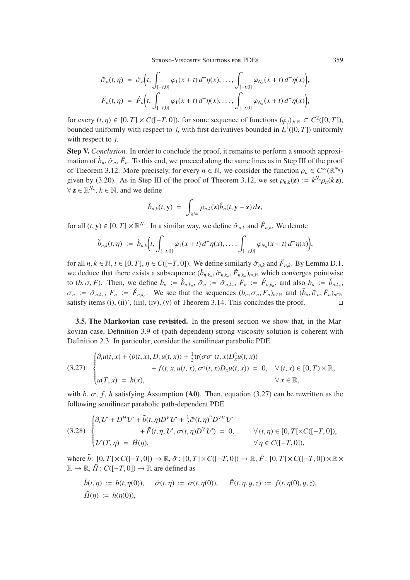STRONG-VISCOSITY SOLUTIONS FOR PDES 359

$$
\tilde{\sigma}_n(t,\eta) = \hat{\sigma}_n\Big(t, \int_{[-t,0]} \varphi_1(x+t) d^-\eta(x), \ldots, \int_{[-t,0]} \varphi_{N_n}(x+t) d^-\eta(x)\Big),
$$
  

$$
\tilde{F}_n(t,\eta) = \hat{F}_n\Big(t, \int_{[-t,0]} \varphi_1(x+t) d^-\eta(x), \ldots, \int_{[-t,0]} \varphi_{N_n}(x+t) d^-\eta(x)\Big),
$$

for every  $(t, \eta) \in [0, T] \times C([-T, 0])$ , for some sequence of functions  $(\varphi_i)_{i \in \mathbb{N}} \subset C^2([0, T])$ , bounded uniformly with respect to *j*, with first derivatives bounded in  $L^1([0, T])$  uniformly with respect to *j*.

Step V. *Conclusion.* In order to conclude the proof, it remains to perform a smooth approximation of  $\hat{b}_n$ ,  $\hat{\sigma}_n$ ,  $\hat{F}_n$ . To this end, we proceed along the same lines as in Step III of the proof of Theorem 3.12. More precisely, for every  $n \in \mathbb{N}$ , we consider the function  $\rho_n \in C^{\infty}(\mathbb{R}^{N_n})$ given by (3.20). As in Step III of the proof of Theorem 3.12, we set  $\rho_{n,k}(z) := k^{N_n} \rho_n(kz)$ ,  $\forall z \in \mathbb{R}^{N_n}, k \in \mathbb{N}$ , and we define

$$
\hat{b}_{n,k}(t,\mathbf{y}) = \int_{\mathbb{R}^{N_n}} \rho_{n,k}(\mathbf{z}) \hat{b}_n(t,\mathbf{y}-\mathbf{z}) d\mathbf{z},
$$

for all  $(t, y) \in [0, T] \times \mathbb{R}^{N_n}$ . In a similar way, we define  $\hat{\sigma}_{n,k}$  and  $\hat{F}_{n,k}$ . We denote

$$
\check{b}_{n,k}(t,\eta) := \hat{b}_{n,k}\Big(t,\int_{[-t,0]} \varphi_1(x+t) d^-\eta(x),\ldots,\int_{[-t,0]} \varphi_{N_n}(x+t) d^-\eta(x)\Big),\,
$$

for all  $n, k \in \mathbb{N}, t \in [0, T], \eta \in C([-T, 0])$ . We define similarly  $\check{\sigma}_{n,k}$  and  $\check{F}_{n,k}$ . By Lemma D.1, we deduce that there exists a subsequence  $(\check{b}_{n,k_n}, \check{\sigma}_{n,k_n}, \check{F}_{n,k_n})_{n \in \mathbb{N}}$  which converges pointwise to  $(b, \sigma, F)$ . Then, we define  $\bar{b}_n := \hat{b}_{n,k_n}, \bar{\sigma}_n := \hat{\sigma}_{n,k_n}, \bar{F}_n := \hat{F}_{n,k_n}$ , and also  $b_n := \check{b}_{n,k_n}$ ,  $\sigma_n := \check{\sigma}_{n,k_n}$ ,  $F_n := \check{F}_{n,k_n}$ . We see that the sequences  $(b_n, \sigma_n, F_n)_{n \in \mathbb{N}}$  and  $(\bar{b}_n, \bar{\sigma}_n, \bar{F}_n)_{n \in \mathbb{N}}$ satisfy items (i), (ii)', (iii), (iv), (v) of Theorem 3.14. This concludes the proof.

3.5. The Markovian case revisited. In the present section we show that, in the Markovian case, Definition 3.9 of (path-dependent) strong-viscosity solution is coherent with Definition 2.3. In particular, consider the semilinear parabolic PDE

$$
(3.27) \quad\n\begin{cases}\n\partial_t u(t,x) + \langle b(t,x), D_x u(t,x) \rangle + \frac{1}{2} \text{tr}(\sigma \sigma^\top(t,x) D_x^2 u(t,x)) \\
\qquad + f(t,x, u(t,x), \sigma^\top(t,x) D_x u(t,x)) = 0, \quad \forall (t,x) \in [0,T) \times \mathbb{R}, \\
u(T,x) = h(x), \quad \forall x \in \mathbb{R},\n\end{cases}
$$

with  $b, \sigma, f, h$  satisfying Assumption (A0). Then, equation (3.27) can be rewritten as the following semilinear parabolic path-dependent PDE

(3.28) 
$$
\begin{cases} \partial_t \mathcal{U} + D^H \mathcal{U} + \tilde{b}(t,\eta) D^V \mathcal{U} + \frac{1}{2} \tilde{\sigma}(t,\eta)^2 D^{VV} \mathcal{U} \\qquad \qquad + \tilde{F}(t,\eta,\mathcal{U},\sigma(t,\eta) D^V \mathcal{U}) = 0, \qquad \forall (t,\eta) \in [0,T[ \times C([-T,0]),\\ \mathcal{U}(T,\eta) = \tilde{H}(\eta), \qquad \qquad \forall \eta \in C([-T,0]), \end{cases}
$$

where  $\tilde{b}$ :  $[0, T] \times C([-T, 0]) \rightarrow \mathbb{R}, \tilde{\sigma}$ :  $[0, T] \times C([-T, 0]) \rightarrow \mathbb{R}, \tilde{F}$ :  $[0, T] \times C([-T, 0]) \times \mathbb{R} \times$  $\mathbb{R} \to \mathbb{R}, \tilde{H}$ :  $C([-T, 0]) \to \mathbb{R}$  are defined as

$$
\tilde{b}(t,\eta) := b(t,\eta(0)), \quad \tilde{\sigma}(t,\eta) := \sigma(t,\eta(0)), \quad \tilde{F}(t,\eta,y,z) := f(t,\eta(0),y,z), \n\tilde{H}(\eta) := h(\eta(0)),
$$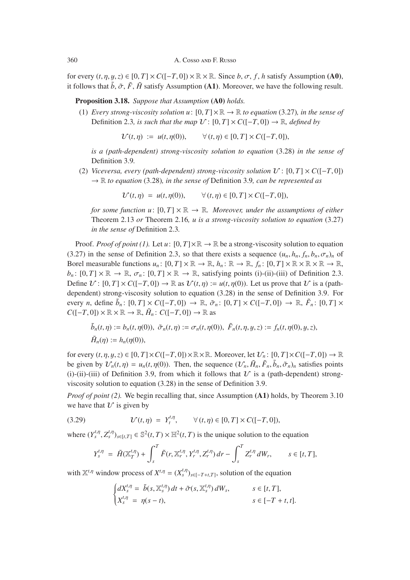for every  $(t, \eta, y, z) \in [0, T] \times C([-T, 0]) \times \mathbb{R} \times \mathbb{R}$ . Since  $b, \sigma, f, h$  satisfy Assumption (A0), it follows that  $\tilde{b}$ ,  $\tilde{\sigma}$ ,  $\tilde{F}$ ,  $\tilde{H}$  satisfy Assumption (A1). Moreover, we have the following result.

Proposition 3.18. *Suppose that Assumption* (A0) *holds.*

(1) *Every strong-viscosity solution u*:  $[0, T] \times \mathbb{R} \to \mathbb{R}$  *to equation* (3.27)*, in the sense of* Definition 2.3*, is such that the map*  $U: [0, T] \times C([-T, 0]) \rightarrow \mathbb{R}$ *, defined by* 

 $\mathcal{U}(t, \eta) := u(t, \eta(0)), \qquad \forall (t, \eta) \in [0, T] \times C([-T, 0]),$ 

*is a (path-dependent) strong-viscosity solution to equation* (3.28) *in the sense of* Definition 3.9*.*

(2) *Viceversa, every (path-dependent) strong-viscosity solution*  $V : [0, T] \times C([-T, 0])$ → R *to equation* (3.28)*, in the sense of* Definition 3.9*, can be represented as*

 $\mathcal{U}(t, \eta) = u(t, \eta(0)), \qquad \forall (t, \eta) \in [0, T] \times C([-T, 0]),$ 

*for some function u*:  $[0, T] \times \mathbb{R} \rightarrow \mathbb{R}$ *. Moreover, under the assumptions of either* Theorem 2.13 *or* Theorem 2.16*, u is a strong-viscosity solution to equation* (3.27) *in the sense of* Definition 2.3*.*

Proof. *Proof of point (1).* Let  $u: [0, T] \times \mathbb{R} \to \mathbb{R}$  be a strong-viscosity solution to equation (3.27) in the sense of Definition 2.3, so that there exists a sequence  $(u_n, h_n, f_n, b_n, \sigma_n)_n$  of Borel measurable functions  $u_n: [0, T] \times \mathbb{R} \to \mathbb{R}$ ,  $h_n: \mathbb{R} \to \mathbb{R}$ ,  $f_n: [0, T] \times \mathbb{R} \times \mathbb{R} \times \mathbb{R} \to \mathbb{R}$ ,  $b_n: [0, T] \times \mathbb{R} \to \mathbb{R}, \sigma_n: [0, T] \times \mathbb{R} \to \mathbb{R}$ , satisfying points (i)-(ii)-(iii) of Definition 2.3. Define  $U: [0, T] \times C([-T, 0]) \to \mathbb{R}$  as  $U(t, \eta) := u(t, \eta(0))$ . Let us prove that U is a (pathdependent) strong-viscosity solution to equation (3.28) in the sense of Definition 3.9. For every *n*, define  $\tilde{b}_n$ :  $[0, T] \times C([-T, 0]) \rightarrow \mathbb{R}$ ,  $\tilde{\sigma}_n$ :  $[0, T] \times C([-T, 0]) \rightarrow \mathbb{R}$ ,  $\tilde{F}_n$ :  $[0, T] \times$  $C([-T, 0]) \times \mathbb{R} \times \mathbb{R} \to \mathbb{R}, \tilde{H}_n : C([-T, 0]) \to \mathbb{R}$  as

$$
\tilde{b}_n(t,\eta) := b_n(t,\eta(0)), \ \tilde{\sigma}_n(t,\eta) := \sigma_n(t,\eta(0)), \ \tilde{F}_n(t,\eta,y,z) := f_n(t,\eta(0),y,z), \n\tilde{H}_n(\eta) := h_n(\eta(0)),
$$

for every  $(t, \eta, y, z) \in [0, T] \times C([-T, 0]) \times \mathbb{R} \times \mathbb{R}$ . Moreover, let  $\mathcal{U}_n$ :  $[0, T] \times C([-T, 0]) \to \mathbb{R}$ be given by  $V_n(t, \eta) = u_n(t, \eta(0))$ . Then, the sequence  $(V_n, \tilde{H}_n, \tilde{F}_n, \tilde{b}_n, \tilde{\sigma}_n)_n$  satisfies points (i)-(ii)-(iii) of Definition 3.9, from which it follows that  $U$  is a (path-dependent) strongviscosity solution to equation (3.28) in the sense of Definition 3.9.

*Proof of point (2).* We begin recalling that, since Assumption (A1) holds, by Theorem 3.10 we have that  $\mathcal U$  is given by

(3.29) 
$$
\mathcal{U}(t,\eta) = Y_t^{t,\eta}, \qquad \forall (t,\eta) \in [0,T] \times C([-T,0]),
$$

where  $(Y_s^{t,\eta}, Z_s^{t,\eta})_{s \in [t,T]} \in \mathbb{S}^2(t,T) \times \mathbb{H}^2(t,T)$  is the unique solution to the equation

$$
Y_s^{t,\eta} = \tilde{H}(\mathbb{X}_T^{t,\eta}) + \int_s^T \tilde{F}(r, \mathbb{X}_r^{t,\eta}, Y_r^{t,\eta}, Z_r^{t,\eta}) dr - \int_s^T Z_r^{t,\eta} dW_r, \qquad s \in [t,T],
$$

with  $\mathbb{X}^{t,\eta}$  window process of  $X^{t,\eta} = (X_s^{t,\eta})_{s \in [-T+t,T]},$  solution of the equation

$$
\begin{cases}\ndX_s^{t,\eta} = \tilde{b}(s, \mathbb{X}_s^{t,\eta}) dt + \tilde{\sigma}(s, \mathbb{X}_s^{t,\eta}) dW_s, & s \in [t, T], \\
X_s^{t,\eta} = \eta(s-t), & s \in [-T+t, t].\n\end{cases}
$$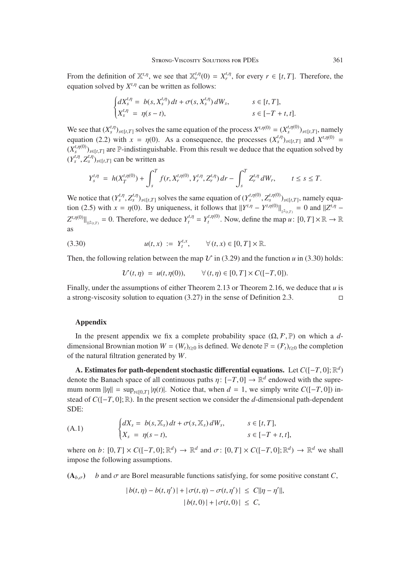From the definition of  $\mathbb{X}^{t,\eta}$ , we see that  $\mathbb{X}^{t,\eta}_r(0) = X^{t,\eta}_r$ , for every  $r \in [t, T]$ . Therefore, the equation solved by  $Y^{t,\eta}$  can be written as follows: equation solved by  $X^{t,\eta}$  can be written as follows:

$$
\begin{cases}\ndX_s^{t,\eta} = b(s, X_s^{t,\eta}) dt + \sigma(s, X_s^{t,\eta}) dW_s, & s \in [t, T], \\
X_s^{t,\eta} = \eta(s - t), & s \in [-T + t, t].\n\end{cases}
$$

We see that  $(X_s^{t,\eta})_{s\in[t,T]}$  solves the same equation of the process  $X^{t,\eta(0)} = (X_s^{t,\eta(0)})_{s\in[t,T]}$ , namely equation (2.2) with  $x = \eta(0)$ . As a consequence, the processes  $(X_s^{t,\eta})_{s \in [t,T]}$  and  $X^{t,\eta(0)} = (X_t^{t,\eta(0)})$  $(X_s^{t,\eta(0)})_{s \in [t,T]}$  are P-indistinguishable. From this result we deduce that the equation solved by  $(Y_s^{t,\eta}, Z_s^{t,\eta})_{s \in [t,T]}$  can be written as

$$
Y_s^{t,\eta} = h(X_T^{t,\eta(0)}) + \int_s^T f(r, X_r^{t,\eta(0)}, Y_r^{t,\eta}, Z_r^{t,\eta}) dr - \int_s^T Z_r^{t,\eta} dW_r, \qquad t \le s \le T.
$$

We notice that  $(Y_s^{t,\eta}, Z_s^{t,\eta})_{s \in [t,T]}$  solves the same equation of  $(Y_s^{t,\eta(0)}, Z_s^{t,\eta(0)})_{s \in [t,T]}$ , namely equation (2.5) with  $x = p(0)$ . By uniqueness, it follows that  $||V^{t,\eta} - V^{t,\eta(0)}|| = 0$  and  $||Z^{t,\eta}||$ tion (2.5) with  $x = \eta(0)$ . By uniqueness, it follows that  $||Y^{t,\eta} - Y^{t,\eta(0)}||_{s^2(t)} = 0$  and  $||Z^{t,\eta} - Y^{t,\eta(0)}||_{s^2(t)}$  $Z^{t,\eta(0)}|_{\mathbb{H}^2(t,T)} = 0$ . Therefore, we deduce  $Y_t^{t,\eta} = Y_t^{t,\eta(0)}$ . Now, define the map  $u: [0,T] \times \mathbb{R} \to \mathbb{R}$ as

(3.30) 
$$
u(t, x) := Y_t^{t, x}, \quad \forall (t, x) \in [0, T] \times \mathbb{R}.
$$

Then, the following relation between the map  $\mathcal V$  in (3.29) and the function *u* in (3.30) holds:

 $\mathcal{U}(t, \eta) = u(t, \eta(0)), \qquad \forall (t, \eta) \in [0, T] \times C([-T, 0]).$ 

Finally, under the assumptions of either Theorem 2.13 or Theorem 2.16, we deduce that *u* is a strong-viscosity solution to equation  $(3.27)$  in the sense of Definition 2.3.

# Appendix

In the present appendix we fix a complete probability space  $(\Omega, \mathcal{F}, \mathbb{P})$  on which a *d*dimensional Brownian motion  $W = (W_t)_{t \geq 0}$  is defined. We denote  $\mathbb{F} = (\mathcal{F}_t)_{t \geq 0}$  the completion of the natural filtration generated by *W*.

. Estimates for path-dependent stochastic differential equations. A. Estimates for path-dependent stochastic differential equations. Let *<sup>C</sup>*([−*T*, 0];R*<sup>d</sup>*) denote the Banach space of all continuous paths  $\eta: [-T, 0] \to \mathbb{R}^d$  endowed with the supremum norm  $\|\eta\| = \sup_{t \in [0,T]} |\eta(t)|$ . Notice that, when  $d = 1$ , we simply write  $C([-T, 0])$  instead of  $C([-T, 0]; \mathbb{R})$ . In the present section we consider the *d*-dimensional path-dependent SDE:

(A.1) 
$$
\begin{cases} dX_s = b(s, X_s) dt + \sigma(s, X_s) dW_s, & s \in [t, T], \\ X_s = \eta(s - t), & s \in [-T + t, t], \end{cases}
$$

where on *b*:  $[0, T] \times C([-T, 0]; \mathbb{R}^d) \rightarrow \mathbb{R}^d$  and  $\sigma$ :  $[0, T] \times C([-T, 0]; \mathbb{R}^d) \rightarrow \mathbb{R}^d$  we shall impose the following assumptions.

 $(A_{b,\sigma})$  *b* and  $\sigma$  are Borel measurable functions satisfying, for some positive constant *C*,

$$
|b(t, \eta) - b(t, \eta')| + |\sigma(t, \eta) - \sigma(t, \eta')| \le C ||\eta - \eta'||,
$$
  

$$
|b(t, 0)| + |\sigma(t, 0)| \le C,
$$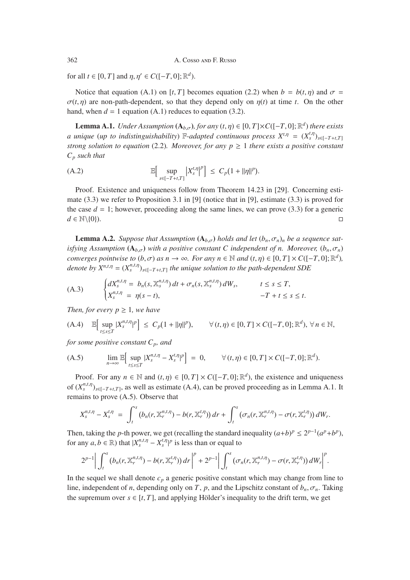for all  $t \in [0, T]$  and  $\eta, \eta' \in C([-T, 0]; \mathbb{R}^d)$ .

Notice that equation (A.1) on [*t*, *T*] becomes equation (2.2) when  $b = b(t, \eta)$  and  $\sigma =$  $\sigma(t, \eta)$  are non-path-dependent, so that they depend only on  $\eta(t)$  at time *t*. On the other hand, when  $d = 1$  equation  $(A.1)$  reduces to equation  $(3.2)$ .

**Lemma A.1.** *Under Assumption*  $(A_{b,\sigma})$ *, for any*  $(t,\eta) \in [0,T] \times C([-T,0];\mathbb{R}^d)$  *there exists a* unique (*up to indistinguishability*)  $\mathbb{F}$ -*adapted continuous process*  $X^{t,\eta} = (X^{t,\eta}_s)_{s \in [-T+t,T]}$ *strong solution to equation* (2.2)*. Moreover, for any*  $p \ge 1$  *there exists a positive constant Cp such that*

(A.2) 
$$
\mathbb{E}\Big[\sup_{s\in[-T+t,T]} |X_s^{t,\eta}|^p\Big] \leq C_p(1+||\eta||^p).
$$

Proof. Existence and uniqueness follow from Theorem 14.23 in [29]. Concerning estimate  $(3.3)$  we refer to Proposition 3.1 in [9] (notice that in [9], estimate  $(3.3)$  is proved for the case  $d = 1$ ; however, proceeding along the same lines, we can prove (3.3) for a generic  $d \in \mathbb{N} \setminus \{0\}$ .

**Lemma A.2.** *Suppose that Assumption*  $(A_{b,\sigma})$  *holds and let*  $(b_n, \sigma_n)_n$  *be a sequence satisfying Assumption*  $(A_{b,\sigma})$  *with a positive constant C independent of n. Moreover,*  $(b_n, \sigma_n)$ *converges pointwise to*  $(b, \sigma)$  *as*  $n \to \infty$ *. For any*  $n \in \mathbb{N}$  *and*  $(t, \eta) \in [0, T] \times C([-T, 0]; \mathbb{R}^d)$ *, denote by*  $X^{n,t,\eta} = (X^{n,t,\eta}_s)_{s \in [-T+t,T]}$  *the unique solution to the path-dependent SDE* 

(A.3) 
$$
\begin{cases} dX_s^{n,t,\eta} = b_n(s, \mathbb{X}_s^{n,t,\eta}) dt + \sigma_n(s, \mathbb{X}_s^{n,t,\eta}) dW_s, & t \leq s \leq T, \\ X_s^{n,t,\eta} = \eta(s-t), & -T + t \leq s \leq t. \end{cases}
$$

*Then, for every*  $p \geq 1$ *, we have* 

$$
(A.4) \quad \mathbb{E}\Big[\sup_{t\leq s\leq T}|X_s^{n,t,\eta}|^p\Big]\ \leq\ C_p(1+||\eta||^p),\qquad \forall\,(t,\eta)\in[0,T]\times C([-T,0];\mathbb{R}^d),\,\forall\,n\in\mathbb{N},
$$

*for some positive constant*  $C_p$ *, and* 

(A.5) 
$$
\lim_{n\to\infty}\mathbb{E}\Big[\sup_{t\leq s\leq T}|X_s^{n,t,\eta}-X_s^{t,\eta}|^p\Big]=0, \qquad \forall (t,\eta)\in[0,T]\times C([-T,0];\mathbb{R}^d).
$$

Proof. For any  $n \in \mathbb{N}$  and  $(t, \eta) \in [0, T] \times C([-T, 0]; \mathbb{R}^d)$ , the existence and uniqueness of  $(X_s^{n,t,\eta})_{s \in [-T+t,T]}$ , as well as estimate (A.4), can be proved proceeding as in Lemma A.1. It remains to prove (A.5). Observe that

$$
X_s^{n,t,\eta}-X_s^{t,\eta} = \int_t^s (b_n(r, \mathbb{X}_r^{n,t,\eta})-b(r, \mathbb{X}_r^{t,\eta}))\,dr + \int_t^s (\sigma_n(r, \mathbb{X}_r^{n,t,\eta})-\sigma(r, \mathbb{X}_r^{t,\eta}))\,dW_r.
$$

Then, taking the *p*-th power, we get (recalling the standard inequality  $(a+b)^p \leq 2^{p-1}(a^p+b^p)$ , for any  $a, b \in \mathbb{R}$ ) that  $|X_s^{n,t,\eta} - X_s^{t,\eta}|^p$  is less than or equal to

$$
2^{p-1}\bigg|\int_t^s\big(b_n(r,\mathbb{X}_r^{n,t,\eta})-b(r,\mathbb{X}_r^{t,\eta})\big)\,dr\bigg|^p+2^{p-1}\bigg|\int_t^s\big(\sigma_n(r,\mathbb{X}_r^{n,t,\eta})-\sigma(r,\mathbb{X}_r^{t,\eta})\big)\,dW_r\bigg|^p.
$$

In the sequel we shall denote  $c_p$  a generic positive constant which may change from line to line, independent of *n*, depending only on *T*, *p*, and the Lipschitz constant of  $b_n$ ,  $\sigma_n$ . Taking the supremum over  $s \in [t, T]$ , and applying Hölder's inequality to the drift term, we get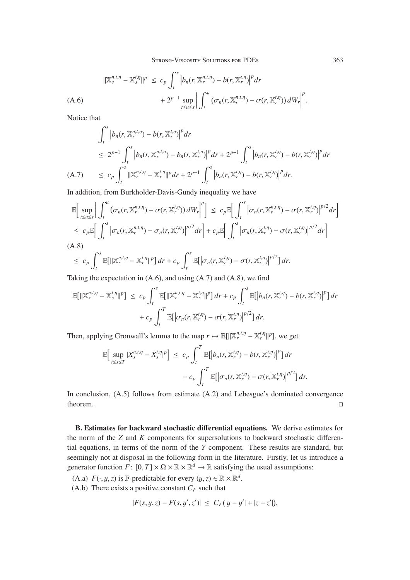$$
\begin{split} \|\mathbb{X}_{s}^{n,t,\eta}-\mathbb{X}_{s}^{t,\eta}\|^{p} &\leq c_{p}\int_{t}^{s}\left|b_{n}(r,\mathbb{X}_{r}^{n,t,\eta})-b(r,\mathbb{X}_{r}^{t,\eta})\right|^{p}dr\\ &+2^{p-1}\sup_{t\leq u\leq s}\left|\int_{t}^{u}\left(\sigma_{n}(r,\mathbb{X}_{r}^{n,t,\eta})-\sigma(r,\mathbb{X}_{r}^{t,\eta})\right)dW_{r}\right|^{p}.\end{split}
$$

Notice that

$$
\int_{t}^{s} \left| b_{n}(r, \mathbb{X}_{r}^{n,t,\eta}) - b(r, \mathbb{X}_{r}^{t,\eta}) \right|^{p} dr
$$
\n
$$
\leq 2^{p-1} \int_{t}^{s} \left| b_{n}(r, \mathbb{X}_{r}^{n,t,\eta}) - b_{n}(r, \mathbb{X}_{r}^{t,\eta}) \right|^{p} dr + 2^{p-1} \int_{t}^{s} \left| b_{n}(r, \mathbb{X}_{r}^{t,\eta}) - b(r, \mathbb{X}_{r}^{t,\eta}) \right|^{p} dr
$$
\n(A.7) 
$$
\leq c_{p} \int_{t}^{s} \left| \|\mathbb{X}_{r}^{n,t,\eta} - \mathbb{X}_{r}^{t,\eta} \right|^{p} dr + 2^{p-1} \int_{t}^{s} \left| b_{n}(r, \mathbb{X}_{r}^{t,\eta}) - b(r, \mathbb{X}_{r}^{t,\eta}) \right|^{p} dr.
$$

In addition, from Burkholder-Davis-Gundy inequality we have

$$
\mathbb{E}\Big[\sup_{t\leq u\leq s}\Big|\int_{t}^{u}\big(\sigma_{n}(r,\mathbb{X}_{r}^{n,t,\eta})-\sigma(r,\mathbb{X}_{r}^{t,\eta})\big)dW_{r}\Big|^{p}\Big]\leq c_{p}\mathbb{E}\Big[\int_{t}^{s}\big|\sigma_{n}(r,\mathbb{X}_{r}^{n,t,\eta})-\sigma(r,\mathbb{X}_{r}^{t,\eta})\big|^{p/2}dr\Big]
$$
\n
$$
\leq c_{p}\mathbb{E}\Big[\int_{t}^{s}\big|\sigma_{n}(r,\mathbb{X}_{r}^{n,t,\eta})-\sigma_{n}(r,\mathbb{X}_{r}^{t,\eta})\big|^{p/2}dr\Big]+c_{p}\mathbb{E}\Big[\int_{t}^{s}\big|\sigma_{n}(r,\mathbb{X}_{r}^{t,\eta})-\sigma(r,\mathbb{X}_{r}^{t,\eta})\big|^{p/2}dr\Big]
$$
\n(A.8)

$$
\leq c_p \int_t^s \mathbb{E}[||\mathbb{X}_r^{n,t,\eta}-\mathbb{X}_r^{t,\eta}||^p] dr + c_p \int_t^s \mathbb{E}[|\sigma_n(r,\mathbb{X}_r^{t,\eta})-\sigma(r,\mathbb{X}_r^{t,\eta})|^{p/2}] dr.
$$

Taking the expectation in  $(A.6)$ , and using  $(A.7)$  and  $(A.8)$ , we find

$$
\mathbb{E}[\|\mathbb{X}_{s}^{n,t,\eta} - \mathbb{X}_{s}^{t,\eta}\|^{p}] \leq c_{p} \int_{t}^{s} \mathbb{E}[\|\mathbb{X}_{r}^{n,t,\eta} - \mathbb{X}_{r}^{t,\eta}\|^{p}] dr + c_{p} \int_{t}^{s} \mathbb{E}[\left|b_{n}(r,\mathbb{X}_{r}^{t,\eta}) - b(r,\mathbb{X}_{r}^{t,\eta})\right|^{p}] dr
$$

$$
+ c_{p} \int_{t}^{T} \mathbb{E}[\left|\sigma_{n}(r,\mathbb{X}_{r}^{t,\eta}) - \sigma(r,\mathbb{X}_{r}^{t,\eta})\right|^{p/2}] dr.
$$

Then, applying Gronwall's lemma to the map  $r \mapsto \mathbb{E}[\|\mathbb{X}_r^{n,t,\eta} - \mathbb{X}_r^{t,\eta} \|^{p}]$ , we get

$$
\mathbb{E}\Big[\sup_{t\leq s\leq T}|X_s^{n,t,\eta}-X_s^{t,\eta}|^p\Big]\leq c_p\int_t^T\mathbb{E}\big[\Big|b_n(r,\mathbb{X}_r^{t,\eta})-b(r,\mathbb{X}_r^{t,\eta})\Big|^p\big]dr\\+c_p\int_t^T\mathbb{E}\big[\Big|\sigma_n(r,\mathbb{X}_r^{t,\eta})-\sigma(r,\mathbb{X}_r^{t,\eta})\Big|^{p/2}\big]dr.
$$

In conclusion, (A.5) follows from estimate (A.2) and Lebesgue's dominated convergence theorem.

A. Estimates for backward stochastic differential equations. B. Estimates for backward stochastic differential equations. We derive estimates for the norm of the *Z* and *K* components for supersolutions to backward stochastic differential equations, in terms of the norm of the *Y* component. These results are standard, but seemingly not at disposal in the following form in the literature. Firstly, let us introduce a generator function  $F: [0, T] \times \Omega \times \mathbb{R} \times \mathbb{R}^d \to \mathbb{R}$  satisfying the usual assumptions:

(A.a)  $F(\cdot, y, z)$  is F-predictable for every  $(y, z) \in \mathbb{R} \times \mathbb{R}^d$ .

(A.b) There exists a positive constant  $C_F$  such that

$$
|F(s, y, z) - F(s, y', z')| \leq C_F(|y - y'| + |z - z'|),
$$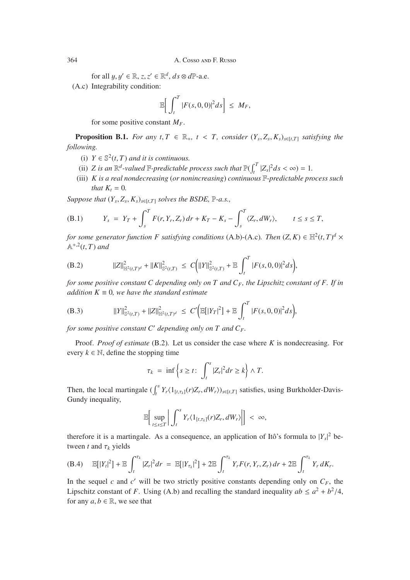for all  $y, y' \in \mathbb{R}, z, z' \in \mathbb{R}^d, ds \otimes d\mathbb{P}$ -a.e.

(A.c) Integrability condition:

$$
\mathbb{E}\bigg[\int_t^T |F(s,0,0)|^2 ds\bigg] \leq M_F,
$$

for some positive constant  $M_F$ .

**Proposition B.1.** *For any t*,  $T \in \mathbb{R}_+$ ,  $t < T$ , consider  $(Y_s, Z_s, K_s)_{s \in [t,T]}$  satisfying the *following.*

- (i)  $Y \in \mathbb{S}^2(t, T)$  *and it is continuous.*
- (ii) *Z* is an  $\mathbb{R}^d$ -valued  $\mathbb{F}$ -predictable process such that  $\mathbb{P}(\int_t^T |Z_s|^2 ds < \infty) = 1$ .<br> *K* is a real pendecreasing (or peniperagging) continuous  $\mathbb{F}$  predictable pro-
- (iii) *K is a real nondecreasing* (*or nonincreasing*) *continuous* F*-predictable process such that*  $K_t = 0$ *.*

*Suppose that*  $(Y_s, Z_s, K_s)_{s \in [t,T]}$  *solves the BSDE*,  $\mathbb{P}\text{-}a.s.,$ 

(B.1) 
$$
Y_s = Y_T + \int_s^T F(r, Y_r, Z_r) dr + K_T - K_s - \int_s^T \langle Z_r, dW_r \rangle, \qquad t \leq s \leq T,
$$

*for some generator function F satisfying conditions* (A.b)-(A.c)*. Then*  $(Z, K) \in \mathbb{H}^2(t, T)^d \times$ <br> $\mathbb{A}^{+2}(t, T)$  and  $\mathbb{A}^{+,2}(t,T)$  *and* 

(B.2) 
$$
||Z||^2_{\mathbb{H}^2(t,T)^d} + ||K||^2_{\mathbb{S}^2(t,T)} \leq C(|Y||^2_{\mathbb{S}^2(t,T)} + \mathbb{E} \int_t^T |F(s,0,0)|^2 ds,
$$

*for some positive constant C depending only on T and*  $C_F$ *, the Lipschitz constant of F. If in addition*  $K \equiv 0$ *, we have the standard estimate* 

(B.3) 
$$
||Y||_{\mathbb{S}^2(t,T)}^2 + ||Z||_{\mathbb{H}^2(t,T)^d}^2 \leq C' \Big( \mathbb{E}[|Y_T|^2] + \mathbb{E} \int_t^T |F(s,0,0)|^2 ds \Big),
$$

*for some positive constant C depending only on T and CF.*

Proof. *Proof of estimate* (B.2)*.* Let us consider the case where *K* is nondecreasing. For every  $k \in \mathbb{N}$ , define the stopping time

$$
\tau_k = \inf \left\{ s \ge t : \int_t^s |Z_r|^2 dr \ge k \right\} \wedge T.
$$

Then, the local martingale  $(\int_t^s Y_r \langle 1_{[t,\tau_k]}(r)Z_r, dW_r \rangle)_{s \in [t,T]}$  satisfies, using Burkholder-Davis-Gundy inequality Gundy inequality,

$$
\mathbb{E}\bigg[\sup_{t\leq s\leq T}\bigg|\int_t^s Y_r\langle 1_{[t,\tau_k]}(r)Z_r, dW_r\rangle\bigg|\bigg] < \infty,
$$

therefore it is a martingale. As a consequence, an application of Itô's formula to  $|Y_s|^2$  between *t* and  $\tau_k$  yields

(B.4) 
$$
\mathbb{E}[|Y_t|^2] + \mathbb{E}\int_t^{\tau_k} |Z_r|^2 dr = \mathbb{E}[|Y_{\tau_k}|^2] + 2\mathbb{E}\int_t^{\tau_k} Y_r F(r, Y_r, Z_r) dr + 2\mathbb{E}\int_t^{\tau_k} Y_r dK_r.
$$

In the sequel *c* and *c'* will be two strictly positive constants depending only on  $C_F$ , the Lipschitz constant of *F*. Using (A.b) and recalling the standard inequality  $ab \le a^2 + b^2/4$ , for any  $a, b \in \mathbb{R}$ , we see that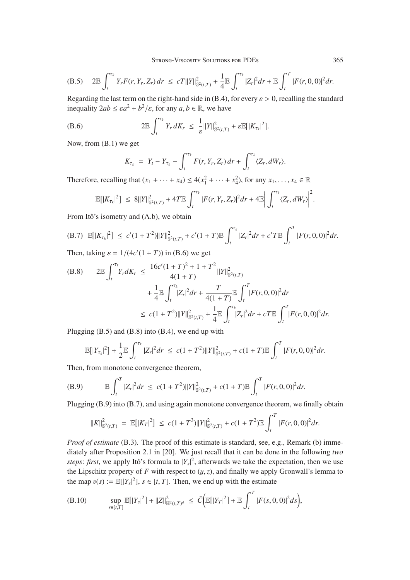(B.5) 
$$
2\mathbb{E}\int_t^{\tau_k} Y_r F(r, Y_r, Z_r) dr \le cT ||Y||^2_{\mathbb{S}^2(t,T)} + \frac{1}{4} \mathbb{E}\int_t^{\tau_k} |Z_r|^2 dr + \mathbb{E}\int_t^T |F(r, 0, 0)|^2 dr.
$$

Regarding the last term on the right-hand side in (B.4), for every  $\varepsilon > 0$ , recalling the standard inequality  $2ab \le \varepsilon a^2 + b^2/\varepsilon$ , for any  $a, b \in \mathbb{R}$ , we have

(B.6) 
$$
2\mathbb{E}\int_{t}^{\tau_{k}}Y_{r} dK_{r} \leq \frac{1}{\varepsilon}||Y||_{\mathbb{S}^{2}(t,T)}^{2} + \varepsilon\mathbb{E}[|K_{\tau_{k}}|^{2}].
$$

Now, from (B.1) we get

$$
K_{\tau_k} = Y_t - Y_{\tau_k} - \int_t^{\tau_k} F(r, Y_r, Z_r) dr + \int_t^{\tau_k} \langle Z_r, dW_r \rangle.
$$

Therefore, recalling that  $(x_1 + \cdots + x_4) \le 4(x_1^2 + \cdots + x_4^2)$ , for any  $x_1, \ldots, x_4 \in \mathbb{R}$ 

$$
\mathbb{E}[|K_{\tau_k}|^2] \leq 8||Y||_{\mathbb{S}^2(t,T)}^2 + 4T \mathbb{E} \int_t^{\tau_k} |F(r,Y_r,Z_r)|^2 dr + 4 \mathbb{E} \left| \int_t^{\tau_k} \langle Z_r, dW_r \rangle \right|^2
$$

From Itô's isometry and (A.b), we obtain

(B.7) 
$$
\mathbb{E}[|K_{\tau_k}|^2] \le c'(1+T^2)\|Y\|_{\mathbb{S}^2(t,T)}^2 + c'(1+T)\mathbb{E}\int_t^{\tau_k} |Z_r|^2 dr + c'T\mathbb{E}\int_t^T |F(r,0,0)|^2 dr.
$$

Then, taking  $\varepsilon = 1/(4c'(1+T))$  in (B.6) we get

(B.8) 
$$
2\mathbb{E}\int_{t}^{\tau_{k}}Y_{r}dK_{r} \leq \frac{16c'(1+T)^{2}+1+T^{2}}{4(1+T)}\|Y\|_{\mathbb{S}^{2}(t,T)}^{2} + \frac{1}{4}\mathbb{E}\int_{t}^{\tau_{k}}|Z_{r}|^{2}dr + \frac{T}{4(1+T)}\mathbb{E}\int_{t}^{T}|F(r,0,0)|^{2}dr
$$
  

$$
\leq c(1+T^{2})\|Y\|_{\mathbb{S}^{2}(t,T)}^{2} + \frac{1}{4}\mathbb{E}\int_{t}^{\tau_{k}}|Z_{r}|^{2}dr + cT\mathbb{E}\int_{t}^{T}|F(r,0,0)|^{2}dr.
$$

Plugging (B.5) and (B.8) into (B.4), we end up with

$$
\mathbb{E}[|Y_{\tau_k}|^2] + \frac{1}{2} \mathbb{E} \int_t^{\tau_k} |Z_r|^2 dr \leq c(1+T^2) \|Y\|_{\mathbb{S}^2(t,T)}^2 + c(1+T) \mathbb{E} \int_t^T |F(r,0,0)|^2 dr.
$$

Then, from monotone convergence theorem,

(B.9) 
$$
\mathbb{E}\int_t^T |Z_r|^2 dr \leq c(1+T^2)\|Y\|_{\mathbb{S}^2(t,T)}^2 + c(1+T)\mathbb{E}\int_t^T |F(r,0,0)|^2 dr.
$$

Plugging (B.9) into (B.7), and using again monotone convergence theorem, we finally obtain

$$
||K||_{\mathbb{S}^2(t,T)}^2 = \mathbb{E}[|K_T|^2] \le c(1+T^3)||Y||_{\mathbb{S}^2(t,T)}^2 + c(1+T^2)\mathbb{E}\int_t^T |F(r,0,0)|^2 dr.
$$

*Proof of estimate* (B.3). The proof of this estimate is standard, see, e.g., Remark (b) immediately after Proposition 2.1 in [20]. We just recall that it can be done in the following *two steps: first*, we apply Itô's formula to  $|Y_s|^2$ , afterwards we take the expectation, then we use the Lipschitz property of *F* with respect to  $(y, z)$ , and finally we apply Gronwall's lemma to the map  $v(s) := \mathbb{E}[|Y_s|^2]$ ,  $s \in [t, T]$ . Then, we end up with the estimate

(B.10) 
$$
\sup_{s\in[t,T]}\mathbb{E}[|Y_s|^2] + ||Z||^2_{\mathbb{H}^2(t,T)^d} \leq \bar{C} \Big( \mathbb{E}[|Y_T|^2] + \mathbb{E} \int_t^T |F(s,0,0)|^2 ds \Big),
$$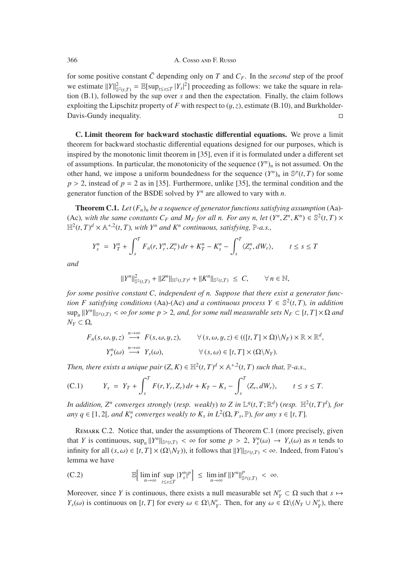for some positive constant  $\bar{C}$  depending only on  $T$  and  $C_F$ . In the *second* step of the proof we estimate  $||Y||_{\mathbb{S}^2(t,T)}^2 = \mathbb{E}[\sup_{t \leq s \leq T} |Y_s|^2]$  proceeding as follows: we take the square in rela-<br>tion (B 1) followed by the sup over s and then the expectation. Finally, the claim follows tion (B.1), followed by the sup over *s* and then the expectation. Finally, the claim follows exploiting the Lipschitz property of *F* with respect to  $(y, z)$ , estimate (B.10), and Burkholder-<br>Davis-Gundy inequality. Davis-Gundy inequality.

B. Limit theorem for backward stochastic differential equations. C. Limit theorem for backward stochastic differential equations. We prove a limit theorem for backward stochastic differential equations designed for our purposes, which is inspired by the monotonic limit theorem in [35], even if it is formulated under a different set of assumptions. In particular, the monotonicity of the sequence  $(Y^n)_n$  is not assumed. On the other hand, we impose a uniform boundedness for the sequence  $(Y^n)_n$  in  $\mathbb{S}^p(t,T)$  for some  $p > 2$ , instead of  $p = 2$  as in [35]. Furthermore, unlike [35], the terminal condition and the generator function of the BSDE solved by *Y<sup>n</sup>* are allowed to vary with *n*.

**Theorem C.1.** Let  $(F_n)_n$  be a sequence of generator functions satisfying assumption (Aa)-(Ac), with the same constants  $C_F$  and  $M_F$  for all n. For any n, let  $(Y^n, Z^n, K^n) \in \mathbb{S}^2(t, T) \times$  $\mathbb{H}^2(t,T)^d \times \mathbb{A}^{+,2}(t,T)$ , with  $Y^n$  and  $K^n$  *continuous, satisfying*,  $\mathbb{P}\text{-}a.s.,$ 

$$
Y_s^n = Y_T^n + \int_s^T F_n(r, Y_r^n, Z_r^n) dr + K_T^n - K_s^n - \int_s^T \langle Z_r^n, dW_r \rangle, \qquad t \le s \le T
$$

*and*

$$
||Y^n||_{\mathbb{S}^2(t,T)}^2 + ||Z^n||_{\mathbb{H}^2(t,T)^d} + ||K^n||_{\mathbb{S}^2(t,T)} \leq C, \qquad \forall n \in \mathbb{N},
$$

*for some positive constant C, independent of n. Suppose that there exist a generator function F satisfying conditions* (Aa)-(Ac) *and a continuous process*  $Y \in \mathbb{S}^2(t,T)$ *, in addition*  $\sup_n ||Y^n||_{\mathbb{S}^p(t,T)} < \infty$  for some  $p > 2$ , and, for some null measurable sets  $N_F \subset [t,T] \times \Omega$  and  $N_Y$  ⊂ Ω,

$$
F_n(s, \omega, y, z) \stackrel{n \to \infty}{\longrightarrow} F(s, \omega, y, z), \qquad \forall (s, \omega, y, z) \in (([t, T] \times \Omega) \setminus N_F) \times \mathbb{R} \times \mathbb{R}^d,
$$
  

$$
Y_s^n(\omega) \stackrel{n \to \infty}{\longrightarrow} Y_s(\omega), \qquad \forall (s, \omega) \in [t, T] \times (\Omega \setminus N_F).
$$

*Then, there exists a unique pair*  $(Z, K) \in \mathbb{H}^2(t, T)^d \times \mathbb{A}^{+,2}(t, T)$  *such that,*  $\mathbb{P}\text{-}a.s.,$ 

(C.1) 
$$
Y_s = Y_T + \int_s^T F(r, Y_r, Z_r) dr + K_T - K_s - \int_s^T \langle Z_r, dW_r \rangle, \qquad t \leq s \leq T.
$$

*In addition,*  $Z^n$  *converges strongly (resp. weakly) to*  $Z$  *in*  $\mathbb{L}^q(t,T;\mathbb{R}^d)$  (*resp.*  $\mathbb{H}^2(t,T)^d$ *), for*  $\mathbb{L}^q$  *and*  $Z^n$  *comparison weakly to*  $K$  *in*  $L^2(\Omega, \mathbb{R}, \mathbb{R})$  for  $\mathbb{L}^q$  *for*  $\math$ *any*  $q \in [1, 2],$  *and*  $K_s^n$  *converges weakly to*  $K_s$  *in*  $L^2(\Omega, \mathcal{F}_s, \mathbb{P})$ *, for any*  $s \in [t, T]$ *.* 

Remark C.2. Notice that, under the assumptions of Theorem C.1 (more precisely, given that *Y* is continuous,  $\sup_n ||Y^n||_{\mathbb{S}^p(t,T)} < \infty$  for some  $p > 2$ ,  $Y^n_s(\omega) \to Y_s(\omega)$  as *n* tends to infinity for all  $(s, \omega) \in [t, T] \times (O(M_\omega))$  it follows that  $||Y||_{\infty} \to \infty$ . Indeed, from Estow's infinity for all  $(s, \omega) \in [t, T] \times (\Omega \setminus N_Y)$ , it follows that  $||Y||_{\mathbb{S}^p(t,T)} < \infty$ . Indeed, from Fatou's lemma we have

(C.2) 
$$
\mathbb{E}\left[\liminf_{n\to\infty}\sup_{t\leq s\leq T}|Y_s^n|^p\right] \leq \liminf_{n\to\infty}||Y^n||_{\mathbb{S}^p(t,T)}^p < \infty.
$$

Moreover, since *Y* is continuous, there exists a null measurable set  $N'_Y \subset \Omega$  such that  $s \mapsto$ *Y<sub>s</sub>*( $\omega$ ) is continuous on [*t*, *T*] for every  $\omega \in \Omega \backslash N'_Y$ . Then, for any  $\omega \in \Omega \backslash (N_Y \cup N'_Y)$ , there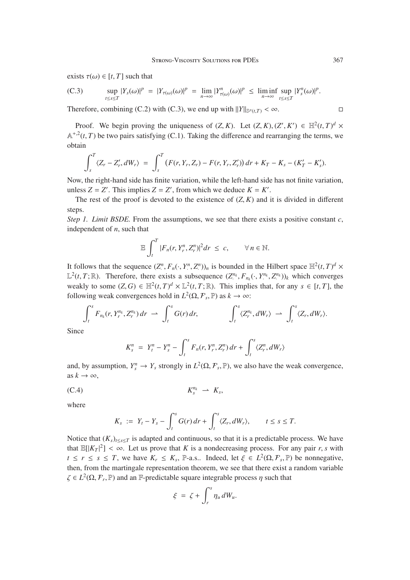exists  $\tau(\omega) \in [t, T]$  such that

(C.3) 
$$
\sup_{t\leq s\leq T}|Y_s(\omega)|^p = |Y_{\tau(\omega)}(\omega)|^p = \lim_{n\to\infty}|Y_{\tau(\omega)}^n(\omega)|^p \leq \liminf_{n\to\infty}\sup_{t\leq s\leq T}|Y_s^n(\omega)|^p.
$$

Therefore, combining (C.2) with (C.3), we end up with  $||Y||_{S^p(t,T)} < \infty$ .

Proof. We begin proving the uniqueness of  $(Z, K)$ . Let  $(Z, K), (Z', K') \in \mathbb{H}^2(t, T)^d \times$ <br> $\mathbb{R}^2(t, T)$  be two poirs opticizing  $(C, 1)$ . Taking the difference and regranging the terms, we  $A^{+,2}(t, T)$  be two pairs satisfying (C.1). Taking the difference and rearranging the terms, we obtain

$$
\int_{s}^{T} \langle Z_{r} - Z'_{r}, dW_{r} \rangle = \int_{s}^{T} (F(r, Y_{r}, Z_{r}) - F(r, Y_{r}, Z'_{r})) dr + K_{T} - K_{s} - (K'_{T} - K'_{s}).
$$

Now, the right-hand side has finite variation, while the left-hand side has not finite variation, unless  $Z = Z'$ . This implies  $Z = Z'$ , from which we deduce  $K = K'$ .

The rest of the proof is devoted to the existence of  $(Z, K)$  and it is divided in different steps.

*Step 1. Limit BSDE*. From the assumptions, we see that there exists a positive constant *c*, independent of *n*, such that

$$
\mathbb{E}\int_t^T|F_n(r,Y_r^n,Z_r^n)|^2dr \leq c, \qquad \forall n \in \mathbb{N}.
$$

It follows that the sequence  $(Z^n, F_n(\cdot, Y^n, Z^n))_n$  is bounded in the Hilbert space  $\mathbb{H}^2(t, T)^d \times \mathbb{Z}^2(t, T \cdot \mathbb{R})$ . Therefore, there exists a subsequence  $(Z^n_k, F_n(\cdot, Y^n_k, Z^n))$ , which converges  $\mathbb{L}^2(t, T; \mathbb{R})$ . Therefore, there exists a subsequence  $(Z^n, F_{n_k}(\cdot, Y^n, Z^n))_k$  which converges workly to some  $(Z, G) \in \mathbb{H}^2(t, T)^d \times \mathbb{L}^2(t, T; \mathbb{R})$ . This implies that for any  $s \in [t, T]$  the weakly to some  $(Z, G) \in \mathbb{H}^2(t, T)^d \times \mathbb{L}^2(t, T; \mathbb{R})$ . This implies that, for any  $s \in [t, T]$ , the following work convergences hold in  $L^2(\Omega, \mathbb{R}, \mathbb{R})$  as  $k \to \infty$ . following weak convergences hold in  $L^2(\Omega, \mathcal{F}_s, \mathbb{P})$  as  $k \to \infty$ :

$$
\int_t^s F_{n_k}(r, Y_r^{n_k}, Z_r^{n_k}) dr \rightharpoonup \int_t^s G(r) dr, \qquad \qquad \int_t^s \langle Z_r^{n_k}, dW_r \rangle \rightharpoonup \int_t^s \langle Z_r, dW_r \rangle.
$$

Since

$$
K_s^n = Y_t^n - Y_s^n - \int_t^s F_n(r, Y_r^n, Z_r^n) \, dr + \int_t^s \langle Z_r^n, dW_r \rangle
$$

and, by assumption,  $Y_s^n \to Y_s$  strongly in  $L^2(\Omega, \mathcal{F}_s, \mathbb{P})$ , we also have the weak convergence, as  $k \to \infty$ ,

$$
K_s^{n_k} \rightharpoonup K_s,
$$

where

$$
K_s := Y_t - Y_s - \int_t^s G(r) dr + \int_t^s \langle Z_r, dW_r \rangle, \qquad t \leq s \leq T.
$$

Notice that  $(K_s)_{t \leq s \leq T}$  is adapted and continuous, so that it is a predictable process. We have that  $\mathbb{E}[|K_T|^2] < \infty$ . Let us prove that *K* is a nondecreasing process. For any pair *r*, *s* with  $t \le r \le s \le T$ , we have  $K \le K$  is a subdoed let  $s \in L^2(\Omega, F, \mathbb{R})$  be nonporative. *t* ≤ *r* ≤ *s* ≤ *T*, we have  $K_r$  ≤  $K_s$ , P-a.s.. Indeed, let  $\xi$  ∈  $L^2(\Omega, \mathcal{F}_s, \mathbb{P})$  be nonnegative, then, from the martingale representation theorem, we see that there exist a random variable  $\zeta \in L^2(\Omega, \mathcal{F}_r, \mathbb{P})$  and an F-predictable square integrable process  $\eta$  such that

$$
\xi = \zeta + \int_r^s \eta_u dW_u.
$$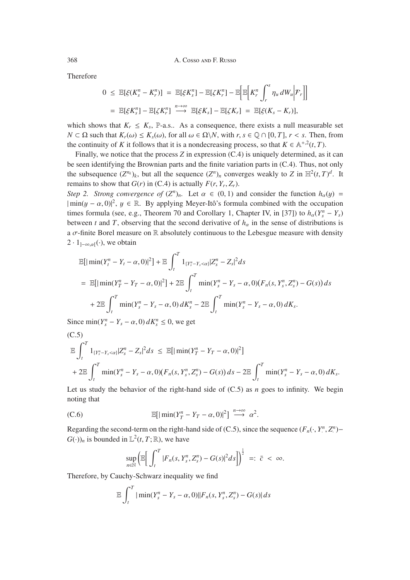Therefore

$$
0 \leq \mathbb{E}[\xi(K_s^n - K_r^n)] = \mathbb{E}[\xi K_s^n] - \mathbb{E}[\zeta K_r^n] - \mathbb{E}\Big[\mathbb{E}\Big[K_r^n \int_r^s \eta_u dW_u \Big| \mathcal{F}_r\Big]\Big]
$$
  
=  $\mathbb{E}[\xi K_s^n] - \mathbb{E}[\zeta K_r^n] \stackrel{n \to \infty}{\longrightarrow} \mathbb{E}[\xi K_s] - \mathbb{E}[\zeta K_r] = \mathbb{E}[\xi(K_s - K_r)],$ 

which shows that  $K_r \leq K_s$ , P-a.s.. As a consequence, there exists a null measurable set *N* ⊂ Ω such that  $K_r(\omega) \le K_s(\omega)$ , for all  $\omega \in \Omega \setminus N$ , with *r*, *s* ∈ ℚ ∩ [0, *T*], *r* < *s*. Then, from the continuity of *K* it follows that it is a nondecreasing process, so that  $K \in \mathbb{A}^{+,2}(t,T)$ .

Finally, we notice that the process *Z* in expression (C.4) is uniquely determined, as it can be seen identifying the Brownian parts and the finite variation parts in (C.4). Thus, not only the subsequence  $(Z^n)_k$ , but all the sequence  $(Z^n)_n$  converges weakly to *Z* in  $\mathbb{H}^2(t,T)^d$ . It remains to show that  $G(x)$  is  $(G, 4)$  is actually  $F(x, Y, Z)$ remains to show that  $G(r)$  in (C.4) is actually  $F(r, Y_r, Z_r)$ .

*Step 2. Strong convergence of*  $(Z^n)_n$ . Let  $\alpha \in (0,1)$  and consider the function  $h_{\alpha}(y) =$  $|\min(y - \alpha, 0)|^2$ ,  $y \in \mathbb{R}$ . By applying Meyer-Itô's formula combined with the occupation times formula (cee a.g. Theorem 70 and Corollary 1, Chapter IV in [371) to  $h$  (V<sup>n</sup> V) times formula (see, e.g., Theorem 70 and Corollary 1, Chapter IV, in [37]) to  $h_{\alpha}(Y_{\beta}^n - Y_s)$ between *t* and *T*, observing that the second derivative of  $h_\alpha$  in the sense of distributions is a  $\sigma$ -finite Borel measure on R absolutely continuous to the Lebesgue measure with density  $2 \cdot 1_{]-\infty,\alpha}(\cdot)$ , we obtain

$$
\mathbb{E}[\min(Y_t^n - Y_t - \alpha, 0)^2] + \mathbb{E} \int_t^T 1_{\{Y_s^n - Y_s < \alpha\}} |Z_s^n - Z_s|^2 ds
$$
\n
$$
= \mathbb{E}[\min(Y_T^n - Y_T - \alpha, 0)^2] + 2 \mathbb{E} \int_t^T \min(Y_s^n - Y_s - \alpha, 0)(F_n(s, Y_s^n, Z_s^n) - G(s)) ds
$$
\n
$$
+ 2 \mathbb{E} \int_t^T \min(Y_s^n - Y_s - \alpha, 0) dK_s^n - 2 \mathbb{E} \int_t^T \min(Y_s^n - Y_s - \alpha, 0) dK_s.
$$

Since  $\min(Y_s^n - Y_s - \alpha, 0) dK_s^n \le 0$ , we get

(C.5)  
\n
$$
\mathbb{E} \int_{t}^{T} 1_{\{Y_{s}^{n}-Y_{s}<\alpha\}} |Z_{s}^{n}-Z_{s}|^{2} ds \leq \mathbb{E}[\min(Y_{T}^{n}-Y_{T}-\alpha,0)|^{2}]
$$
\n
$$
+ 2\mathbb{E} \int_{t}^{T} \min(Y_{s}^{n}-Y_{s}-\alpha,0)(F_{n}(s,Y_{s}^{n},Z_{s}^{n})-G(s)) ds - 2\mathbb{E} \int_{t}^{T} \min(Y_{s}^{n}-Y_{s}-\alpha,0) dK_{s}.
$$

Let us study the behavior of the right-hand side of (C.5) as *n* goes to infinity. We begin noting that

(C.6) 
$$
\mathbb{E}[|\min(Y_T^n - Y_T - \alpha, 0)|^2] \stackrel{n \to \infty}{\longrightarrow} \alpha^2.
$$

Regarding the second-term on the right-hand side of (C.5), since the sequence  $(F_n(\cdot, Y^n, Z^n) - G(\cdot))$  is bounded in  $\mathbb{F}^2(t, T: \mathbb{R})$ , we have  $G(\cdot)$ <sub>*n*</sub> is bounded in  $\mathbb{L}^2(t, T; \mathbb{R})$ , we have

$$
\sup_{n\in\mathbb{N}}\left(\mathbb{E}\bigg[\int_t^T|F_n(s,Y_s^n,Z_s^n)-G(s)|^2ds\bigg]\right)^{\frac{1}{2}}\ =:\ \bar{c}\ <\ \infty.
$$

Therefore, by Cauchy-Schwarz inequality we find

$$
\mathbb{E}\int_t^T |\min(Y_s^n - Y_s - \alpha, 0)| |F_n(s, Y_s^n, Z_s^n) - G(s)| ds
$$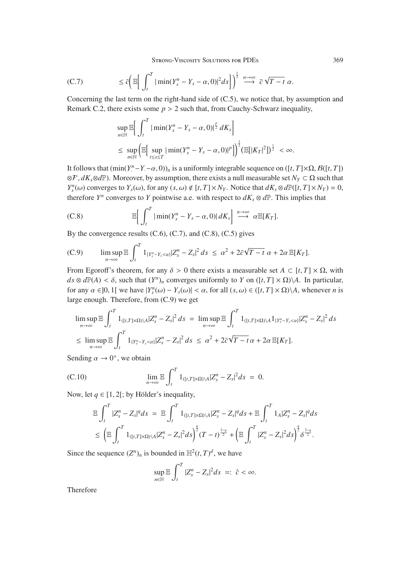(C.7) 
$$
\leq \bar{c} \bigg( \mathbb{E} \bigg[ \int_t^T |\min(Y_s^n - Y_s - \alpha, 0)|^2 ds \bigg] \bigg)^{\frac{1}{2}} \stackrel{n \to \infty}{\longrightarrow} \bar{c} \sqrt{T - t} \alpha.
$$

Concerning the last term on the right-hand side of (C.5), we notice that, by assumption and Remark C.2, there exists some  $p > 2$  such that, from Cauchy-Schwarz inequality,

$$
\sup_{n \in \mathbb{N}} \mathbb{E} \Big[ \int_{t}^{T} |\min(Y_{s}^{n} - Y_{s} - \alpha, 0)|^{\frac{p}{2}} dK_{s} \Big] \le \sup_{n \in \mathbb{N}} \Big( \mathbb{E} \Big[ \sup_{t \le s \le T} |\min(Y_{s}^{n} - Y_{s} - \alpha, 0)|^{p} \Big] \Big)^{\frac{1}{2}} (\mathbb{E} [|K_{T}|^{2}])^{\frac{1}{2}} < \infty.
$$

It follows that  $(\min(Y^n - Y - \alpha, 0))_n$  is a uniformly integrable sequence on  $([t, T] \times \Omega, \mathcal{B}([t, T])$ <br> $\approx E \mathcal{A}^V \otimes \mathcal{A}^{\mathbb{D}}$ ). Moreover, by assumption, there exists a pull massurable set  $N_{\alpha} \subset \Omega$  such that <sup>⊗</sup>, *dKs*⊗*d*P). Moreover, by assumption, there exists a null measurable set *NY* <sup>⊂</sup> <sup>Ω</sup> such that *Y*<sup>n</sup>(*ω*) converges to *Y<sub>s</sub>*(*ω*), for any (*s*, *ω*)  $\notin$  [*t*, *T*]×*N<sub>Y</sub>*. Notice that  $dK_s \otimes dP([t, T] \times N_Y) = 0$ , therefore *V<sup>n</sup>* converges to *V* pointwise e.g. with respect to  $dK_s \otimes dP$ . This implies that therefore  $Y^n$  converges to *Y* pointwise a.e. with respect to  $dK_s \otimes d\mathbb{P}$ . This implies that

(C.8) 
$$
\mathbb{E}\bigg[\int_t^T |\min(Y_s^n-Y_s-\alpha,0)| dK_s\bigg] \stackrel{n\to\infty}{\longrightarrow} \alpha \mathbb{E}[K_T].
$$

By the convergence results  $(C.6)$ ,  $(C.7)$ , and  $(C.8)$ ,  $(C.5)$  gives

(C.9) 
$$
\limsup_{n\to\infty} \mathbb{E} \int_t^T 1_{\{Y_s^n-Y_s\lt\alpha\}} |Z_s^n-Z_s|^2 ds \leq \alpha^2 + 2\bar{c}\sqrt{T-t} \alpha + 2\alpha \mathbb{E}[K_T].
$$

From Egoroff's theorem, for any  $\delta > 0$  there exists a measurable set  $A \subset [t, T] \times \Omega$ , with  $ds \otimes d\mathbb{P}(A) < \delta$ , such that  $(Y^n)_n$  converges uniformly to *Y* on  $([t, T] \times \Omega) \setminus A$ . In particular, for any  $\alpha \in ]0, 1[$  we have  $|Y_s^n(\omega) - Y_s(\omega)| < \alpha$ , for all  $(s, \omega) \in ([t, T] \times \Omega) \setminus A$ , whenever *n* is large apough. Therefore, from  $(C, 0)$  we get large enough. Therefore, from (C.9) we get

$$
\limsup_{n\to\infty} \mathbb{E} \int_t^T 1_{([t,T]\times\Omega)\backslash A} |Z_s^n - Z_s|^2 ds = \limsup_{n\to\infty} \mathbb{E} \int_t^T 1_{([t,T]\times\Omega)\backslash A} 1_{\{Y_s^n - Y_s < \alpha\}} |Z_s^n - Z_s|^2 ds
$$
\n
$$
\leq \limsup_{n\to\infty} \mathbb{E} \int_t^T 1_{\{Y_s^n - Y_s < \alpha\}} |Z_s^n - Z_s|^2 ds \leq \alpha^2 + 2\bar{c}\sqrt{T - t} \alpha + 2\alpha \mathbb{E}[K_T].
$$

Sending  $\alpha \rightarrow 0^+$ , we obtain

(C.10) 
$$
\lim_{n \to \infty} \mathbb{E} \int_{t}^{T} 1_{([t,T] \times \Omega) \setminus A} |Z_{s}^{n} - Z_{s}|^{2} ds = 0.
$$

Now, let  $q \in [1, 2]$ ; by Hölder's inequality,

$$
\mathbb{E}\int_{t}^{T}|Z_{s}^{n}-Z_{s}|^{q}ds = \mathbb{E}\int_{t}^{T}1_{([t,T]\times\Omega)\backslash A}|Z_{s}^{n}-Z_{s}|^{q}ds + \mathbb{E}\int_{t}^{T}1_{A}|Z_{s}^{n}-Z_{s}|^{q}ds \leq \left(\mathbb{E}\int_{t}^{T}1_{([t,T]\times\Omega)\backslash A}|Z_{s}^{n}-Z_{s}|^{2}ds\right)^{\frac{q}{2}}(T-t)^{\frac{2-q}{2}} + \left(\mathbb{E}\int_{t}^{T}|Z_{s}^{n}-Z_{s}|^{2}ds\right)^{\frac{q}{2}}\delta^{\frac{2-q}{2}}.
$$

Since the sequence  $(Z^n)_n$  is bounded in  $\mathbb{H}^2(t,T)^d$ , we have

$$
\sup_{n\in\mathbb{N}}\mathbb{E}\int_t^T|Z_s^n-Z_s|^2ds\;=\;\hat{c}<\infty.
$$

Therefore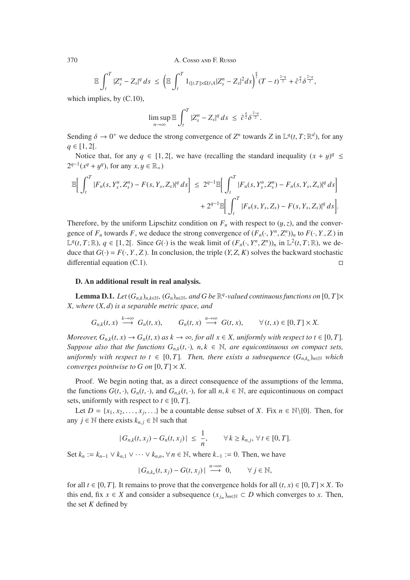$$
\mathbb{E}\int_t^T |Z_s^n - Z_s|^q \, ds \leq \left(\mathbb{E}\int_t^T 1_{([t,T]\times\Omega)\setminus A}|Z_s^n - Z_s|^2 ds\right)^{\frac{q}{2}} (T-t)^{\frac{2-q}{2}} + \hat{c}^{\frac{q}{2}} \delta^{\frac{2-q}{2}},
$$

which implies, by (C.10),

$$
\limsup_{n\to\infty}\mathbb{E}\int_t^T|Z_s^n-Z_s|^q\,ds\,\leq\,\hat{c}^{\frac{q}{2}}\delta^{\frac{2-q}{2}}.
$$

Sending  $\delta \to 0^+$  we deduce the strong convergence of  $Z^n$  towards  $Z$  in  $\mathbb{L}^q(t,T;\mathbb{R}^d)$ , for any  $q \in [1, 2[$ .

Notice that, for any  $q \in [1, 2]$ , we have (recalling the standard inequality  $(x + y)^q \le$ <sup>1</sup>  $2^{q-1}(x^q + y^q)$ , for any  $x, y \in \mathbb{R}_+$ )

$$
\mathbb{E}\bigg[\int_t^T |F_n(s,Y_s^n,Z_s^n) - F(s,Y_s,Z_s)|^q \, ds\bigg] \leq 2^{q-1} \mathbb{E}\bigg[\int_t^T |F_n(s,Y_s^n,Z_s^n) - F_n(s,Y_s,Z_s)|^q \, ds\bigg] + 2^{q-1} \mathbb{E}\bigg[\int_t^T |F_n(s,Y_s,Z_s) - F(s,Y_s,Z_s)|^q \, ds\bigg].
$$

Therefore, by the uniform Lipschitz condition on  $F_n$  with respect to  $(y, z)$ , and the convergence of  $F_n$  towards  $F$ , we deduce the strong convergence of  $(F_n(\cdot, Y^n, Z^n))_n$  to  $F(\cdot, Y, Z)$  in<br>  $F^q(\cdot, T: \mathbb{R})$ ,  $q \in [1, 2]$ . Since  $G(\cdot)$  is the weak limit of  $(F_1(\cdot, Y^n, Z^n))$ , in  $\mathbb{R}^2(\cdot, T: \mathbb{R})$ , we do  $\mathbb{L}^q(t, T; \mathbb{R})$ , *q* ∈ [1, 2[. Since *G*(·) is the weak limit of  $(F_n(\cdot, Y^n, Z^n))_n$  in  $\mathbb{L}^2(t, T; \mathbb{R})$ , we de-<br>due that *G*() = *E*( *Y*  $Z$ ). In conclusion, the triple (*Y*  $Z$  *K*) solves the backward stochastic duce that  $G(\cdot) = F(\cdot, Y, Z)$ . In conclusion, the triple  $(Y, Z, K)$  solves the backward stochastic differential equation  $(C, 1)$ . differential equation (C.1).

## D. An additional result in real analysis.

**Lemma D.1.** *Let*  $(G_{n,k})_{n,k\in\mathbb{N}}$ *,*  $(G_n)_{n\in\mathbb{N}}$ *, and G be*  $\mathbb{R}^q$ *-valued continuous functions on*  $[0, T] \times$ *X, where* (*X*, *<sup>d</sup>*) *is a separable metric space, and*

$$
G_{n,k}(t,x) \stackrel{k\to\infty}{\longrightarrow} G_n(t,x), \qquad G_n(t,x) \stackrel{n\to\infty}{\longrightarrow} G(t,x), \qquad \forall (t,x) \in [0,T] \times X.
$$

*Moreover,*  $G_{n,k}(t, x) \to G_n(t, x)$  *as*  $k \to \infty$ *, for all*  $x \in X$ *, uniformly with respect to*  $t \in [0, T]$ *. Suppose also that the functions*  $G_{n,k}(t, \cdot)$ *, n, k*  $\in \mathbb{N}$ *, are equicontinuous on compact sets, uniformly with respect to t*  $\in$  [0, *T*]*. Then, there exists a subsequence*  $(G_{n,k_n})_{n\in\mathbb{N}}$  *which converges pointwise to G on*  $[0, T] \times X$ .

Proof. We begin noting that, as a direct consequence of the assumptions of the lemma, the functions  $G(t, \cdot)$ ,  $G_n(t, \cdot)$ , and  $G_{n,k}(t, \cdot)$ , for all  $n, k \in \mathbb{N}$ , are equicontinuous on compact sets, uniformly with respect to  $t \in [0, T]$ .

Let  $D = \{x_1, x_2, \ldots, x_i, \ldots\}$  be a countable dense subset of *X*. Fix  $n \in \mathbb{N}\setminus\{0\}$ . Then, for any  $j \in \mathbb{N}$  there exists  $k_{n,i} \in \mathbb{N}$  such that

$$
|G_{n,k}(t,x_j)-G_n(t,x_j)|\leq \frac{1}{n}, \qquad \forall k\geq k_{n,j}, \forall t\in [0,T].
$$

Set  $k_n := k_{n-1} \vee k_{n,1} \vee \cdots \vee k_{n,n}$ , ∀  $n \in \mathbb{N}$ , where  $k_{-1} := 0$ . Then, we have

$$
|G_{n,k_n}(t,x_j)-G(t,x_j)|\stackrel{n\to\infty}{\longrightarrow} 0, \qquad \forall j\in\mathbb{N},
$$

for all  $t \in [0, T]$ . It remains to prove that the convergence holds for all  $(t, x) \in [0, T] \times X$ . To this end, fix  $x \in X$  and consider a subsequence  $(x_{i_m})_{m \in \mathbb{N}} \subset D$  which converges to *x*. Then, the set *K* defined by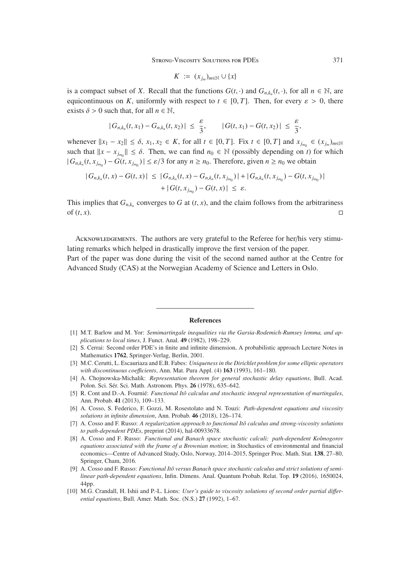$$
K := (x_{j_m})_{m \in \mathbb{N}} \cup \{x\}
$$

is a compact subset of *X*. Recall that the functions  $G(t, \cdot)$  and  $G_{n,k_n}(t, \cdot)$ , for all  $n \in \mathbb{N}$ , are equicontinuous on *K*, uniformly with respect to  $t \in [0, T]$ . Then, for every  $\varepsilon > 0$ , there exists  $\delta > 0$  such that, for all  $n \in \mathbb{N}$ ,

$$
|G_{n,k_n}(t,x_1)-G_{n,k_n}(t,x_2)| \leq \frac{\varepsilon}{3}, \qquad |G(t,x_1)-G(t,x_2)| \leq \frac{\varepsilon}{3},
$$

whenever  $||x_1 - x_2|| \le \delta$ ,  $x_1, x_2 \in K$ , for all  $t \in [0, T]$ . Fix  $t \in [0, T]$  and  $x_{j_{m_0}} \in (x_{j_m})_{m \in \mathbb{N}}$ such that  $||x - x_{j_m}|| \le \delta$ . Then, we can find  $n_0 \in \mathbb{N}$  (possibly depending on *t*) for which  $|G_{\mathcal{L}}(t, x_{\mathcal{L}})| \le \epsilon/3$  for any  $n > n_0$ . Therefore, given  $n > n_0$  we obtain  $|G_{n,k_n}(t, x_{j_{m_0}}) - G(t, x_{j_{m_0}})| \leq \varepsilon/3$  for any  $n \geq n_0$ . Therefore, given  $n \geq n_0$  we obtain

$$
|G_{n,k_n}(t,x)-G(t,x)| \leq |G_{n,k_n}(t,x)-G_{n,k_n}(t,x_{j_{m_0}})|+|G_{n,k_n}(t,x_{j_{m_0}})-G(t,x_{j_{m_0}})|
$$
  
+|G(t,x\_{j\_{m\_0}})-G(t,x)| \leq \varepsilon.

This implies that  $G_{n,k_n}$  converges to  $G$  at  $(t, x)$ , and the claim follows from the arbitrariness of  $(t, x)$ . of  $(t, x)$ .

Acknowledgements. The authors are very grateful to the Referee for her/his very stimulating remarks which helped in drastically improve the first version of the paper. Part of the paper was done during the visit of the second named author at the Centre for

Advanced Study (CAS) at the Norwegian Academy of Science and Letters in Oslo.

#### References

[1] M.T. Barlow and M. Yor: *Semimartingale inequalities via the Garsia-Rodemich-Rumsey lemma, and applications to local times*, J. Funct. Anal. 49 (1982), 198–229.

- [3] M.C. Cerutti, L. Escauriaza and E.B. Fabes: *Uniqueness in the Dirichlet problem for some elliptic operators with discontinuous coe*ffi*cients*, Ann. Mat. Pura Appl. (4) 163 (1993), 161–180.
- [4] A. Chojnowska-Michalik: *Representation theorem for general stochastic delay equations*, Bull. Acad. Polon. Sci. Sér. Sci. Math. Astronom. Phys. 26 (1978), 635–642.
- [5] R. Cont and D.-A. Fournié: *Functional Itô calculus and stochastic integral representation of martingales*, Ann. Probab. 41 (2013), 109–133.
- [6] A. Cosso, S. Federico, F. Gozzi, M. Rosestolato and N. Touzi: *Path-dependent equations and viscosity solutions in infinite dimension*, Ann. Probab. 46 (2018), 126–174.
- [7] A. Cosso and F. Russo: *A regularization approach to functional Itô calculus and strong-viscosity solutions to path-dependent PDEs*, preprint (2014), hal-00933678.
- [8] A. Cosso and F. Russo: *Functional and Banach space stochastic calculi: path-dependent Kolmogorov equations associated with the frame of a Brownian motion*; in Stochastics of environmental and financial economics—Centre of Advanced Study, Oslo, Norway, 2014–2015, Springer Proc. Math. Stat. 138, 27–80, Springer, Cham, 2016.
- [9] A. Cosso and F. Russo: *Functional Itô versus Banach space stochastic calculus and strict solutions of semilinear path-dependent equations*, Infin. Dimens. Anal. Quantum Probab. Relat. Top. 19 (2016), 1650024, 44pp.
- [10] M.G. Crandall, H. Ishii and P.-L. Lions: *User's guide to viscosity solutions of second order partial di*ff*erential equations*, Bull. Amer. Math. Soc. (N.S.) 27 (1992), 1–67.

<sup>[2]</sup> S. Cerrai: Second order PDE's in finite and infinite dimension, A probabilistic approach Lecture Notes in Mathematics 1762, Springer-Verlag, Berlin, 2001.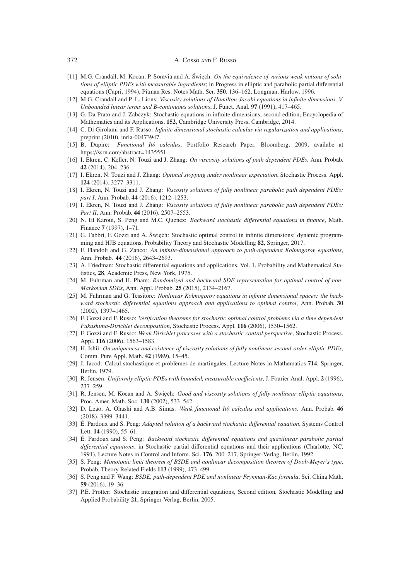- [11] M.G. Crandall, M. Kocan, P. Soravia and A. Święch: *On the equivalence of various weak notions of solutions of elliptic PDEs with measurable ingredients*; in Progress in elliptic and parabolic partial differential equations (Capri, 1994), Pitman Res. Notes Math. Ser. 350, 136–162, Longman, Harlow, 1996.
- [12] M.G. Crandall and P.-L. Lions: *Viscosity solutions of Hamilton-Jacobi equations in infinite dimensions. V. Unbounded linear terms and B-continuous solutions*, J. Funct. Anal. 97 (1991), 417–465.
- [13] G. Da Prato and J. Zabczyk: Stochastic equations in infinite dimensions, second edition, Encyclopedia of Mathematics and its Applications, 152, Cambridge University Press, Cambridge, 2014.
- [14] C. Di Girolami and F. Russo: *Infinite dimensional stochastic calculus via regularization and applications*, preprint (2010), inria-00473947.
- [15] B. Dupire: *Functional Itô calculus*, Portfolio Research Paper, Bloomberg, 2009, availabe at https://ssrn.com/abstract=1435551
- [16] I. Ekren, C. Keller, N. Touzi and J. Zhang: *On viscosity solutions of path dependent PDEs*, Ann. Probab. 42 (2014), 204–236.
- [17] I. Ekren, N. Touzi and J. Zhang: *Optimal stopping under nonlinear expectation*, Stochastic Process. Appl. 124 (2014), 3277–3311.
- [18] I. Ekren, N. Touzi and J. Zhang: *Viscosity solutions of fully nonlinear parabolic path dependent PDEs: part I*, Ann. Probab. 44 (2016), 1212–1253.
- [19] I. Ekren, N. Touzi and J. Zhang: *Viscosity solutions of fully nonlinear parabolic path dependent PDEs: Part II*, Ann. Probab. 44 (2016), 2507–2553.
- [20] N. El Karoui, S. Peng and M.C. Quenez: *Backward stochastic di*ff*erential equations in finance*, Math. Finance 7 (1997), 1–71.
- [21] G. Fabbri, F. Gozzi and A. Święch: Stochastic optimal control in infinite dimensions: dynamic programming and HJB equations, Probability Theory and Stochastic Modelling 82, Springer, 2017.
- [22] F. Flandoli and G. Zanco: *An infinite-dimensional approach to path-dependent Kolmogorov equations*, Ann. Probab. 44 (2016), 2643–2693.
- [23] A. Friedman: Stochastic differential equations and applications. Vol. 1, Probability and Mathematical Statistics, 28, Academic Press, New York, 1975.
- [24] M. Fuhrman and H. Pham: *Randomized and backward SDE representation for optimal control of non-Markovian SDEs*, Ann. Appl. Probab. 25 (2015), 2134–2167.
- [25] M. Fuhrman and G. Tessitore: *Nonlinear Kolmogorov equations in infinite dimensional spaces: the backward stochastic di*ff*erential equations approach and applications to optimal control*, Ann. Probab. 30 (2002), 1397–1465.
- [26] F. Gozzi and F. Russo: *Verification theorems for stochastic optimal control problems via a time dependent Fukushima-Dirichlet decomposition*, Stochastic Process. Appl. 116 (2006), 1530–1562.
- [27] F. Gozzi and F. Russo: *Weak Dirichlet processes with a stochastic control perspective*, Stochastic Process. Appl. 116 (2006), 1563–1583.
- [28] H. Ishii: *On uniqueness and existence of viscosity solutions of fully nonlinear second-order elliptic PDEs*, Comm. Pure Appl. Math. 42 (1989), 15–45.
- [29] J. Jacod: Calcul stochastique et problèmes de martingales, Lecture Notes in Mathematics 714, Springer, Berlin, 1979.
- [30] R. Jensen: *Uniformly elliptic PDEs with bounded, measurable coe*ffi*cients*, J. Fourier Anal. Appl. 2 (1996), 237–259.
- [31] R. Jensen, M. Kocan and A. Święch: *Good and viscosity solutions of fully nonlinear elliptic equations*, Proc. Amer. Math. Soc. 130 (2002), 533–542.
- [32] D. Leão, A. Ohashi and A.B. Simas: *Weak functional Itô calculus and applications*, Ann. Probab. 46 (2018), 3399–3441.
- [33] É. Pardoux and S. Peng: *Adapted solution of a backward stochastic di*ff*erential equation*, Systems Control Lett. 14 (1990), 55–61.
- [34] É. Pardoux and S. Peng: *Backward stochastic di*ff*erential equations and quasilinear parabolic partial di*ff*erential equations*; in Stochastic partial differential equations and their applications (Charlotte, NC, 1991), Lecture Notes in Control and Inform. Sci. 176, 200–217, Springer-Verlag, Berlin, 1992.
- [35] S. Peng: *Monotonic limit theorem of BSDE and nonlinear decomposition theorem of Doob-Meyer's type*, Probab. Theory Related Fields 113 (1999), 473–499.
- [36] S. Peng and F. Wang: *BSDE, path-dependent PDE and nonlinear Feynman-Kac formula*, Sci. China Math. 59 (2016), 19–36.
- [37] P.E. Protter: Stochastic integration and differential equations, Second edition, Stochastic Modelling and Applied Probability 21, Springer-Verlag, Berlin, 2005.